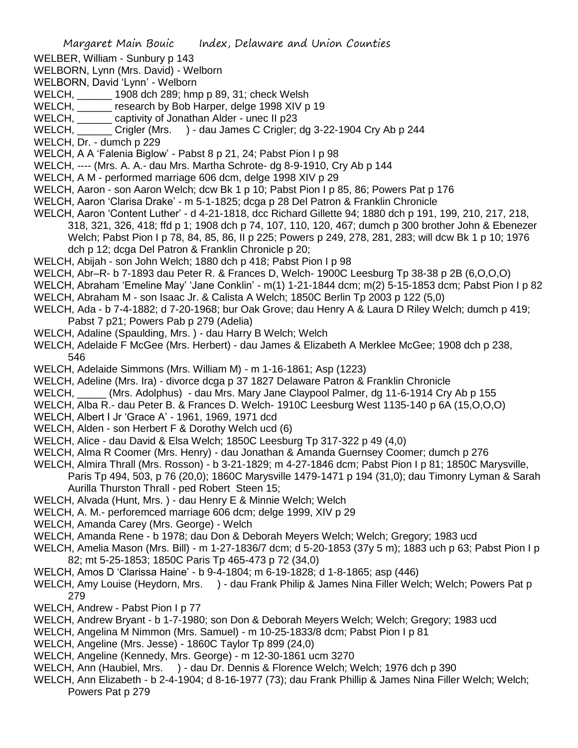- WELBER, William Sunbury p 143
- WELBORN, Lynn (Mrs. David) Welborn
- WELBORN, David 'Lynn' Welborn
- WELCH, \_\_\_\_\_\_ 1908 dch 289; hmp p 89, 31; check Welsh
- WELCH, research by Bob Harper, delge 1998 XIV p 19
- WELCH, \_\_\_\_\_\_ captivity of Jonathan Alder unec II p23
- WELCH, Crigler (Mrs. ) dau James C Crigler; dg 3-22-1904 Cry Ab p 244
- WELCH, Dr. dumch p 229
- WELCH, A A 'Falenia Biglow' Pabst 8 p 21, 24; Pabst Pion I p 98
- WELCH, ---- (Mrs. A. A.- dau Mrs. Martha Schrote- dg 8-9-1910, Cry Ab p 144
- WELCH, A M performed marriage 606 dcm, delge 1998 XIV p 29
- WELCH, Aaron son Aaron Welch; dcw Bk 1 p 10; Pabst Pion I p 85, 86; Powers Pat p 176
- WELCH, Aaron 'Clarisa Drake' m 5-1-1825; dcga p 28 Del Patron & Franklin Chronicle
- WELCH, Aaron 'Content Luther' d 4-21-1818, dcc Richard Gillette 94; 1880 dch p 191, 199, 210, 217, 218, 318, 321, 326, 418; ffd p 1; 1908 dch p 74, 107, 110, 120, 467; dumch p 300 brother John & Ebenezer Welch; Pabst Pion I p 78, 84, 85, 86, II p 225; Powers p 249, 278, 281, 283; will dcw Bk 1 p 10; 1976 dch p 12; dcga Del Patron & Franklin Chronicle p 20;
- WELCH, Abijah son John Welch; 1880 dch p 418; Pabst Pion I p 98
- WELCH, Abr–R- b 7-1893 dau Peter R. & Frances D, Welch- 1900C Leesburg Tp 38-38 p 2B (6,O,O,O)
- WELCH, Abraham 'Emeline May' 'Jane Conklin' m(1) 1-21-1844 dcm; m(2) 5-15-1853 dcm; Pabst Pion I p 82
- WELCH, Abraham M son Isaac Jr. & Calista A Welch; 1850C Berlin Tp 2003 p 122 (5,0)
- WELCH, Ada b 7-4-1882; d 7-20-1968; bur Oak Grove; dau Henry A & Laura D Riley Welch; dumch p 419; Pabst 7 p21; Powers Pab p 279 (Adelia)
- WELCH, Adaline (Spaulding, Mrs. ) dau Harry B Welch; Welch
- WELCH, Adelaide F McGee (Mrs. Herbert) dau James & Elizabeth A Merklee McGee; 1908 dch p 238, 546
- WELCH, Adelaide Simmons (Mrs. William M) m 1-16-1861; Asp (1223)
- WELCH, Adeline (Mrs. Ira) divorce dcga p 37 1827 Delaware Patron & Franklin Chronicle
- WELCH, \_\_\_\_\_ (Mrs. Adolphus) dau Mrs. Mary Jane Claypool Palmer, dg 11-6-1914 Cry Ab p 155
- WELCH, Alba R.- dau Peter B. & Frances D. Welch- 1910C Leesburg West 1135-140 p 6A (15,O,O,O)
- WELCH, Albert I Jr 'Grace A' 1961, 1969, 1971 dcd
- WELCH, Alden son Herbert F & Dorothy Welch ucd (6)
- WELCH, Alice dau David & Elsa Welch; 1850C Leesburg Tp 317-322 p 49 (4,0)
- WELCH, Alma R Coomer (Mrs. Henry) dau Jonathan & Amanda Guernsey Coomer; dumch p 276
- WELCH, Almira Thrall (Mrs. Rosson) b 3-21-1829; m 4-27-1846 dcm; Pabst Pion I p 81; 1850C Marysville, Paris Tp 494, 503, p 76 (20,0); 1860C Marysville 1479-1471 p 194 (31,0); dau Timonry Lyman & Sarah Aurilla Thurston Thrall - ped Robert Steen 15;
- WELCH, Alvada (Hunt, Mrs. ) dau Henry E & Minnie Welch; Welch
- WELCH, A. M.- perforemced marriage 606 dcm; delge 1999, XIV p 29
- WELCH, Amanda Carey (Mrs. George) Welch
- WELCH, Amanda Rene b 1978; dau Don & Deborah Meyers Welch; Welch; Gregory; 1983 ucd
- WELCH, Amelia Mason (Mrs. Bill) m 1-27-1836/7 dcm; d 5-20-1853 (37y 5 m); 1883 uch p 63; Pabst Pion I p 82; mt 5-25-1853; 1850C Paris Tp 465-473 p 72 (34,0)
- WELCH, Amos D 'Clarissa Haine' b 9-4-1804; m 6-19-1828; d 1-8-1865; asp (446)
- WELCH, Amy Louise (Heydorn, Mrs. ) dau Frank Philip & James Nina Filler Welch; Welch; Powers Pat p 279
- WELCH, Andrew Pabst Pion I p 77
- WELCH, Andrew Bryant b 1-7-1980; son Don & Deborah Meyers Welch; Welch; Gregory; 1983 ucd
- WELCH, Angelina M Nimmon (Mrs. Samuel) m 10-25-1833/8 dcm; Pabst Pion I p 81
- WELCH, Angeline (Mrs. Jesse) 1860C Taylor Tp 899 (24,0)
- WELCH, Angeline (Kennedy, Mrs. George) m 12-30-1861 ucm 3270
- WELCH, Ann (Haubiel, Mrs. ) dau Dr. Dennis & Florence Welch; Welch; 1976 dch p 390
- WELCH, Ann Elizabeth b 2-4-1904; d 8-16-1977 (73); dau Frank Phillip & James Nina Filler Welch; Welch; Powers Pat p 279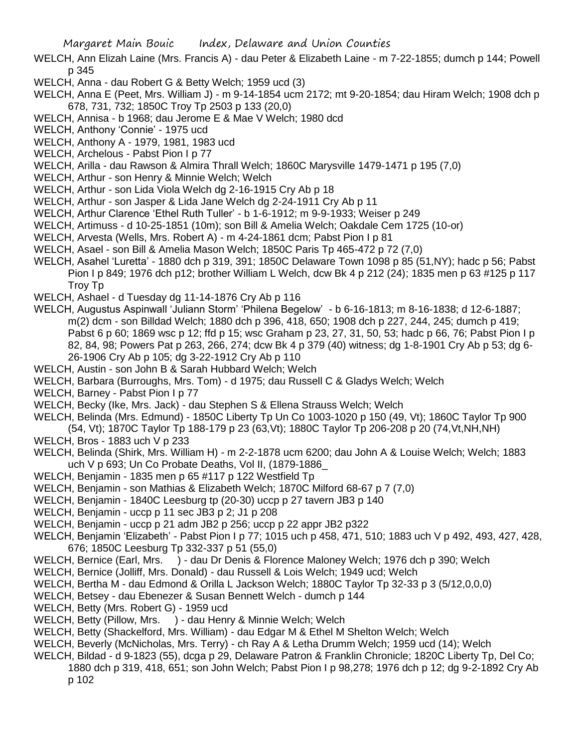- WELCH, Ann Elizah Laine (Mrs. Francis A) dau Peter & Elizabeth Laine m 7-22-1855; dumch p 144; Powell p 345
- WELCH, Anna dau Robert G & Betty Welch; 1959 ucd (3)
- WELCH, Anna E (Peet, Mrs. William J) m 9-14-1854 ucm 2172; mt 9-20-1854; dau Hiram Welch; 1908 dch p 678, 731, 732; 1850C Troy Tp 2503 p 133 (20,0)
- WELCH, Annisa b 1968; dau Jerome E & Mae V Welch; 1980 dcd
- WELCH, Anthony 'Connie' 1975 ucd
- WELCH, Anthony A 1979, 1981, 1983 ucd
- WELCH, Archelous Pabst Pion I p 77
- WELCH, Arilla dau Rawson & Almira Thrall Welch; 1860C Marysville 1479-1471 p 195 (7,0)
- WELCH, Arthur son Henry & Minnie Welch; Welch
- WELCH, Arthur son Lida Viola Welch dg 2-16-1915 Cry Ab p 18
- WELCH, Arthur son Jasper & Lida Jane Welch dg 2-24-1911 Cry Ab p 11
- WELCH, Arthur Clarence 'Ethel Ruth Tuller' b 1-6-1912; m 9-9-1933; Weiser p 249
- WELCH, Artimuss d 10-25-1851 (10m); son Bill & Amelia Welch; Oakdale Cem 1725 (10-or)
- WELCH, Arvesta (Wells, Mrs. Robert A) m 4-24-1861 dcm; Pabst Pion I p 81
- WELCH, Asael son Bill & Amelia Mason Welch; 1850C Paris Tp 465-472 p 72 (7,0)
- WELCH, Asahel 'Luretta' 1880 dch p 319, 391; 1850C Delaware Town 1098 p 85 (51,NY); hadc p 56; Pabst Pion I p 849; 1976 dch p12; brother William L Welch, dcw Bk 4 p 212 (24); 1835 men p 63 #125 p 117 Troy Tp
- WELCH, Ashael d Tuesday dg 11-14-1876 Cry Ab p 116
- WELCH, Augustus Aspinwall 'Juliann Storm' 'Philena Begelow' b 6-16-1813; m 8-16-1838; d 12-6-1887; m(2) dcm - son Billdad Welch; 1880 dch p 396, 418, 650; 1908 dch p 227, 244, 245; dumch p 419; Pabst 6 p 60; 1869 wsc p 12; ffd p 15; wsc Graham p 23, 27, 31, 50, 53; hadc p 66, 76; Pabst Pion I p 82, 84, 98; Powers Pat p 263, 266, 274; dcw Bk 4 p 379 (40) witness; dg 1-8-1901 Cry Ab p 53; dg 6- 26-1906 Cry Ab p 105; dg 3-22-1912 Cry Ab p 110
- WELCH, Austin son John B & Sarah Hubbard Welch; Welch
- WELCH, Barbara (Burroughs, Mrs. Tom) d 1975; dau Russell C & Gladys Welch; Welch
- WELCH, Barney Pabst Pion I p 77
- WELCH, Becky (Ike, Mrs. Jack) dau Stephen S & Ellena Strauss Welch; Welch
- WELCH, Belinda (Mrs. Edmund) 1850C Liberty Tp Un Co 1003-1020 p 150 (49, Vt); 1860C Taylor Tp 900
- (54, Vt); 1870C Taylor Tp 188-179 p 23 (63,Vt); 1880C Taylor Tp 206-208 p 20 (74,Vt,NH,NH)
- WELCH, Bros 1883 uch V p 233
- WELCH, Belinda (Shirk, Mrs. William H) m 2-2-1878 ucm 6200; dau John A & Louise Welch; Welch; 1883 uch V p 693; Un Co Probate Deaths, Vol II, (1879-1886\_
- WELCH, Benjamin 1835 men p 65 #117 p 122 Westfield Tp
- WELCH, Benjamin son Mathias & Elizabeth Welch; 1870C Milford 68-67 p 7 (7,0)
- WELCH, Benjamin 1840C Leesburg tp (20-30) uccp p 27 tavern JB3 p 140
- WELCH, Benjamin uccp p 11 sec JB3 p 2; J1 p 208
- WELCH, Benjamin uccp p 21 adm JB2 p 256; uccp p 22 appr JB2 p322
- WELCH, Benjamin 'Elizabeth' Pabst Pion I p 77; 1015 uch p 458, 471, 510; 1883 uch V p 492, 493, 427, 428, 676; 1850C Leesburg Tp 332-337 p 51 (55,0)
- WELCH, Bernice (Earl, Mrs. ) dau Dr Denis & Florence Maloney Welch; 1976 dch p 390; Welch
- WELCH, Bernice (Jolliff, Mrs. Donald) dau Russell & Lois Welch; 1949 ucd; Welch
- WELCH, Bertha M dau Edmond & Orilla L Jackson Welch; 1880C Taylor Tp 32-33 p 3 (5/12,0,0,0)
- WELCH, Betsey dau Ebenezer & Susan Bennett Welch dumch p 144
- WELCH, Betty (Mrs. Robert G) 1959 ucd
- WELCH, Betty (Pillow, Mrs. ) dau Henry & Minnie Welch; Welch
- WELCH, Betty (Shackelford, Mrs. William) dau Edgar M & Ethel M Shelton Welch; Welch
- WELCH, Beverly (McNicholas, Mrs. Terry) ch Ray A & Letha Drumm Welch; 1959 ucd (14); Welch
- WELCH, Bildad d 9-1823 (55), dcga p 29, Delaware Patron & Franklin Chronicle; 1820C Liberty Tp, Del Co; 1880 dch p 319, 418, 651; son John Welch; Pabst Pion I p 98,278; 1976 dch p 12; dg 9-2-1892 Cry Ab p 102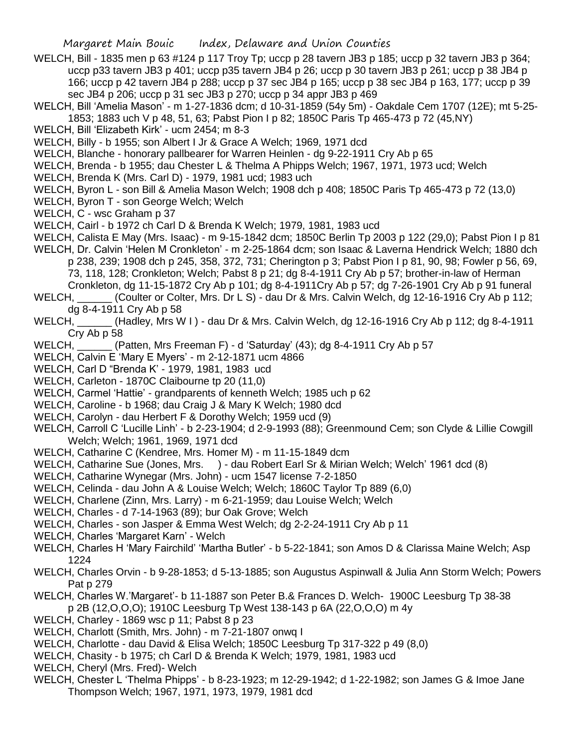- WELCH, Bill 1835 men p 63 #124 p 117 Troy Tp; uccp p 28 tavern JB3 p 185; uccp p 32 tavern JB3 p 364; uccp p33 tavern JB3 p 401; uccp p35 tavern JB4 p 26; uccp p 30 tavern JB3 p 261; uccp p 38 JB4 p 166; uccp p 42 tavern JB4 p 288; uccp p 37 sec JB4 p 165; uccp p 38 sec JB4 p 163, 177; uccp p 39 sec JB4 p 206; uccp p 31 sec JB3 p 270; uccp p 34 appr JB3 p 469
- WELCH, Bill 'Amelia Mason' m 1-27-1836 dcm; d 10-31-1859 (54y 5m) Oakdale Cem 1707 (12E); mt 5-25- 1853; 1883 uch V p 48, 51, 63; Pabst Pion I p 82; 1850C Paris Tp 465-473 p 72 (45,NY)
- WELCH, Bill 'Elizabeth Kirk' ucm 2454; m 8-3
- WELCH, Billy b 1955; son Albert I Jr & Grace A Welch; 1969, 1971 dcd
- WELCH, Blanche honorary pallbearer for Warren Heinlen dg 9-22-1911 Cry Ab p 65
- WELCH, Brenda b 1955; dau Chester L & Thelma A Phipps Welch; 1967, 1971, 1973 ucd; Welch
- WELCH, Brenda K (Mrs. Carl D) 1979, 1981 ucd; 1983 uch
- WELCH, Byron L son Bill & Amelia Mason Welch; 1908 dch p 408; 1850C Paris Tp 465-473 p 72 (13,0)
- WELCH, Byron T son George Welch; Welch
- WELCH, C wsc Graham p 37
- WELCH, Cairl b 1972 ch Carl D & Brenda K Welch; 1979, 1981, 1983 ucd
- WELCH, Calista E May (Mrs. Isaac) m 9-15-1842 dcm; 1850C Berlin Tp 2003 p 122 (29,0); Pabst Pion I p 81
- WELCH, Dr. Calvin 'Helen M Cronkleton' m 2-25-1864 dcm; son Isaac & Laverna Hendrick Welch; 1880 dch p 238, 239; 1908 dch p 245, 358, 372, 731; Cherington p 3; Pabst Pion I p 81, 90, 98; Fowler p 56, 69, 73, 118, 128; Cronkleton; Welch; Pabst 8 p 21; dg 8-4-1911 Cry Ab p 57; brother-in-law of Herman Cronkleton, dg 11-15-1872 Cry Ab p 101; dg 8-4-1911Cry Ab p 57; dg 7-26-1901 Cry Ab p 91 funeral
- WELCH, (Coulter or Colter, Mrs. Dr L S) dau Dr & Mrs. Calvin Welch, dg 12-16-1916 Cry Ab p 112; dg 8-4-1911 Cry Ab p 58
- WELCH, \_\_\_\_\_\_ (Hadley, Mrs W I ) dau Dr & Mrs. Calvin Welch, dg 12-16-1916 Cry Ab p 112; dg 8-4-1911 Cry Ab p 58
- WELCH, (Patten, Mrs Freeman F) d 'Saturday' (43); dg 8-4-1911 Cry Ab p 57
- WELCH, Calvin E 'Mary E Myers' m 2-12-1871 ucm 4866
- WELCH, Carl D "Brenda K' 1979, 1981, 1983 ucd
- WELCH, Carleton 1870C Claibourne tp 20 (11.0)
- WELCH, Carmel 'Hattie' grandparents of kenneth Welch; 1985 uch p 62
- WELCH, Caroline b 1968; dau Craig J & Mary K Welch; 1980 dcd
- WELCH, Carolyn dau Herbert F & Dorothy Welch; 1959 ucd (9)
- WELCH, Carroll C 'Lucille Linh' b 2-23-1904; d 2-9-1993 (88); Greenmound Cem; son Clyde & Lillie Cowgill Welch; Welch; 1961, 1969, 1971 dcd
- WELCH, Catharine C (Kendree, Mrs. Homer M) m 11-15-1849 dcm
- WELCH, Catharine Sue (Jones, Mrs. ) dau Robert Earl Sr & Mirian Welch; Welch' 1961 dcd (8)
- WELCH, Catharine Wynegar (Mrs. John) ucm 1547 license 7-2-1850
- WELCH, Celinda dau John A & Louise Welch; Welch; 1860C Taylor Tp 889 (6,0)
- WELCH, Charlene (Zinn, Mrs. Larry) m 6-21-1959; dau Louise Welch; Welch
- WELCH, Charles d 7-14-1963 (89); bur Oak Grove; Welch
- WELCH, Charles son Jasper & Emma West Welch; dg 2-2-24-1911 Cry Ab p 11
- WELCH, Charles 'Margaret Karn' Welch
- WELCH, Charles H 'Mary Fairchild' 'Martha Butler' b 5-22-1841; son Amos D & Clarissa Maine Welch; Asp 1224
- WELCH, Charles Orvin b 9-28-1853; d 5-13-1885; son Augustus Aspinwall & Julia Ann Storm Welch; Powers Pat p 279
- WELCH, Charles W.'Margaret'- b 11-1887 son Peter B.& Frances D. Welch- 1900C Leesburg Tp 38-38 p 2B (12,O,O,O); 1910C Leesburg Tp West 138-143 p 6A (22,O,O,O) m 4y
- WELCH, Charley 1869 wsc p 11; Pabst 8 p 23
- WELCH, Charlott (Smith, Mrs. John) m 7-21-1807 onwq I
- WELCH, Charlotte dau David & Elisa Welch; 1850C Leesburg Tp 317-322 p 49 (8,0)
- WELCH, Chasity b 1975; ch Carl D & Brenda K Welch; 1979, 1981, 1983 ucd
- WELCH, Cheryl (Mrs. Fred)- Welch
- WELCH, Chester L 'Thelma Phipps' b 8-23-1923; m 12-29-1942; d 1-22-1982; son James G & Imoe Jane Thompson Welch; 1967, 1971, 1973, 1979, 1981 dcd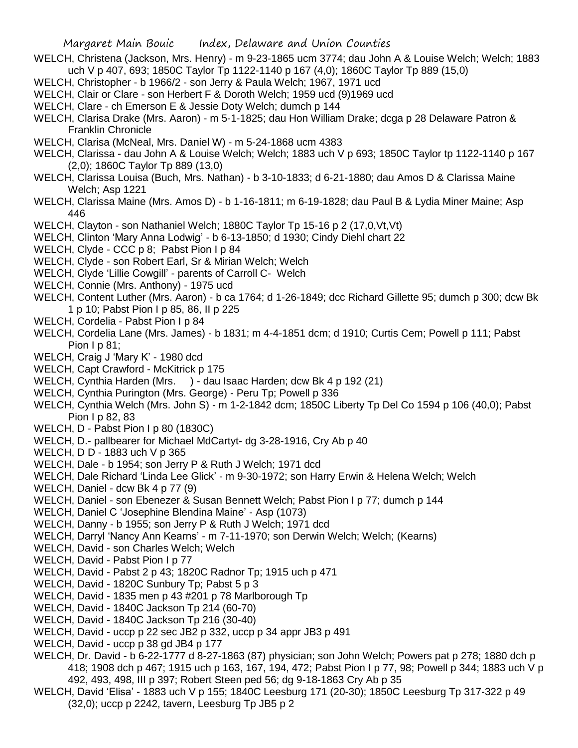- WELCH, Christena (Jackson, Mrs. Henry) m 9-23-1865 ucm 3774; dau John A & Louise Welch; Welch; 1883 uch V p 407, 693; 1850C Taylor Tp 1122-1140 p 167 (4,0); 1860C Taylor Tp 889 (15,0)
- WELCH, Christopher b 1966/2 son Jerry & Paula Welch; 1967, 1971 ucd
- WELCH, Clair or Clare son Herbert F & Doroth Welch; 1959 ucd (9)1969 ucd
- WELCH, Clare ch Emerson E & Jessie Doty Welch; dumch p 144
- WELCH, Clarisa Drake (Mrs. Aaron) m 5-1-1825; dau Hon William Drake; dcga p 28 Delaware Patron & Franklin Chronicle
- WELCH, Clarisa (McNeal, Mrs. Daniel W) m 5-24-1868 ucm 4383
- WELCH, Clarissa dau John A & Louise Welch; Welch; 1883 uch V p 693; 1850C Taylor tp 1122-1140 p 167 (2,0); 1860C Taylor Tp 889 (13,0)
- WELCH, Clarissa Louisa (Buch, Mrs. Nathan) b 3-10-1833; d 6-21-1880; dau Amos D & Clarissa Maine Welch; Asp 1221
- WELCH, Clarissa Maine (Mrs. Amos D) b 1-16-1811; m 6-19-1828; dau Paul B & Lydia Miner Maine; Asp 446
- WELCH, Clayton son Nathaniel Welch; 1880C Taylor Tp 15-16 p 2 (17,0, Vt, Vt)
- WELCH, Clinton 'Mary Anna Lodwig' b 6-13-1850; d 1930; Cindy Diehl chart 22
- WELCH, Clyde CCC p 8; Pabst Pion I p 84
- WELCH, Clyde son Robert Earl, Sr & Mirian Welch; Welch
- WELCH, Clyde 'Lillie Cowgill' parents of Carroll C- Welch
- WELCH, Connie (Mrs. Anthony) 1975 ucd
- WELCH, Content Luther (Mrs. Aaron) b ca 1764; d 1-26-1849; dcc Richard Gillette 95; dumch p 300; dcw Bk 1 p 10; Pabst Pion I p 85, 86, II p 225
- WELCH, Cordelia Pabst Pion I p 84
- WELCH, Cordelia Lane (Mrs. James) b 1831; m 4-4-1851 dcm; d 1910; Curtis Cem; Powell p 111; Pabst Pion I p 81;
- WELCH, Craig J 'Mary K' 1980 dcd
- WELCH, Capt Crawford McKitrick p 175
- WELCH, Cynthia Harden (Mrs. ) dau Isaac Harden; dcw Bk 4 p 192 (21)
- WELCH, Cynthia Purington (Mrs. George) Peru Tp; Powell p 336
- WELCH, Cynthia Welch (Mrs. John S) m 1-2-1842 dcm; 1850C Liberty Tp Del Co 1594 p 106 (40,0); Pabst Pion I p 82, 83
- WELCH, D Pabst Pion I p 80 (1830C)
- WELCH, D.- pallbearer for Michael MdCartyt- dg 3-28-1916, Cry Ab p 40
- WELCH, D D 1883 uch V p 365
- WELCH, Dale b 1954; son Jerry P & Ruth J Welch; 1971 dcd
- WELCH, Dale Richard 'Linda Lee Glick' m 9-30-1972; son Harry Erwin & Helena Welch; Welch
- WELCH, Daniel dcw Bk 4 p 77 (9)
- WELCH, Daniel son Ebenezer & Susan Bennett Welch; Pabst Pion I p 77; dumch p 144
- WELCH, Daniel C 'Josephine Blendina Maine' Asp (1073)
- WELCH, Danny b 1955; son Jerry P & Ruth J Welch; 1971 dcd
- WELCH, Darryl 'Nancy Ann Kearns' m 7-11-1970; son Derwin Welch; Welch; (Kearns)
- WELCH, David son Charles Welch; Welch
- WELCH, David Pabst Pion I p 77
- WELCH, David Pabst 2 p 43; 1820C Radnor Tp; 1915 uch p 471
- WELCH, David 1820C Sunbury Tp; Pabst 5 p 3
- WELCH, David 1835 men p 43 #201 p 78 Marlborough Tp
- WELCH, David 1840C Jackson Tp 214 (60-70)
- WELCH, David 1840C Jackson Tp 216 (30-40)
- WELCH, David uccp p 22 sec JB2 p 332, uccp p 34 appr JB3 p 491
- WELCH, David uccp p 38 gd JB4 p 177
- WELCH, Dr. David b 6-22-1777 d 8-27-1863 (87) physician; son John Welch; Powers pat p 278; 1880 dch p 418; 1908 dch p 467; 1915 uch p 163, 167, 194, 472; Pabst Pion I p 77, 98; Powell p 344; 1883 uch V p 492, 493, 498, III p 397; Robert Steen ped 56; dg 9-18-1863 Cry Ab p 35
- WELCH, David 'Elisa' 1883 uch V p 155; 1840C Leesburg 171 (20-30); 1850C Leesburg Tp 317-322 p 49 (32,0); uccp p 2242, tavern, Leesburg Tp JB5 p 2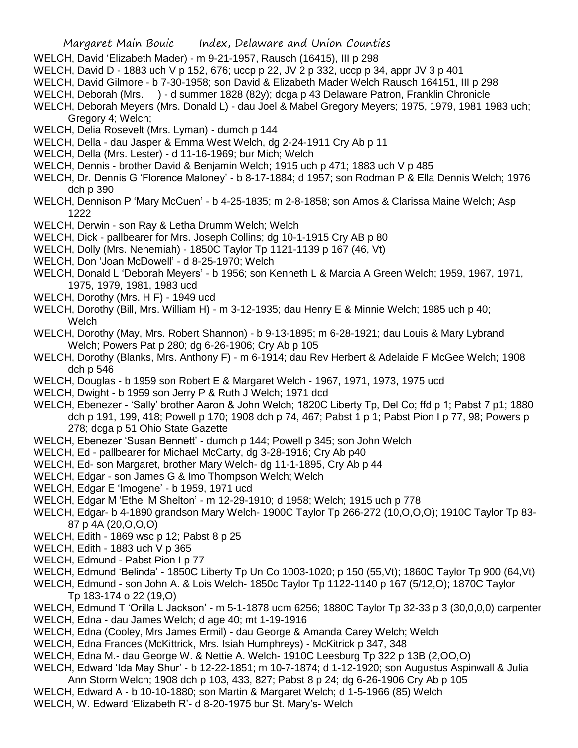- WELCH, David 'Elizabeth Mader) m 9-21-1957, Rausch (16415), III p 298
- WELCH, David D 1883 uch V p 152, 676; uccp p 22, JV 2 p 332, uccp p 34, appr JV 3 p 401
- WELCH, David Gilmore b 7-30-1958; son David & Elizabeth Mader Welch Rausch 164151, III p 298
- WELCH, Deborah (Mrs. ) d summer 1828 (82y); dcga p 43 Delaware Patron, Franklin Chronicle
- WELCH, Deborah Meyers (Mrs. Donald L) dau Joel & Mabel Gregory Meyers; 1975, 1979, 1981 1983 uch; Gregory 4; Welch;
- WELCH, Delia Rosevelt (Mrs. Lyman) dumch p 144
- WELCH, Della dau Jasper & Emma West Welch, dg 2-24-1911 Cry Ab p 11
- WELCH, Della (Mrs. Lester) d 11-16-1969; bur Mich; Welch
- WELCH, Dennis brother David & Benjamin Welch; 1915 uch p 471; 1883 uch V p 485
- WELCH, Dr. Dennis G 'Florence Maloney' b 8-17-1884; d 1957; son Rodman P & Ella Dennis Welch; 1976 dch p 390
- WELCH, Dennison P 'Mary McCuen' b 4-25-1835; m 2-8-1858; son Amos & Clarissa Maine Welch; Asp 1222
- WELCH, Derwin son Ray & Letha Drumm Welch; Welch
- WELCH, Dick pallbearer for Mrs. Joseph Collins; dg 10-1-1915 Cry AB p 80
- WELCH, Dolly (Mrs. Nehemiah) 1850C Taylor Tp 1121-1139 p 167 (46, Vt)
- WELCH, Don 'Joan McDowell' d 8-25-1970; Welch
- WELCH, Donald L 'Deborah Meyers' b 1956; son Kenneth L & Marcia A Green Welch; 1959, 1967, 1971, 1975, 1979, 1981, 1983 ucd
- WELCH, Dorothy (Mrs. H F) 1949 ucd
- WELCH, Dorothy (Bill, Mrs. William H) m 3-12-1935; dau Henry E & Minnie Welch; 1985 uch p 40; **Welch**
- WELCH, Dorothy (May, Mrs. Robert Shannon) b 9-13-1895; m 6-28-1921; dau Louis & Mary Lybrand Welch; Powers Pat p 280; dg 6-26-1906; Cry Ab p 105
- WELCH, Dorothy (Blanks, Mrs. Anthony F) m 6-1914; dau Rev Herbert & Adelaide F McGee Welch; 1908 dch p 546
- WELCH, Douglas b 1959 son Robert E & Margaret Welch 1967, 1971, 1973, 1975 ucd
- WELCH, Dwight b 1959 son Jerry P & Ruth J Welch; 1971 dcd
- WELCH, Ebenezer 'Sally' brother Aaron & John Welch; 1820C Liberty Tp, Del Co; ffd p 1; Pabst 7 p1; 1880 dch p 191, 199, 418; Powell p 170; 1908 dch p 74, 467; Pabst 1 p 1; Pabst Pion I p 77, 98; Powers p 278; dcga p 51 Ohio State Gazette
- WELCH, Ebenezer 'Susan Bennett' dumch p 144; Powell p 345; son John Welch
- WELCH, Ed pallbearer for Michael McCarty, dg 3-28-1916; Cry Ab p40
- WELCH, Ed- son Margaret, brother Mary Welch- dg 11-1-1895, Cry Ab p 44
- WELCH, Edgar son James G & Imo Thompson Welch; Welch
- WELCH, Edgar E 'Imogene' b 1959, 1971 ucd
- WELCH, Edgar M 'Ethel M Shelton' m 12-29-1910; d 1958; Welch; 1915 uch p 778
- WELCH, Edgar- b 4-1890 grandson Mary Welch- 1900C Taylor Tp 266-272 (10,O,O,O); 1910C Taylor Tp 83- 87 p 4A (20,O,O,O)
- WELCH, Edith 1869 wsc p 12; Pabst 8 p 25
- WELCH, Edith 1883 uch V p 365
- WELCH, Edmund Pabst Pion I p 77
- WELCH, Edmund 'Belinda' 1850C Liberty Tp Un Co 1003-1020; p 150 (55,Vt); 1860C Taylor Tp 900 (64,Vt)
- WELCH, Edmund son John A. & Lois Welch- 1850c Taylor Tp 1122-1140 p 167 (5/12,O); 1870C Taylor Tp 183-174 o 22 (19,O)
- WELCH, Edmund T 'Orilla L Jackson' m 5-1-1878 ucm 6256; 1880C Taylor Tp 32-33 p 3 (30,0,0,0) carpenter
- WELCH, Edna dau James Welch; d age 40; mt 1-19-1916
- WELCH, Edna (Cooley, Mrs James Ermil) dau George & Amanda Carey Welch; Welch
- WELCH, Edna Frances (McKittrick, Mrs. Isiah Humphreys) McKitrick p 347, 348
- WELCH, Edna M.- dau George W. & Nettie A. Welch- 1910C Leesburg Tp 322 p 13B (2,OO,O)
- WELCH, Edward 'Ida May Shur' b 12-22-1851; m 10-7-1874; d 1-12-1920; son Augustus Aspinwall & Julia
- Ann Storm Welch; 1908 dch p 103, 433, 827; Pabst 8 p 24; dg 6-26-1906 Cry Ab p 105
- WELCH, Edward A b 10-10-1880; son Martin & Margaret Welch; d 1-5-1966 (85) Welch
- WELCH, W. Edward 'Elizabeth R'- d 8-20-1975 bur St. Mary's- Welch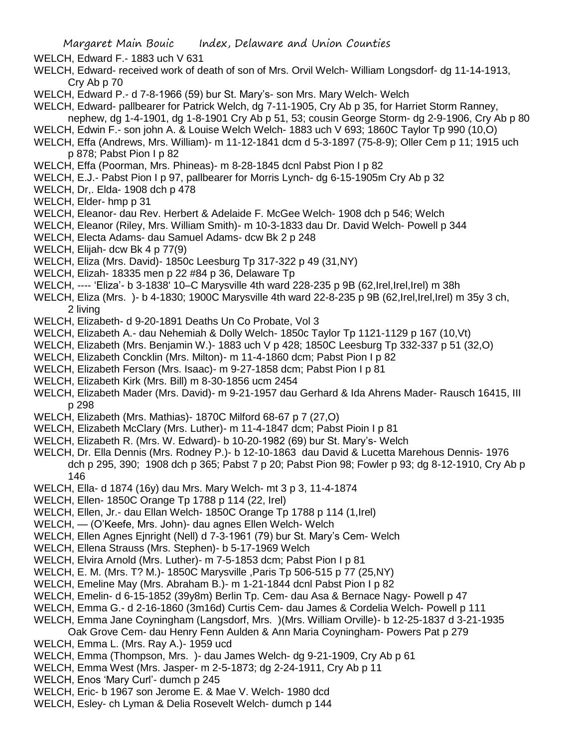WELCH, Edward F.- 1883 uch V 631

- WELCH, Edward- received work of death of son of Mrs. Orvil Welch- William Longsdorf- dg 11-14-1913, Cry Ab p 70
- WELCH, Edward P.- d 7-8-1966 (59) bur St. Mary's- son Mrs. Mary Welch- Welch
- WELCH, Edward- pallbearer for Patrick Welch, dg 7-11-1905, Cry Ab p 35, for Harriet Storm Ranney,
- nephew, dg 1-4-1901, dg 1-8-1901 Cry Ab p 51, 53; cousin George Storm- dg 2-9-1906, Cry Ab p 80
- WELCH, Edwin F.- son john A. & Louise Welch Welch- 1883 uch V 693; 1860C Taylor Tp 990 (10,O)
- WELCH, Effa (Andrews, Mrs. William)- m 11-12-1841 dcm d 5-3-1897 (75-8-9); Oller Cem p 11; 1915 uch p 878; Pabst Pion I p 82
- WELCH, Effa (Poorman, Mrs. Phineas)- m 8-28-1845 dcnl Pabst Pion I p 82
- WELCH, E.J.- Pabst Pion I p 97, pallbearer for Morris Lynch- dg 6-15-1905m Cry Ab p 32
- WELCH, Dr,. Elda- 1908 dch p 478
- WELCH, Elder- hmp p 31
- WELCH, Eleanor- dau Rev. Herbert & Adelaide F. McGee Welch- 1908 dch p 546; Welch
- WELCH, Eleanor (Riley, Mrs. William Smith)- m 10-3-1833 dau Dr. David Welch- Powell p 344
- WELCH, Electa Adams- dau Samuel Adams- dcw Bk 2 p 248
- WELCH, Elijah- dcw Bk 4 p 77(9)
- WELCH, Eliza (Mrs. David)- 1850c Leesburg Tp 317-322 p 49 (31,NY)
- WELCH, Elizah- 18335 men p 22 #84 p 36, Delaware Tp
- WELCH, ---- 'Eliza'- b 3-1838' 10–C Marysville 4th ward 228-235 p 9B (62,Irel,Irel,Irel) m 38h
- WELCH, Eliza (Mrs. )- b 4-1830; 1900C Marysville 4th ward 22-8-235 p 9B (62,Irel,Irel,Irel) m 35y 3 ch, 2 living
- WELCH, Elizabeth- d 9-20-1891 Deaths Un Co Probate, Vol 3
- WELCH, Elizabeth A.- dau Nehemiah & Dolly Welch- 1850c Taylor Tp 1121-1129 p 167 (10,Vt)
- WELCH, Elizabeth (Mrs. Benjamin W.)- 1883 uch V p 428; 1850C Leesburg Tp 332-337 p 51 (32,O)
- WELCH, Elizabeth Concklin (Mrs. Milton)- m 11-4-1860 dcm; Pabst Pion I p 82
- WELCH, Elizabeth Ferson (Mrs. Isaac)- m 9-27-1858 dcm; Pabst Pion I p 81
- WELCH, Elizabeth Kirk (Mrs. Bill) m 8-30-1856 ucm 2454
- WELCH, Elizabeth Mader (Mrs. David)- m 9-21-1957 dau Gerhard & Ida Ahrens Mader- Rausch 16415, III p 298
- WELCH, Elizabeth (Mrs. Mathias)- 1870C Milford 68-67 p 7 (27,O)
- WELCH, Elizabeth McClary (Mrs. Luther)- m 11-4-1847 dcm; Pabst Pioin I p 81
- WELCH, Elizabeth R. (Mrs. W. Edward)- b 10-20-1982 (69) bur St. Mary's- Welch
- WELCH, Dr. Ella Dennis (Mrs. Rodney P.)- b 12-10-1863 dau David & Lucetta Marehous Dennis- 1976 dch p 295, 390; 1908 dch p 365; Pabst 7 p 20; Pabst Pion 98; Fowler p 93; dg 8-12-1910, Cry Ab p 146
- WELCH, Ella- d 1874 (16y) dau Mrs. Mary Welch- mt 3 p 3, 11-4-1874
- WELCH, Ellen- 1850C Orange Tp 1788 p 114 (22, Irel)
- WELCH, Ellen, Jr.- dau Ellan Welch- 1850C Orange Tp 1788 p 114 (1,Irel)
- WELCH, (O'Keefe, Mrs. John)- dau agnes Ellen Welch- Welch
- WELCH, Ellen Agnes Ejnright (Nell) d 7-3-1961 (79) bur St. Mary's Cem- Welch
- WELCH, Ellena Strauss (Mrs. Stephen)- b 5-17-1969 Welch
- WELCH, Elvira Arnold (Mrs. Luther)- m 7-5-1853 dcm; Pabst Pion I p 81
- WELCH, E. M. (Mrs. T? M.)- 1850C Marysville ,Paris Tp 506-515 p 77 (25,NY)
- WELCH, Emeline May (Mrs. Abraham B.)- m 1-21-1844 dcnl Pabst Pion I p 82
- WELCH, Emelin- d 6-15-1852 (39y8m) Berlin Tp. Cem- dau Asa & Bernace Nagy- Powell p 47
- WELCH, Emma G.- d 2-16-1860 (3m16d) Curtis Cem- dau James & Cordelia Welch- Powell p 111
- WELCH, Emma Jane Coyningham (Langsdorf, Mrs. )(Mrs. William Orville)- b 12-25-1837 d 3-21-1935
	- Oak Grove Cem- dau Henry Fenn Aulden & Ann Maria Coyningham- Powers Pat p 279
- WELCH, Emma L. (Mrs. Ray A.)- 1959 ucd
- WELCH, Emma (Thompson, Mrs. )- dau James Welch- dg 9-21-1909, Cry Ab p 61
- WELCH, Emma West (Mrs. Jasper- m 2-5-1873; dg 2-24-1911, Cry Ab p 11
- WELCH, Enos 'Mary Curl'- dumch p 245
- WELCH, Eric- b 1967 son Jerome E. & Mae V. Welch- 1980 dcd
- WELCH, Esley- ch Lyman & Delia Rosevelt Welch- dumch p 144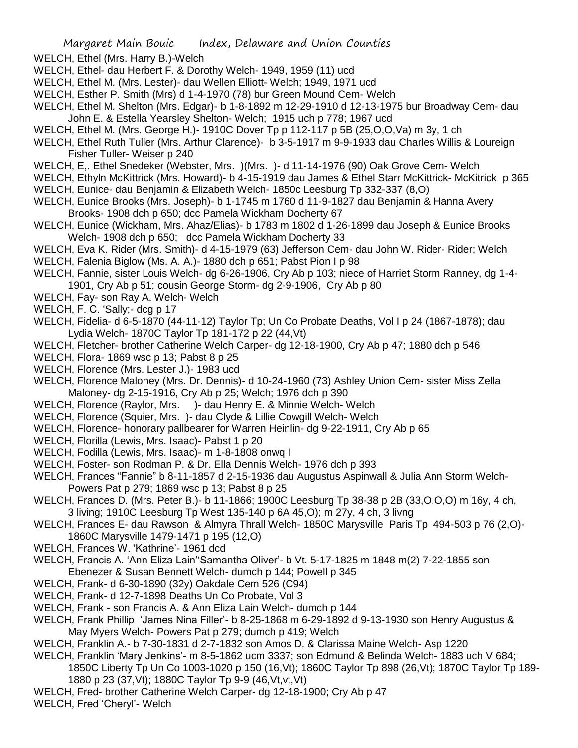WELCH, Ethel (Mrs. Harry B.)-Welch

- WELCH, Ethel- dau Herbert F. & Dorothy Welch- 1949, 1959 (11) ucd
- WELCH, Ethel M. (Mrs. Lester)- dau Wellen Elliott- Welch; 1949, 1971 ucd
- WELCH, Esther P. Smith (Mrs) d 1-4-1970 (78) bur Green Mound Cem- Welch
- WELCH, Ethel M. Shelton (Mrs. Edgar)- b 1-8-1892 m 12-29-1910 d 12-13-1975 bur Broadway Cem- dau John E. & Estella Yearsley Shelton- Welch; 1915 uch p 778; 1967 ucd
- WELCH, Ethel M. (Mrs. George H.)- 1910C Dover Tp p 112-117 p 5B (25,O,O,Va) m 3y, 1 ch
- WELCH, Ethel Ruth Tuller (Mrs. Arthur Clarence)- b 3-5-1917 m 9-9-1933 dau Charles Willis & Loureign Fisher Tuller- Weiser p 240
- WELCH, E,. Ethel Snedeker (Webster, Mrs. )(Mrs. )- d 11-14-1976 (90) Oak Grove Cem- Welch
- WELCH, Ethyln McKittrick (Mrs. Howard)- b 4-15-1919 dau James & Ethel Starr McKittrick- McKitrick p 365 WELCH, Eunice- dau Benjamin & Elizabeth Welch- 1850c Leesburg Tp 332-337 (8,O)
- WELCH, Eunice Brooks (Mrs. Joseph)- b 1-1745 m 1760 d 11-9-1827 dau Benjamin & Hanna Avery Brooks- 1908 dch p 650; dcc Pamela Wickham Docherty 67
- WELCH, Eunice (Wickham, Mrs. Ahaz/Elias)- b 1783 m 1802 d 1-26-1899 dau Joseph & Eunice Brooks Welch- 1908 dch p 650; dcc Pamela Wickham Docherty 33
- WELCH, Eva K. Rider (Mrs. Smith)- d 4-15-1979 (63) Jefferson Cem- dau John W. Rider- Rider; Welch WELCH, Falenia Biglow (Ms. A. A.)- 1880 dch p 651; Pabst Pion I p 98
- WELCH, Fannie, sister Louis Welch- dg 6-26-1906, Cry Ab p 103; niece of Harriet Storm Ranney, dg 1-4- 1901, Cry Ab p 51; cousin George Storm- dg 2-9-1906, Cry Ab p 80
- WELCH, Fay- son Ray A. Welch- Welch
- WELCH, F. C. 'Sally;- dcg p 17
- WELCH, Fidelia- d 6-5-1870 (44-11-12) Taylor Tp; Un Co Probate Deaths, Vol I p 24 (1867-1878); dau Lydia Welch- 1870C Taylor Tp 181-172 p 22 (44,Vt)
- WELCH, Fletcher- brother Catherine Welch Carper- dg 12-18-1900, Cry Ab p 47; 1880 dch p 546
- WELCH, Flora- 1869 wsc p 13; Pabst 8 p 25
- WELCH, Florence (Mrs. Lester J.)- 1983 ucd
- WELCH, Florence Maloney (Mrs. Dr. Dennis)- d 10-24-1960 (73) Ashley Union Cem- sister Miss Zella Maloney- dg 2-15-1916, Cry Ab p 25; Welch; 1976 dch p 390
- WELCH, Florence (Raylor, Mrs. )- dau Henry E. & Minnie Welch- Welch
- WELCH, Florence (Squier, Mrs. )- dau Clyde & Lillie Cowgill Welch- Welch
- WELCH, Florence- honorary pallbearer for Warren Heinlin- dg 9-22-1911, Cry Ab p 65
- WELCH, Florilla (Lewis, Mrs. Isaac)- Pabst 1 p 20
- WELCH, Fodilla (Lewis, Mrs. Isaac)- m 1-8-1808 onwq I
- WELCH, Foster- son Rodman P. & Dr. Ella Dennis Welch- 1976 dch p 393
- WELCH, Frances "Fannie" b 8-11-1857 d 2-15-1936 dau Augustus Aspinwall & Julia Ann Storm Welch-Powers Pat p 279; 1869 wsc p 13; Pabst 8 p 25
- WELCH, Frances D. (Mrs. Peter B.)- b 11-1866; 1900C Leesburg Tp 38-38 p 2B (33,O,O,O) m 16y, 4 ch, 3 living; 1910C Leesburg Tp West 135-140 p 6A 45,O); m 27y, 4 ch, 3 livng
- WELCH, Frances E- dau Rawson & Almyra Thrall Welch- 1850C Marysville Paris Tp 494-503 p 76 (2,O)- 1860C Marysville 1479-1471 p 195 (12,O)
- WELCH, Frances W. 'Kathrine'- 1961 dcd
- WELCH, Francis A. 'Ann Eliza Lain''Samantha Oliver'- b Vt. 5-17-1825 m 1848 m(2) 7-22-1855 son Ebenezer & Susan Bennett Welch- dumch p 144; Powell p 345
- WELCH, Frank- d 6-30-1890 (32y) Oakdale Cem 526 (C94)
- WELCH, Frank- d 12-7-1898 Deaths Un Co Probate, Vol 3
- WELCH, Frank son Francis A. & Ann Eliza Lain Welch- dumch p 144
- WELCH, Frank Phillip 'James Nina Filler'- b 8-25-1868 m 6-29-1892 d 9-13-1930 son Henry Augustus & May Myers Welch- Powers Pat p 279; dumch p 419; Welch
- WELCH, Franklin A.- b 7-30-1831 d 2-7-1832 son Amos D. & Clarissa Maine Welch- Asp 1220
- WELCH, Franklin 'Mary Jenkins'- m 8-5-1862 ucm 3337; son Edmund & Belinda Welch- 1883 uch V 684; 1850C Liberty Tp Un Co 1003-1020 p 150 (16,Vt); 1860C Taylor Tp 898 (26,Vt); 1870C Taylor Tp 189- 1880 p 23 (37,Vt); 1880C Taylor Tp 9-9 (46,Vt,vt,Vt)
- WELCH, Fred- brother Catherine Welch Carper- dg 12-18-1900; Cry Ab p 47
- WELCH, Fred 'Cheryl'- Welch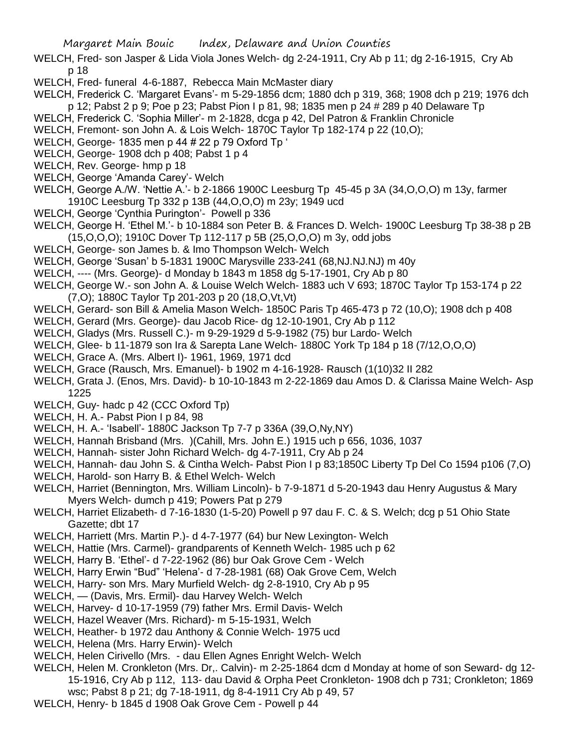- WELCH, Fred- son Jasper & Lida Viola Jones Welch- dg 2-24-1911, Cry Ab p 11; dg 2-16-1915, Cry Ab p 18
- WELCH, Fred- funeral 4-6-1887, Rebecca Main McMaster diary
- WELCH, Frederick C. 'Margaret Evans'- m 5-29-1856 dcm; 1880 dch p 319, 368; 1908 dch p 219; 1976 dch p 12; Pabst 2 p 9; Poe p 23; Pabst Pion I p 81, 98; 1835 men p 24 # 289 p 40 Delaware Tp
- WELCH, Frederick C. 'Sophia Miller'- m 2-1828, dcga p 42, Del Patron & Franklin Chronicle
- WELCH, Fremont- son John A. & Lois Welch- 1870C Taylor Tp 182-174 p 22 (10,O);
- WELCH, George- 1835 men p 44 # 22 p 79 Oxford Tp '
- WELCH, George- 1908 dch p 408; Pabst 1 p 4
- WELCH, Rev. George- hmp p 18
- WELCH, George 'Amanda Carey'- Welch
- WELCH, George A./W. 'Nettie A.'- b 2-1866 1900C Leesburg Tp 45-45 p 3A (34,O,O,O) m 13y, farmer 1910C Leesburg Tp 332 p 13B (44,O,O,O) m 23y; 1949 ucd
- WELCH, George 'Cynthia Purington'- Powell p 336
- WELCH, George H. 'Ethel M.'- b 10-1884 son Peter B. & Frances D. Welch- 1900C Leesburg Tp 38-38 p 2B (15,O,O,O); 1910C Dover Tp 112-117 p 5B (25,O,O,O) m 3y, odd jobs
- WELCH, George- son James b. & Imo Thompson Welch- Welch
- WELCH, George 'Susan' b 5-1831 1900C Marysville 233-241 (68,NJ.NJ.NJ) m 40y
- WELCH, ---- (Mrs. George)- d Monday b 1843 m 1858 dg 5-17-1901, Cry Ab p 80
- WELCH, George W.- son John A. & Louise Welch Welch- 1883 uch V 693; 1870C Taylor Tp 153-174 p 22 (7,O); 1880C Taylor Tp 201-203 p 20 (18,O,Vt,Vt)
- WELCH, Gerard- son Bill & Amelia Mason Welch- 1850C Paris Tp 465-473 p 72 (10,O); 1908 dch p 408
- WELCH, Gerard (Mrs. George)- dau Jacob Rice- dg 12-10-1901, Cry Ab p 112
- WELCH, Gladys (Mrs. Russell C.)- m 9-29-1929 d 5-9-1982 (75) bur Lardo- Welch
- WELCH, Glee- b 11-1879 son Ira & Sarepta Lane Welch- 1880C York Tp 184 p 18 (7/12,O,O,O)
- WELCH, Grace A. (Mrs. Albert I)- 1961, 1969, 1971 dcd
- WELCH, Grace (Rausch, Mrs. Emanuel)- b 1902 m 4-16-1928- Rausch (1(10)32 II 282
- WELCH, Grata J. (Enos, Mrs. David)- b 10-10-1843 m 2-22-1869 dau Amos D. & Clarissa Maine Welch- Asp 1225
- WELCH, Guy- hadc p 42 (CCC Oxford Tp)
- WELCH, H. A.- Pabst Pion I p 84, 98
- WELCH, H. A.- 'Isabell'- 1880C Jackson Tp 7-7 p 336A (39,O,Ny,NY)
- WELCH, Hannah Brisband (Mrs. )(Cahill, Mrs. John E.) 1915 uch p 656, 1036, 1037
- WELCH, Hannah- sister John Richard Welch- dg 4-7-1911, Cry Ab p 24
- WELCH, Hannah- dau John S. & Cintha Welch- Pabst Pion I p 83;1850C Liberty Tp Del Co 1594 p106 (7,O)
- WELCH, Harold- son Harry B. & Ethel Welch- Welch
- WELCH, Harriet (Bennington, Mrs. William Lincoln)- b 7-9-1871 d 5-20-1943 dau Henry Augustus & Mary Myers Welch- dumch p 419; Powers Pat p 279
- WELCH, Harriet Elizabeth- d 7-16-1830 (1-5-20) Powell p 97 dau F. C. & S. Welch; dcg p 51 Ohio State Gazette; dbt 17
- WELCH, Harriett (Mrs. Martin P.)- d 4-7-1977 (64) bur New Lexington- Welch
- WELCH, Hattie (Mrs. Carmel)- grandparents of Kenneth Welch- 1985 uch p 62
- WELCH, Harry B. 'Ethel'- d 7-22-1962 (86) bur Oak Grove Cem Welch
- WELCH, Harry Erwin "Bud" 'Helena'- d 7-28-1981 (68) Oak Grove Cem, Welch
- WELCH, Harry- son Mrs. Mary Murfield Welch- dg 2-8-1910, Cry Ab p 95
- WELCH, (Davis, Mrs. Ermil)- dau Harvey Welch- Welch
- WELCH, Harvey- d 10-17-1959 (79) father Mrs. Ermil Davis- Welch
- WELCH, Hazel Weaver (Mrs. Richard)- m 5-15-1931, Welch
- WELCH, Heather- b 1972 dau Anthony & Connie Welch- 1975 ucd
- WELCH, Helena (Mrs. Harry Erwin)- Welch
- WELCH, Helen Cirivello (Mrs. dau Ellen Agnes Enright Welch- Welch
- WELCH, Helen M. Cronkleton (Mrs. Dr,. Calvin)- m 2-25-1864 dcm d Monday at home of son Seward- dg 12- 15-1916, Cry Ab p 112, 113- dau David & Orpha Peet Cronkleton- 1908 dch p 731; Cronkleton; 1869
	- wsc; Pabst 8 p 21; dg 7-18-1911, dg 8-4-1911 Cry Ab p 49, 57
- WELCH, Henry- b 1845 d 1908 Oak Grove Cem Powell p 44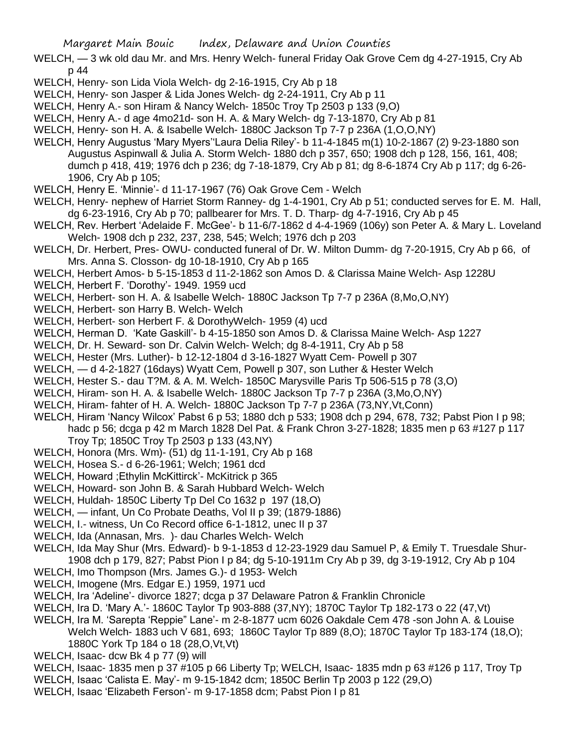- WELCH, 3 wk old dau Mr. and Mrs. Henry Welch- funeral Friday Oak Grove Cem dg 4-27-1915, Cry Ab p 44
- WELCH, Henry- son Lida Viola Welch- dg 2-16-1915, Cry Ab p 18
- WELCH, Henry- son Jasper & Lida Jones Welch- dg 2-24-1911, Cry Ab p 11
- WELCH, Henry A.- son Hiram & Nancy Welch- 1850c Troy Tp 2503 p 133 (9,O)
- WELCH, Henry A.- d age 4mo21d- son H. A. & Mary Welch- dg 7-13-1870, Cry Ab p 81
- WELCH, Henry- son H. A. & Isabelle Welch- 1880C Jackson Tp 7-7 p 236A (1,O,O,NY)
- WELCH, Henry Augustus 'Mary Myers''Laura Delia Riley'- b 11-4-1845 m(1) 10-2-1867 (2) 9-23-1880 son Augustus Aspinwall & Julia A. Storm Welch- 1880 dch p 357, 650; 1908 dch p 128, 156, 161, 408; dumch p 418, 419; 1976 dch p 236; dg 7-18-1879, Cry Ab p 81; dg 8-6-1874 Cry Ab p 117; dg 6-26- 1906, Cry Ab p 105;
- WELCH, Henry E. 'Minnie'- d 11-17-1967 (76) Oak Grove Cem Welch
- WELCH, Henry- nephew of Harriet Storm Ranney- dg 1-4-1901, Cry Ab p 51; conducted serves for E. M. Hall, dg 6-23-1916, Cry Ab p 70; pallbearer for Mrs. T. D. Tharp- dg 4-7-1916, Cry Ab p 45
- WELCH, Rev. Herbert 'Adelaide F. McGee'- b 11-6/7-1862 d 4-4-1969 (106y) son Peter A. & Mary L. Loveland Welch- 1908 dch p 232, 237, 238, 545; Welch; 1976 dch p 203
- WELCH, Dr. Herbert, Pres- OWU- conducted funeral of Dr. W. Milton Dumm- dg 7-20-1915, Cry Ab p 66, of Mrs. Anna S. Closson- dg 10-18-1910, Cry Ab p 165
- WELCH, Herbert Amos- b 5-15-1853 d 11-2-1862 son Amos D. & Clarissa Maine Welch- Asp 1228U
- WELCH, Herbert F. 'Dorothy'- 1949. 1959 ucd
- WELCH, Herbert- son H. A. & Isabelle Welch- 1880C Jackson Tp 7-7 p 236A (8,Mo,O,NY)
- WELCH, Herbert- son Harry B. Welch- Welch
- WELCH, Herbert- son Herbert F. & DorothyWelch- 1959 (4) ucd
- WELCH, Herman D. 'Kate Gaskill'- b 4-15-1850 son Amos D. & Clarissa Maine Welch- Asp 1227
- WELCH, Dr. H. Seward- son Dr. Calvin Welch- Welch; dg 8-4-1911, Cry Ab p 58
- WELCH, Hester (Mrs. Luther)- b 12-12-1804 d 3-16-1827 Wyatt Cem- Powell p 307
- WELCH, d 4-2-1827 (16days) Wyatt Cem, Powell p 307, son Luther & Hester Welch
- WELCH, Hester S.- dau T?M. & A. M. Welch- 1850C Marysville Paris Tp 506-515 p 78 (3,O)
- WELCH, Hiram- son H. A. & Isabelle Welch- 1880C Jackson Tp 7-7 p 236A (3,Mo,O,NY)
- WELCH, Hiram- fahter of H. A. Welch- 1880C Jackson Tp 7-7 p 236A (73,NY,Vt,Conn)
- WELCH, Hiram 'Nancy Wilcox' Pabst 6 p 53; 1880 dch p 533; 1908 dch p 294, 678, 732; Pabst Pion I p 98; hadc p 56; dcga p 42 m March 1828 Del Pat. & Frank Chron 3-27-1828; 1835 men p 63 #127 p 117 Troy Tp; 1850C Troy Tp 2503 p 133 (43,NY)
- WELCH, Honora (Mrs. Wm)- (51) dg 11-1-191, Cry Ab p 168
- WELCH, Hosea S.- d 6-26-1961; Welch; 1961 dcd
- WELCH, Howard ;Ethylin McKittirck'- McKitrick p 365
- WELCH, Howard- son John B. & Sarah Hubbard Welch- Welch
- WELCH, Huldah- 1850C Liberty Tp Del Co 1632 p 197 (18,O)
- WELCH, infant, Un Co Probate Deaths, Vol II p 39; (1879-1886)
- WELCH, I.- witness, Un Co Record office 6-1-1812, unec II p 37
- WELCH, Ida (Annasan, Mrs. )- dau Charles Welch- Welch
- WELCH, Ida May Shur (Mrs. Edward)- b 9-1-1853 d 12-23-1929 dau Samuel P, & Emily T. Truesdale Shur-1908 dch p 179, 827; Pabst Pion I p 84; dg 5-10-1911m Cry Ab p 39, dg 3-19-1912, Cry Ab p 104
- WELCH, Imo Thompson (Mrs. James G.)- d 1953- Welch
- WELCH, Imogene (Mrs. Edgar E.) 1959, 1971 ucd
- WELCH, Ira 'Adeline'- divorce 1827; dcga p 37 Delaware Patron & Franklin Chronicle
- WELCH, Ira D. 'Mary A.'- 1860C Taylor Tp 903-888 (37,NY); 1870C Taylor Tp 182-173 o 22 (47,Vt)
- WELCH, Ira M. 'Sarepta 'Reppie" Lane'- m 2-8-1877 ucm 6026 Oakdale Cem 478 -son John A. & Louise
	- Welch Welch- 1883 uch V 681, 693; 1860C Taylor Tp 889 (8,O); 1870C Taylor Tp 183-174 (18,O); 1880C York Tp 184 o 18 (28,O,Vt,Vt)
- WELCH, Isaac- dcw Bk 4 p 77 (9) will
- WELCH, Isaac- 1835 men p 37 #105 p 66 Liberty Tp; WELCH, Isaac- 1835 mdn p 63 #126 p 117, Troy Tp
- WELCH, Isaac 'Calista E. May'- m 9-15-1842 dcm; 1850C Berlin Tp 2003 p 122 (29,O)
- WELCH, Isaac 'Elizabeth Ferson'- m 9-17-1858 dcm; Pabst Pion I p 81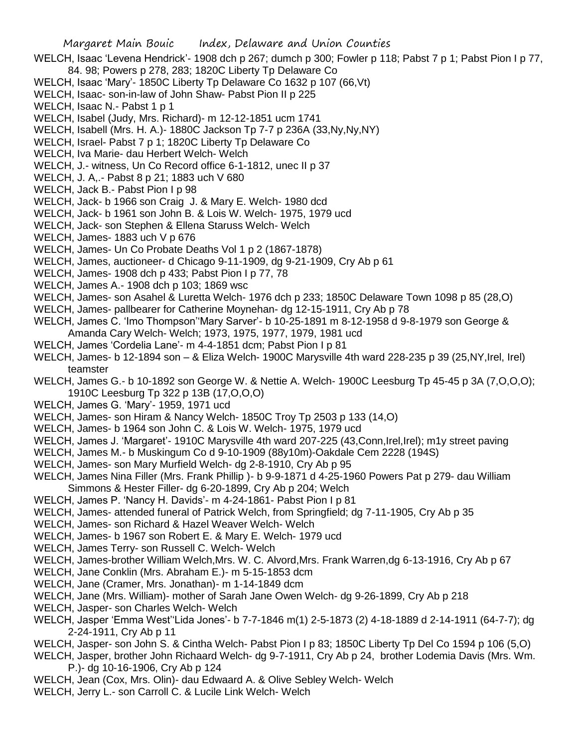- WELCH, Isaac 'Levena Hendrick'- 1908 dch p 267; dumch p 300; Fowler p 118; Pabst 7 p 1; Pabst Pion I p 77, 84. 98; Powers p 278, 283; 1820C Liberty Tp Delaware Co
- WELCH, Isaac 'Mary'- 1850C Liberty Tp Delaware Co 1632 p 107 (66,Vt)
- WELCH, Isaac- son-in-law of John Shaw- Pabst Pion II p 225
- WELCH, Isaac N.- Pabst 1 p 1
- WELCH, Isabel (Judy, Mrs. Richard)- m 12-12-1851 ucm 1741
- WELCH, Isabell (Mrs. H. A.)- 1880C Jackson Tp 7-7 p 236A (33,Ny,Ny,NY)
- WELCH, Israel- Pabst 7 p 1; 1820C Liberty Tp Delaware Co
- WELCH, Iva Marie- dau Herbert Welch- Welch
- WELCH, J.- witness, Un Co Record office 6-1-1812, unec II p 37
- WELCH, J. A,.- Pabst 8 p 21; 1883 uch V 680
- WELCH, Jack B.- Pabst Pion I p 98
- WELCH, Jack- b 1966 son Craig J. & Mary E. Welch- 1980 dcd
- WELCH, Jack- b 1961 son John B. & Lois W. Welch- 1975, 1979 ucd
- WELCH, Jack- son Stephen & Ellena Staruss Welch- Welch
- WELCH, James- 1883 uch V p 676
- WELCH, James- Un Co Probate Deaths Vol 1 p 2 (1867-1878)
- WELCH, James, auctioneer- d Chicago 9-11-1909, dg 9-21-1909, Cry Ab p 61
- WELCH, James- 1908 dch p 433; Pabst Pion I p 77, 78
- WELCH, James A.- 1908 dch p 103; 1869 wsc
- WELCH, James- son Asahel & Luretta Welch- 1976 dch p 233; 1850C Delaware Town 1098 p 85 (28,O)
- WELCH, James- pallbearer for Catherine Moynehan- dg 12-15-1911, Cry Ab p 78
- WELCH, James C. 'Imo Thompson''Mary Sarver'- b 10-25-1891 m 8-12-1958 d 9-8-1979 son George & Amanda Cary Welch- Welch; 1973, 1975, 1977, 1979, 1981 ucd
- WELCH, James 'Cordelia Lane'- m 4-4-1851 dcm; Pabst Pion I p 81
- WELCH, James- b 12-1894 son & Eliza Welch- 1900C Marysville 4th ward 228-235 p 39 (25,NY,Irel, Irel) teamster
- WELCH, James G.- b 10-1892 son George W. & Nettie A. Welch- 1900C Leesburg Tp 45-45 p 3A (7,O,O,O); 1910C Leesburg Tp 322 p 13B (17,O,O,O)
- WELCH, James G. 'Mary'- 1959, 1971 ucd
- WELCH, James- son Hiram & Nancy Welch- 1850C Troy Tp 2503 p 133 (14,O)
- WELCH, James- b 1964 son John C. & Lois W. Welch- 1975, 1979 ucd
- WELCH, James J. 'Margaret'- 1910C Marysville 4th ward 207-225 (43,Conn,Irel,Irel); m1y street paving
- WELCH, James M.- b Muskingum Co d 9-10-1909 (88y10m)-Oakdale Cem 2228 (194S)
- WELCH, James- son Mary Murfield Welch- dg 2-8-1910, Cry Ab p 95
- WELCH, James Nina Filler (Mrs. Frank Phillip )- b 9-9-1871 d 4-25-1960 Powers Pat p 279- dau William Simmons & Hester Filler- dg 6-20-1899, Cry Ab p 204; Welch
- WELCH, James P. 'Nancy H. Davids'- m 4-24-1861- Pabst Pion I p 81
- WELCH, James- attended funeral of Patrick Welch, from Springfield; dg 7-11-1905, Cry Ab p 35
- WELCH, James- son Richard & Hazel Weaver Welch- Welch
- WELCH, James- b 1967 son Robert E. & Mary E. Welch- 1979 ucd
- WELCH, James Terry- son Russell C. Welch- Welch
- WELCH, James-brother William Welch,Mrs. W. C. Alvord,Mrs. Frank Warren,dg 6-13-1916, Cry Ab p 67
- WELCH, Jane Conklin (Mrs. Abraham E.)- m 5-15-1853 dcm
- WELCH, Jane (Cramer, Mrs. Jonathan)- m 1-14-1849 dcm
- WELCH, Jane (Mrs. William)- mother of Sarah Jane Owen Welch- dg 9-26-1899, Cry Ab p 218
- WELCH, Jasper- son Charles Welch- Welch
- WELCH, Jasper 'Emma West''Lida Jones'- b 7-7-1846 m(1) 2-5-1873 (2) 4-18-1889 d 2-14-1911 (64-7-7); dg 2-24-1911, Cry Ab p 11
- WELCH, Jasper- son John S. & Cintha Welch- Pabst Pion I p 83; 1850C Liberty Tp Del Co 1594 p 106 (5,O)
- WELCH, Jasper, brother John Richaard Welch- dg 9-7-1911, Cry Ab p 24, brother Lodemia Davis (Mrs. Wm. P.)- dg 10-16-1906, Cry Ab p 124
- WELCH, Jean (Cox, Mrs. Olin)- dau Edwaard A. & Olive Sebley Welch- Welch
- WELCH, Jerry L.- son Carroll C. & Lucile Link Welch- Welch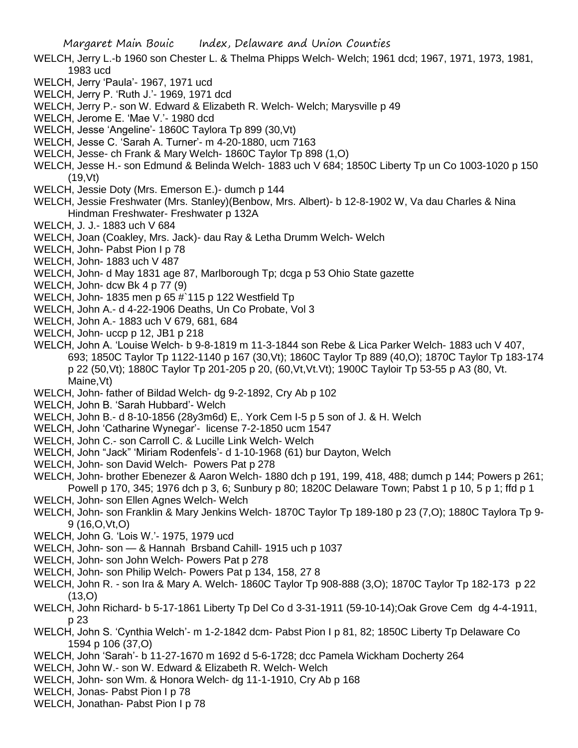- WELCH, Jerry L.-b 1960 son Chester L. & Thelma Phipps Welch- Welch; 1961 dcd; 1967, 1971, 1973, 1981, 1983 ucd
- WELCH, Jerry 'Paula'- 1967, 1971 ucd
- WELCH, Jerry P. 'Ruth J.'- 1969, 1971 dcd
- WELCH, Jerry P.- son W. Edward & Elizabeth R. Welch- Welch; Marysville p 49
- WELCH, Jerome E. 'Mae V.'- 1980 dcd
- WELCH, Jesse 'Angeline'- 1860C Taylora Tp 899 (30,Vt)
- WELCH, Jesse C. 'Sarah A. Turner'- m 4-20-1880, ucm 7163
- WELCH, Jesse- ch Frank & Mary Welch- 1860C Taylor Tp 898 (1,O)
- WELCH, Jesse H.- son Edmund & Belinda Welch- 1883 uch V 684; 1850C Liberty Tp un Co 1003-1020 p 150 (19,Vt)
- WELCH, Jessie Doty (Mrs. Emerson E.)- dumch p 144
- WELCH, Jessie Freshwater (Mrs. Stanley)(Benbow, Mrs. Albert)- b 12-8-1902 W, Va dau Charles & Nina Hindman Freshwater- Freshwater p 132A
- WELCH, J. J.- 1883 uch V 684
- WELCH, Joan (Coakley, Mrs. Jack)- dau Ray & Letha Drumm Welch- Welch
- WELCH, John- Pabst Pion I p 78
- WELCH, John- 1883 uch V 487
- WELCH, John- d May 1831 age 87, Marlborough Tp; dcga p 53 Ohio State gazette
- WELCH, John- dcw Bk 4 p 77 (9)
- WELCH, John- 1835 men p 65 #`115 p 122 Westfield Tp
- WELCH, John A.- d 4-22-1906 Deaths, Un Co Probate, Vol 3
- WELCH, John A.- 1883 uch V 679, 681, 684
- WELCH, John- uccp p 12, JB1 p 218
- WELCH, John A. 'Louise Welch- b 9-8-1819 m 11-3-1844 son Rebe & Lica Parker Welch- 1883 uch V 407, 693; 1850C Taylor Tp 1122-1140 p 167 (30,Vt); 1860C Taylor Tp 889 (40,O); 1870C Taylor Tp 183-174 p 22 (50,Vt); 1880C Taylor Tp 201-205 p 20, (60,Vt,Vt.Vt); 1900C Tayloir Tp 53-55 p A3 (80, Vt. Maine, Vt)
- WELCH, John- father of Bildad Welch- dg 9-2-1892, Cry Ab p 102
- WELCH, John B. 'Sarah Hubbard'- Welch
- WELCH, John B.- d 8-10-1856 (28y3m6d) E,. York Cem I-5 p 5 son of J. & H. Welch
- WELCH, John 'Catharine Wynegar'- license 7-2-1850 ucm 1547
- WELCH, John C.- son Carroll C. & Lucille Link Welch- Welch
- WELCH, John "Jack" 'Miriam Rodenfels'- d 1-10-1968 (61) bur Dayton, Welch
- WELCH, John- son David Welch- Powers Pat p 278
- WELCH, John- brother Ebenezer & Aaron Welch- 1880 dch p 191, 199, 418, 488; dumch p 144; Powers p 261; Powell p 170, 345; 1976 dch p 3, 6; Sunbury p 80; 1820C Delaware Town; Pabst 1 p 10, 5 p 1; ffd p 1
- WELCH, John- son Ellen Agnes Welch- Welch
- WELCH, John- son Franklin & Mary Jenkins Welch- 1870C Taylor Tp 189-180 p 23 (7,O); 1880C Taylora Tp 9- 9 (16,O,Vt,O)
- WELCH, John G. 'Lois W.'- 1975, 1979 ucd
- WELCH, John- son & Hannah Brsband Cahill- 1915 uch p 1037
- WELCH, John- son John Welch- Powers Pat p 278
- WELCH, John- son Philip Welch- Powers Pat p 134, 158, 27 8
- WELCH, John R. son Ira & Mary A. Welch- 1860C Taylor Tp 908-888 (3,O); 1870C Taylor Tp 182-173 p 22 (13,O)
- WELCH, John Richard- b 5-17-1861 Liberty Tp Del Co d 3-31-1911 (59-10-14);Oak Grove Cem dg 4-4-1911, p 23
- WELCH, John S. 'Cynthia Welch'- m 1-2-1842 dcm- Pabst Pion I p 81, 82; 1850C Liberty Tp Delaware Co 1594 p 106 (37,O)
- WELCH, John 'Sarah'- b 11-27-1670 m 1692 d 5-6-1728; dcc Pamela Wickham Docherty 264
- WELCH, John W.- son W. Edward & Elizabeth R. Welch- Welch
- WELCH, John- son Wm. & Honora Welch- dg 11-1-1910, Cry Ab p 168
- WELCH, Jonas- Pabst Pion I p 78
- WELCH, Jonathan- Pabst Pion I p 78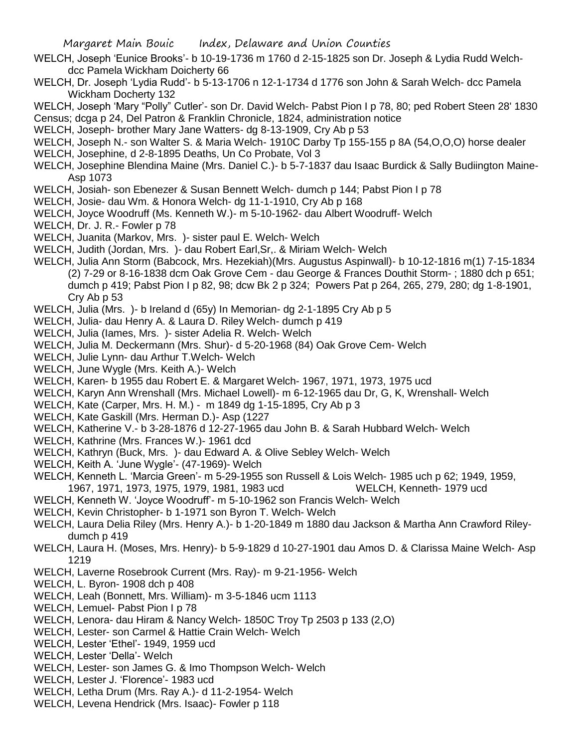- WELCH, Joseph 'Eunice Brooks'- b 10-19-1736 m 1760 d 2-15-1825 son Dr. Joseph & Lydia Rudd Welch dcc Pamela Wickham Doicherty 66
- WELCH, Dr. Joseph 'Lydia Rudd'- b 5-13-1706 n 12-1-1734 d 1776 son John & Sarah Welch- dcc Pamela Wickham Docherty 132

WELCH, Joseph 'Mary "Polly" Cutler'- son Dr. David Welch- Pabst Pion I p 78, 80; ped Robert Steen 28' 1830 Census; dcga p 24, Del Patron & Franklin Chronicle, 1824, administration notice

WELCH, Joseph- brother Mary Jane Watters- dg 8-13-1909, Cry Ab p 53

- WELCH, Joseph N.- son Walter S. & Maria Welch- 1910C Darby Tp 155-155 p 8A (54,O,O,O) horse dealer
- WELCH, Josephine, d 2-8-1895 Deaths, Un Co Probate, Vol 3
- WELCH, Josephine Blendina Maine (Mrs. Daniel C.)- b 5-7-1837 dau Isaac Burdick & Sally Budiington Maine-Asp 1073
- WELCH, Josiah- son Ebenezer & Susan Bennett Welch- dumch p 144; Pabst Pion I p 78
- WELCH, Josie- dau Wm. & Honora Welch- dg 11-1-1910, Cry Ab p 168
- WELCH, Joyce Woodruff (Ms. Kenneth W.)- m 5-10-1962- dau Albert Woodruff- Welch
- WELCH, Dr. J. R.- Fowler p 78
- WELCH, Juanita (Markov, Mrs. )- sister paul E. Welch- Welch
- WELCH, Judith (Jordan, Mrs. )- dau Robert Earl,Sr,. & Miriam Welch- Welch
- WELCH, Julia Ann Storm (Babcock, Mrs. Hezekiah)(Mrs. Augustus Aspinwall)- b 10-12-1816 m(1) 7-15-1834 (2) 7-29 or 8-16-1838 dcm Oak Grove Cem - dau George & Frances Douthit Storm- ; 1880 dch p 651; dumch p 419; Pabst Pion I p 82, 98; dcw Bk 2 p 324; Powers Pat p 264, 265, 279, 280; dg 1-8-1901, Cry Ab p 53
- WELCH, Julia (Mrs. )- b Ireland d (65y) In Memorian- dg 2-1-1895 Cry Ab p 5
- WELCH, Julia- dau Henry A. & Laura D. Riley Welch- dumch p 419
- WELCH, Julia (Iames, Mrs. )- sister Adelia R. Welch- Welch
- WELCH, Julia M. Deckermann (Mrs. Shur)- d 5-20-1968 (84) Oak Grove Cem- Welch
- WELCH, Julie Lynn- dau Arthur T.Welch- Welch
- WELCH, June Wygle (Mrs. Keith A.)- Welch
- WELCH, Karen- b 1955 dau Robert E. & Margaret Welch- 1967, 1971, 1973, 1975 ucd
- WELCH, Karyn Ann Wrenshall (Mrs. Michael Lowell)- m 6-12-1965 dau Dr, G, K, Wrenshall- Welch
- WELCH, Kate (Carper, Mrs. H. M.) m 1849 dg 1-15-1895, Cry Ab p 3
- WELCH, Kate Gaskill (Mrs. Herman D.)- Asp (1227
- WELCH, Katherine V.- b 3-28-1876 d 12-27-1965 dau John B. & Sarah Hubbard Welch- Welch
- WELCH, Kathrine (Mrs. Frances W.)- 1961 dcd
- WELCH, Kathryn (Buck, Mrs. )- dau Edward A. & Olive Sebley Welch- Welch
- WELCH, Keith A. 'June Wygle'- (47-1969)- Welch
- WELCH, Kenneth L. 'Marcia Green'- m 5-29-1955 son Russell & Lois Welch- 1985 uch p 62; 1949, 1959, 1967, 1971, 1973, 1975, 1979, 1981, 1983 ucd WELCH, Kenneth- 1979 ucd
- WELCH, Kenneth W. 'Joyce Woodruff'- m 5-10-1962 son Francis Welch- Welch
- WELCH, Kevin Christopher- b 1-1971 son Byron T. Welch- Welch
- WELCH, Laura Delia Riley (Mrs. Henry A.)- b 1-20-1849 m 1880 dau Jackson & Martha Ann Crawford Rileydumch p 419
- WELCH, Laura H. (Moses, Mrs. Henry)- b 5-9-1829 d 10-27-1901 dau Amos D. & Clarissa Maine Welch- Asp 1219
- WELCH, Laverne Rosebrook Current (Mrs. Ray)- m 9-21-1956- Welch
- WELCH, L. Byron- 1908 dch p 408
- WELCH, Leah (Bonnett, Mrs. William)- m 3-5-1846 ucm 1113
- WELCH, Lemuel- Pabst Pion I p 78
- WELCH, Lenora- dau Hiram & Nancy Welch- 1850C Troy Tp 2503 p 133 (2,O)
- WELCH, Lester- son Carmel & Hattie Crain Welch- Welch
- WELCH, Lester 'Ethel'- 1949, 1959 ucd
- WELCH, Lester 'Della'- Welch
- WELCH, Lester- son James G. & Imo Thompson Welch- Welch
- WELCH, Lester J. 'Florence'- 1983 ucd
- WELCH, Letha Drum (Mrs. Ray A.)- d 11-2-1954- Welch
- WELCH, Levena Hendrick (Mrs. Isaac)- Fowler p 118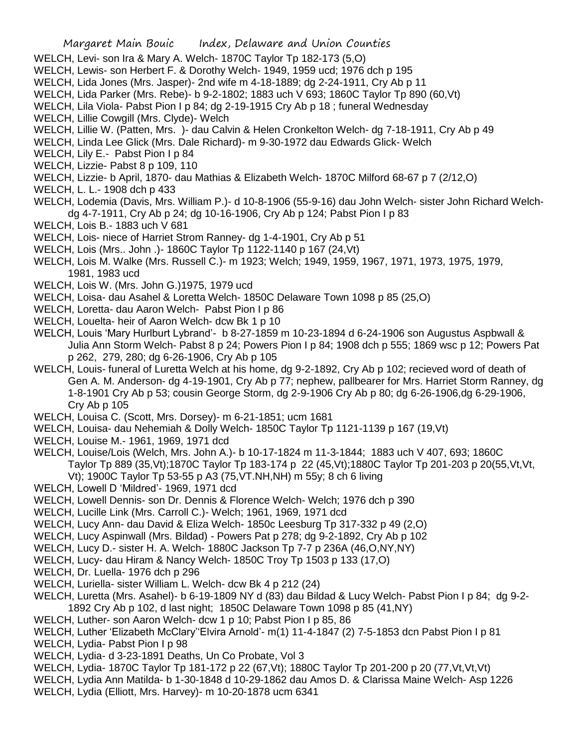- WELCH, Levi- son Ira & Mary A. Welch- 1870C Taylor Tp 182-173 (5,O)
- WELCH, Lewis- son Herbert F. & Dorothy Welch- 1949, 1959 ucd; 1976 dch p 195
- WELCH, Lida Jones (Mrs. Jasper)- 2nd wife m 4-18-1889; dg 2-24-1911, Cry Ab p 11
- WELCH, Lida Parker (Mrs. Rebe)- b 9-2-1802; 1883 uch V 693; 1860C Taylor Tp 890 (60,Vt)
- WELCH, Lila Viola- Pabst Pion I p 84; dg 2-19-1915 Cry Ab p 18 ; funeral Wednesday
- WELCH, Lillie Cowgill (Mrs. Clyde)- Welch
- WELCH, Lillie W. (Patten, Mrs. )- dau Calvin & Helen Cronkelton Welch- dg 7-18-1911, Cry Ab p 49
- WELCH, Linda Lee Glick (Mrs. Dale Richard)- m 9-30-1972 dau Edwards Glick- Welch
- WELCH, Lily E.- Pabst Pion I p 84
- WELCH, Lizzie- Pabst 8 p 109, 110
- WELCH, Lizzie- b April, 1870- dau Mathias & Elizabeth Welch- 1870C Milford 68-67 p 7 (2/12,O)
- WELCH, L. L.- 1908 dch p 433
- WELCH, Lodemia (Davis, Mrs. William P.)- d 10-8-1906 (55-9-16) dau John Welch- sister John Richard Welchdg 4-7-1911, Cry Ab p 24; dg 10-16-1906, Cry Ab p 124; Pabst Pion I p 83
- WELCH, Lois B.- 1883 uch V 681
- WELCH, Lois- niece of Harriet Strom Ranney- dg 1-4-1901, Cry Ab p 51
- WELCH, Lois (Mrs.. John .)- 1860C Taylor Tp 1122-1140 p 167 (24,Vt)
- WELCH, Lois M. Walke (Mrs. Russell C.)- m 1923; Welch; 1949, 1959, 1967, 1971, 1973, 1975, 1979, 1981, 1983 ucd
- WELCH, Lois W. (Mrs. John G.)1975, 1979 ucd
- WELCH, Loisa- dau Asahel & Loretta Welch- 1850C Delaware Town 1098 p 85 (25,O)
- WELCH, Loretta- dau Aaron Welch- Pabst Pion I p 86
- WELCH, Louelta- heir of Aaron Welch- dcw Bk 1 p 10
- WELCH, Louis 'Mary Hurlburt Lybrand'- b 8-27-1859 m 10-23-1894 d 6-24-1906 son Augustus Aspbwall & Julia Ann Storm Welch- Pabst 8 p 24; Powers Pion I p 84; 1908 dch p 555; 1869 wsc p 12; Powers Pat p 262, 279, 280; dg 6-26-1906, Cry Ab p 105
- WELCH, Louis- funeral of Luretta Welch at his home, dg 9-2-1892, Cry Ab p 102; recieved word of death of Gen A. M. Anderson- dg 4-19-1901, Cry Ab p 77; nephew, pallbearer for Mrs. Harriet Storm Ranney, dg 1-8-1901 Cry Ab p 53; cousin George Storm, dg 2-9-1906 Cry Ab p 80; dg 6-26-1906,dg 6-29-1906, Cry Ab p 105
- WELCH, Louisa C. (Scott, Mrs. Dorsey)- m 6-21-1851; ucm 1681
- WELCH, Louisa- dau Nehemiah & Dolly Welch- 1850C Taylor Tp 1121-1139 p 167 (19,Vt)
- WELCH, Louise M.- 1961, 1969, 1971 dcd
- WELCH, Louise/Lois (Welch, Mrs. John A.)- b 10-17-1824 m 11-3-1844; 1883 uch V 407, 693; 1860C Taylor Tp 889 (35,Vt);1870C Taylor Tp 183-174 p 22 (45,Vt);1880C Taylor Tp 201-203 p 20(55,Vt,Vt, Vt); 1900C Taylor Tp 53-55 p A3 (75,VT.NH,NH) m 55y; 8 ch 6 living
- WELCH, Lowell D 'Mildred'- 1969, 1971 dcd
- WELCH, Lowell Dennis- son Dr. Dennis & Florence Welch- Welch; 1976 dch p 390
- WELCH, Lucille Link (Mrs. Carroll C.)- Welch; 1961, 1969, 1971 dcd
- WELCH, Lucy Ann- dau David & Eliza Welch- 1850c Leesburg Tp 317-332 p 49 (2,O)
- WELCH, Lucy Aspinwall (Mrs. Bildad) Powers Pat p 278; dg 9-2-1892, Cry Ab p 102
- WELCH, Lucy D.- sister H. A. Welch- 1880C Jackson Tp 7-7 p 236A (46,O,NY,NY)
- WELCH, Lucy- dau Hiram & Nancy Welch- 1850C Troy Tp 1503 p 133 (17,O)
- WELCH, Dr. Luella- 1976 dch p 296
- WELCH, Luriella- sister William L. Welch- dcw Bk 4 p 212 (24)
- WELCH, Luretta (Mrs. Asahel)- b 6-19-1809 NY d (83) dau Bildad & Lucy Welch- Pabst Pion I p 84; dg 9-2- 1892 Cry Ab p 102, d last night; 1850C Delaware Town 1098 p 85 (41,NY)
- WELCH, Luther- son Aaron Welch- dcw 1 p 10; Pabst Pion I p 85, 86
- WELCH, Luther 'Elizabeth McClary''Elvira Arnold'- m(1) 11-4-1847 (2) 7-5-1853 dcn Pabst Pion I p 81
- WELCH, Lydia- Pabst Pion I p 98
- WELCH, Lydia- d 3-23-1891 Deaths, Un Co Probate, Vol 3
- WELCH, Lydia- 1870C Taylor Tp 181-172 p 22 (67,Vt); 1880C Taylor Tp 201-200 p 20 (77,Vt,Vt,Vt)
- WELCH, Lydia Ann Matilda- b 1-30-1848 d 10-29-1862 dau Amos D. & Clarissa Maine Welch- Asp 1226
- WELCH, Lydia (Elliott, Mrs. Harvey)- m 10-20-1878 ucm 6341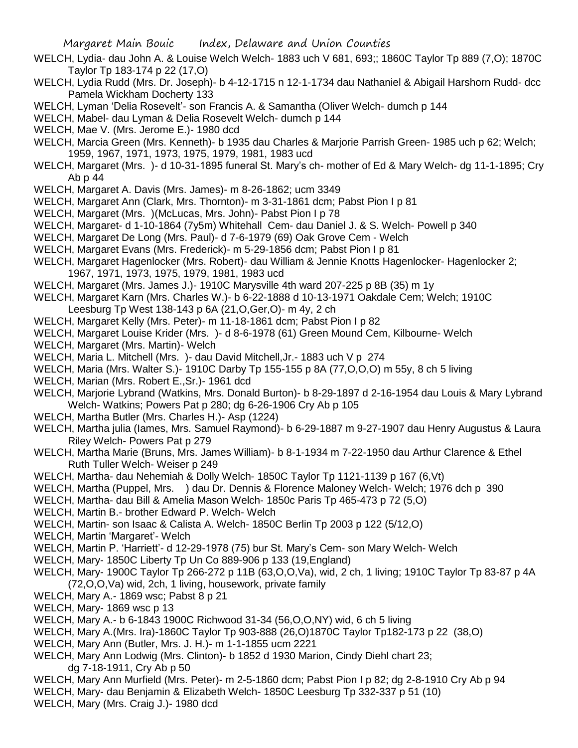- WELCH, Lydia- dau John A. & Louise Welch Welch- 1883 uch V 681, 693;; 1860C Taylor Tp 889 (7,O); 1870C Taylor Tp 183-174 p 22 (17,O)
- WELCH, Lydia Rudd (Mrs. Dr. Joseph)- b 4-12-1715 n 12-1-1734 dau Nathaniel & Abigail Harshorn Rudd- dcc Pamela Wickham Docherty 133
- WELCH, Lyman 'Delia Rosevelt'- son Francis A. & Samantha (Oliver Welch- dumch p 144
- WELCH, Mabel- dau Lyman & Delia Rosevelt Welch- dumch p 144
- WELCH, Mae V. (Mrs. Jerome E.)- 1980 dcd
- WELCH, Marcia Green (Mrs. Kenneth)- b 1935 dau Charles & Marjorie Parrish Green- 1985 uch p 62; Welch; 1959, 1967, 1971, 1973, 1975, 1979, 1981, 1983 ucd
- WELCH, Margaret (Mrs. )- d 10-31-1895 funeral St. Mary's ch- mother of Ed & Mary Welch- dg 11-1-1895; Cry Ab p 44
- WELCH, Margaret A. Davis (Mrs. James)- m 8-26-1862; ucm 3349
- WELCH, Margaret Ann (Clark, Mrs. Thornton)- m 3-31-1861 dcm; Pabst Pion I p 81
- WELCH, Margaret (Mrs. )(McLucas, Mrs. John)- Pabst Pion I p 78
- WELCH, Margaret- d 1-10-1864 (7y5m) Whitehall Cem- dau Daniel J. & S. Welch- Powell p 340
- WELCH, Margaret De Long (Mrs. Paul)- d 7-6-1979 (69) Oak Grove Cem Welch
- WELCH, Margaret Evans (Mrs. Frederick)- m 5-29-1856 dcm; Pabst Pion I p 81
- WELCH, Margaret Hagenlocker (Mrs. Robert)- dau William & Jennie Knotts Hagenlocker- Hagenlocker 2; 1967, 1971, 1973, 1975, 1979, 1981, 1983 ucd
- WELCH, Margaret (Mrs. James J.)- 1910C Marysville 4th ward 207-225 p 8B (35) m 1y
- WELCH, Margaret Karn (Mrs. Charles W.)- b 6-22-1888 d 10-13-1971 Oakdale Cem; Welch; 1910C Leesburg Tp West 138-143 p 6A (21,O,Ger,O)- m 4y, 2 ch
- WELCH, Margaret Kelly (Mrs. Peter)- m 11-18-1861 dcm; Pabst Pion I p 82
- WELCH, Margaret Louise Krider (Mrs. )- d 8-6-1978 (61) Green Mound Cem, Kilbourne- Welch
- WELCH, Margaret (Mrs. Martin)- Welch
- WELCH, Maria L. Mitchell (Mrs. )- dau David Mitchell,Jr.- 1883 uch V p 274
- WELCH, Maria (Mrs. Walter S.)- 1910C Darby Tp 155-155 p 8A (77,O,O,O) m 55y, 8 ch 5 living
- WELCH, Marian (Mrs. Robert E.,Sr.)- 1961 dcd
- WELCH, Marjorie Lybrand (Watkins, Mrs. Donald Burton)- b 8-29-1897 d 2-16-1954 dau Louis & Mary Lybrand Welch- Watkins; Powers Pat p 280; dg 6-26-1906 Cry Ab p 105
- WELCH, Martha Butler (Mrs. Charles H.)- Asp (1224)
- WELCH, Martha julia (Iames, Mrs. Samuel Raymond)- b 6-29-1887 m 9-27-1907 dau Henry Augustus & Laura Riley Welch- Powers Pat p 279
- WELCH, Martha Marie (Bruns, Mrs. James William)- b 8-1-1934 m 7-22-1950 dau Arthur Clarence & Ethel Ruth Tuller Welch- Weiser p 249
- WELCH, Martha- dau Nehemiah & Dolly Welch- 1850C Taylor Tp 1121-1139 p 167 (6,Vt)
- WELCH, Martha (Puppel, Mrs. ) dau Dr. Dennis & Florence Maloney Welch- Welch; 1976 dch p 390
- WELCH, Martha- dau Bill & Amelia Mason Welch- 1850c Paris Tp 465-473 p 72 (5,O)
- WELCH, Martin B.- brother Edward P. Welch- Welch
- WELCH, Martin- son Isaac & Calista A. Welch- 1850C Berlin Tp 2003 p 122 (5/12,O)
- WELCH, Martin 'Margaret'- Welch
- WELCH, Martin P. 'Harriett'- d 12-29-1978 (75) bur St. Mary's Cem- son Mary Welch- Welch
- WELCH, Mary- 1850C Liberty Tp Un Co 889-906 p 133 (19,England)
- WELCH, Mary- 1900C Taylor Tp 266-272 p 11B (63,O,O,Va), wid, 2 ch, 1 living; 1910C Taylor Tp 83-87 p 4A (72,O,O,Va) wid, 2ch, 1 living, housework, private family
- WELCH, Mary A.- 1869 wsc; Pabst 8 p 21
- WELCH, Mary- 1869 wsc p 13
- WELCH, Mary A.- b 6-1843 1900C Richwood 31-34 (56,O,O,NY) wid, 6 ch 5 living
- WELCH, Mary A.(Mrs. Ira)-1860C Taylor Tp 903-888 (26,O)1870C Taylor Tp182-173 p 22 (38,O)
- WELCH, Mary Ann (Butler, Mrs. J. H.)- m 1-1-1855 ucm 2221
- WELCH, Mary Ann Lodwig (Mrs. Clinton)- b 1852 d 1930 Marion, Cindy Diehl chart 23; dg 7-18-1911, Cry Ab p 50
- WELCH, Mary Ann Murfield (Mrs. Peter)- m 2-5-1860 dcm; Pabst Pion I p 82; dg 2-8-1910 Cry Ab p 94
- WELCH, Mary- dau Benjamin & Elizabeth Welch- 1850C Leesburg Tp 332-337 p 51 (10)
- WELCH, Mary (Mrs. Craig J.)- 1980 dcd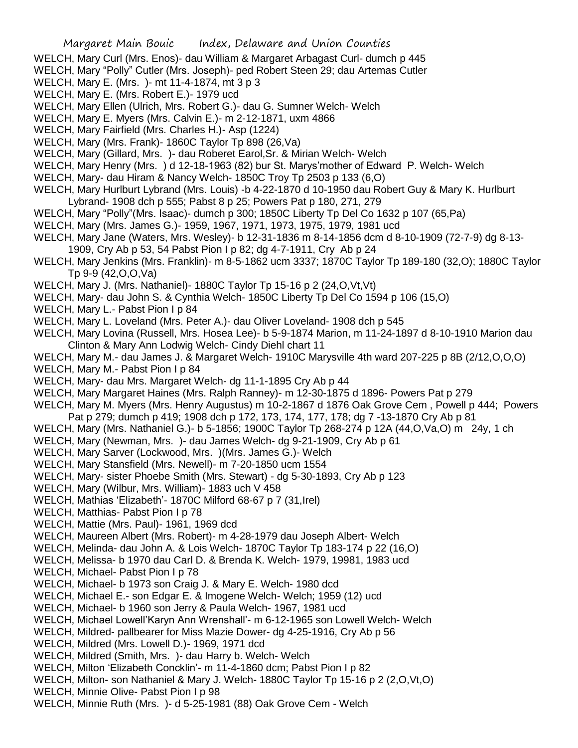- WELCH, Mary Curl (Mrs. Enos)- dau William & Margaret Arbagast Curl- dumch p 445
- WELCH, Mary "Polly" Cutler (Mrs. Joseph)- ped Robert Steen 29; dau Artemas Cutler
- WELCH, Mary E. (Mrs. )- mt 11-4-1874, mt 3 p 3
- WELCH, Mary E. (Mrs. Robert E.)- 1979 ucd
- WELCH, Mary Ellen (Ulrich, Mrs. Robert G.)- dau G. Sumner Welch- Welch
- WELCH, Mary E. Myers (Mrs. Calvin E.)- m 2-12-1871, uxm 4866
- WELCH, Mary Fairfield (Mrs. Charles H.)- Asp (1224)
- WELCH, Mary (Mrs. Frank)- 1860C Taylor Tp 898 (26,Va)
- WELCH, Mary (Gillard, Mrs. )- dau Roberet Earol,Sr. & Mirian Welch- Welch
- WELCH, Mary Henry (Mrs. ) d 12-18-1963 (82) bur St. Marys'mother of Edward P. Welch- Welch
- WELCH, Mary- dau Hiram & Nancy Welch- 1850C Troy Tp 2503 p 133 (6,O)
- WELCH, Mary Hurlburt Lybrand (Mrs. Louis) -b 4-22-1870 d 10-1950 dau Robert Guy & Mary K. Hurlburt Lybrand- 1908 dch p 555; Pabst 8 p 25; Powers Pat p 180, 271, 279
- WELCH, Mary "Polly"(Mrs. Isaac)- dumch p 300; 1850C Liberty Tp Del Co 1632 p 107 (65,Pa)
- WELCH, Mary (Mrs. James G.)- 1959, 1967, 1971, 1973, 1975, 1979, 1981 ucd
- WELCH, Mary Jane (Waters, Mrs. Wesley)- b 12-31-1836 m 8-14-1856 dcm d 8-10-1909 (72-7-9) dg 8-13- 1909, Cry Ab p 53, 54 Pabst Pion I p 82; dg 4-7-1911, Cry Ab p 24
- WELCH, Mary Jenkins (Mrs. Franklin)- m 8-5-1862 ucm 3337; 1870C Taylor Tp 189-180 (32,O); 1880C Taylor Tp 9-9 (42,O,O,Va)
- WELCH, Mary J. (Mrs. Nathaniel)- 1880C Taylor Tp 15-16 p 2 (24,O,Vt,Vt)
- WELCH, Mary- dau John S. & Cynthia Welch- 1850C Liberty Tp Del Co 1594 p 106 (15,O)
- WELCH, Mary L.- Pabst Pion I p 84
- WELCH, Mary L. Loveland (Mrs. Peter A.)- dau Oliver Loveland- 1908 dch p 545
- WELCH, Mary Lovina (Russell, Mrs. Hosea Lee)- b 5-9-1874 Marion, m 11-24-1897 d 8-10-1910 Marion dau Clinton & Mary Ann Lodwig Welch- Cindy Diehl chart 11
- WELCH, Mary M.- dau James J. & Margaret Welch- 1910C Marysville 4th ward 207-225 p 8B (2/12,O,O,O)
- WELCH, Mary M.- Pabst Pion I p 84
- WELCH, Mary- dau Mrs. Margaret Welch- dg 11-1-1895 Cry Ab p 44
- WELCH, Mary Margaret Haines (Mrs. Ralph Ranney)- m 12-30-1875 d 1896- Powers Pat p 279
- WELCH, Mary M. Myers (Mrs. Henry Augustus) m 10-2-1867 d 1876 Oak Grove Cem , Powell p 444; Powers Pat p 279; dumch p 419; 1908 dch p 172, 173, 174, 177, 178; dg 7 -13-1870 Cry Ab p 81
- WELCH, Mary (Mrs. Nathaniel G.)- b 5-1856; 1900C Taylor Tp 268-274 p 12A (44,O,Va,O) m 24y, 1 ch
- WELCH, Mary (Newman, Mrs. )- dau James Welch- dg 9-21-1909, Cry Ab p 61
- WELCH, Mary Sarver (Lockwood, Mrs. )(Mrs. James G.)- Welch
- WELCH, Mary Stansfield (Mrs. Newell)- m 7-20-1850 ucm 1554
- WELCH, Mary- sister Phoebe Smith (Mrs. Stewart) dg 5-30-1893, Cry Ab p 123
- WELCH, Mary (Wilbur, Mrs. William)- 1883 uch V 458
- WELCH, Mathias 'Elizabeth'- 1870C Milford 68-67 p 7 (31,Irel)
- WELCH, Matthias- Pabst Pion I p 78
- WELCH, Mattie (Mrs. Paul)- 1961, 1969 dcd
- WELCH, Maureen Albert (Mrs. Robert)- m 4-28-1979 dau Joseph Albert- Welch
- WELCH, Melinda- dau John A. & Lois Welch- 1870C Taylor Tp 183-174 p 22 (16,O)
- WELCH, Melissa- b 1970 dau Carl D. & Brenda K. Welch- 1979, 19981, 1983 ucd
- WELCH, Michael- Pabst Pion I p 78
- WELCH, Michael- b 1973 son Craig J. & Mary E. Welch- 1980 dcd
- WELCH, Michael E.- son Edgar E. & Imogene Welch- Welch; 1959 (12) ucd
- WELCH, Michael- b 1960 son Jerry & Paula Welch- 1967, 1981 ucd
- WELCH, Michael Lowell'Karyn Ann Wrenshall'- m 6-12-1965 son Lowell Welch- Welch
- WELCH, Mildred- pallbearer for Miss Mazie Dower- dg 4-25-1916, Cry Ab p 56
- WELCH, Mildred (Mrs. Lowell D.)- 1969, 1971 dcd
- WELCH, Mildred (Smith, Mrs. )- dau Harry b. Welch- Welch
- WELCH, Milton 'Elizabeth Concklin'- m 11-4-1860 dcm; Pabst Pion I p 82
- WELCH, Milton- son Nathaniel & Mary J. Welch- 1880C Taylor Tp 15-16 p 2 (2,O,Vt,O)
- WELCH, Minnie Olive- Pabst Pion I p 98
- WELCH, Minnie Ruth (Mrs. )- d 5-25-1981 (88) Oak Grove Cem Welch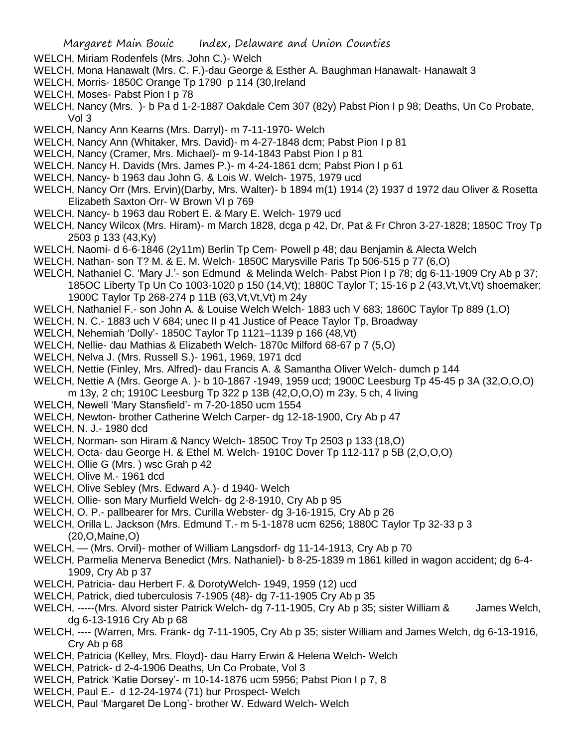- WELCH, Miriam Rodenfels (Mrs. John C.)- Welch
- WELCH, Mona Hanawalt (Mrs. C. F.)-dau George & Esther A. Baughman Hanawalt- Hanawalt 3
- WELCH, Morris- 1850C Orange Tp 1790 p 114 (30,Ireland
- WELCH, Moses- Pabst Pion I p 78
- WELCH, Nancy (Mrs. )- b Pa d 1-2-1887 Oakdale Cem 307 (82y) Pabst Pion I p 98; Deaths, Un Co Probate, Vol 3
- WELCH, Nancy Ann Kearns (Mrs. Darryl)- m 7-11-1970- Welch
- WELCH, Nancy Ann (Whitaker, Mrs. David)- m 4-27-1848 dcm: Pabst Pion I p 81
- WELCH, Nancy (Cramer, Mrs. Michael)- m 9-14-1843 Pabst Pion I p 81
- WELCH, Nancy H. Davids (Mrs. James P.)- m 4-24-1861 dcm; Pabst Pion I p 61
- WELCH, Nancy- b 1963 dau John G. & Lois W. Welch- 1975, 1979 ucd
- WELCH, Nancy Orr (Mrs. Ervin)(Darby, Mrs. Walter)- b 1894 m(1) 1914 (2) 1937 d 1972 dau Oliver & Rosetta Elizabeth Saxton Orr- W Brown VI p 769
- WELCH, Nancy- b 1963 dau Robert E. & Mary E. Welch- 1979 ucd
- WELCH, Nancy Wilcox (Mrs. Hiram)- m March 1828, dcga p 42, Dr, Pat & Fr Chron 3-27-1828; 1850C Troy Tp 2503 p 133 (43,Ky)
- WELCH, Naomi- d 6-6-1846 (2y11m) Berlin Tp Cem- Powell p 48; dau Benjamin & Alecta Welch
- WELCH, Nathan- son T? M. & E. M. Welch- 1850C Marysville Paris Tp 506-515 p 77 (6,O)
- WELCH, Nathaniel C. 'Mary J.'- son Edmund & Melinda Welch- Pabst Pion I p 78; dg 6-11-1909 Cry Ab p 37; 185OC Liberty Tp Un Co 1003-1020 p 150 (14,Vt); 1880C Taylor T; 15-16 p 2 (43,Vt,Vt,Vt) shoemaker; 1900C Taylor Tp 268-274 p 11B (63,Vt,Vt,Vt) m 24y
- WELCH, Nathaniel F.- son John A. & Louise Welch Welch- 1883 uch V 683; 1860C Taylor Tp 889 (1,O)
- WELCH, N. C.- 1883 uch V 684; unec II p 41 Justice of Peace Taylor Tp, Broadway
- WELCH, Nehemiah 'Dolly'- 1850C Taylor Tp 1121–1139 p 166 (48,Vt)
- WELCH, Nellie- dau Mathias & Elizabeth Welch- 1870c Milford 68-67 p 7 (5,O)
- WELCH, Nelva J. (Mrs. Russell S.)- 1961, 1969, 1971 dcd
- WELCH, Nettie (Finley, Mrs. Alfred)- dau Francis A. & Samantha Oliver Welch- dumch p 144
- WELCH, Nettie A (Mrs. George A. )- b 10-1867 -1949, 1959 ucd; 1900C Leesburg Tp 45-45 p 3A (32,O,O,O)
- m 13y, 2 ch; 1910C Leesburg Tp 322 p 13B (42,O,O,O) m 23y, 5 ch, 4 living
- WELCH, Newell 'Mary Stansfield'- m 7-20-1850 ucm 1554
- WELCH, Newton- brother Catherine Welch Carper- dg 12-18-1900, Cry Ab p 47
- WELCH, N. J.- 1980 dcd
- WELCH, Norman- son Hiram & Nancy Welch- 1850C Troy Tp 2503 p 133 (18,O)
- WELCH, Octa- dau George H. & Ethel M. Welch- 1910C Dover Tp 112-117 p 5B (2,O,O,O)
- WELCH, Ollie G (Mrs. ) wsc Grah p 42
- WELCH, Olive M.- 1961 dcd
- WELCH, Olive Sebley (Mrs. Edward A.)- d 1940- Welch
- WELCH, Ollie- son Mary Murfield Welch- dg 2-8-1910, Cry Ab p 95
- WELCH, O. P.- pallbearer for Mrs. Curilla Webster- dg 3-16-1915, Cry Ab p 26
- WELCH, Orilla L. Jackson (Mrs. Edmund T.- m 5-1-1878 ucm 6256; 1880C Taylor Tp 32-33 p 3 (20,O,Maine,O)
- WELCH, (Mrs. Orvil)- mother of William Langsdorf- dg 11-14-1913, Cry Ab p 70
- WELCH, Parmelia Menerva Benedict (Mrs. Nathaniel)- b 8-25-1839 m 1861 killed in wagon accident; dg 6-4- 1909, Cry Ab p 37
- WELCH, Patricia- dau Herbert F. & DorotyWelch- 1949, 1959 (12) ucd
- WELCH, Patrick, died tuberculosis 7-1905 (48)- dg 7-11-1905 Cry Ab p 35
- WELCH, -----(Mrs. Alvord sister Patrick Welch- dg 7-11-1905, Cry Ab p 35; sister William & James Welch, dg 6-13-1916 Cry Ab p 68
- WELCH, ---- (Warren, Mrs. Frank- dg 7-11-1905, Cry Ab p 35; sister William and James Welch, dg 6-13-1916, Cry Ab p 68
- WELCH, Patricia (Kelley, Mrs. Floyd)- dau Harry Erwin & Helena Welch- Welch
- WELCH, Patrick- d 2-4-1906 Deaths, Un Co Probate, Vol 3
- WELCH, Patrick 'Katie Dorsey'- m 10-14-1876 ucm 5956; Pabst Pion I p 7, 8
- WELCH, Paul E.- d 12-24-1974 (71) bur Prospect- Welch
- WELCH, Paul 'Margaret De Long'- brother W. Edward Welch- Welch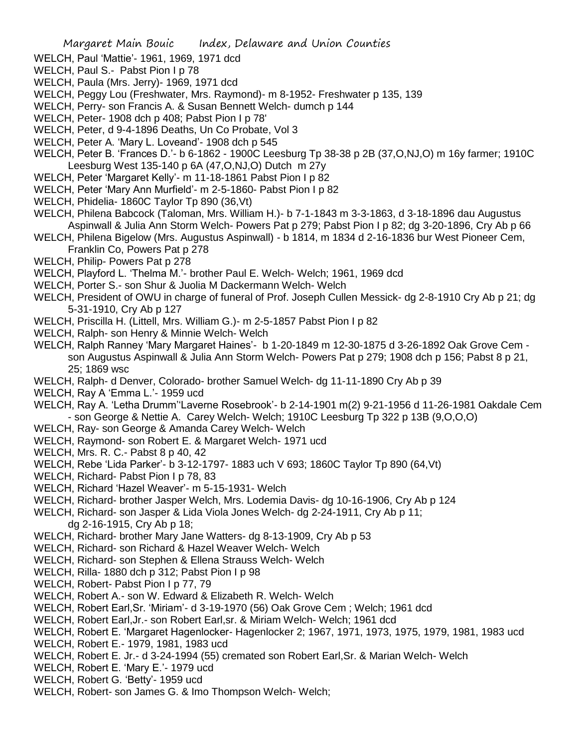- WELCH, Paul 'Mattie'- 1961, 1969, 1971 dcd
- WELCH, Paul S.- Pabst Pion I p 78
- WELCH, Paula (Mrs. Jerry)- 1969, 1971 dcd
- WELCH, Peggy Lou (Freshwater, Mrs. Raymond)- m 8-1952- Freshwater p 135, 139
- WELCH, Perry- son Francis A. & Susan Bennett Welch- dumch p 144
- WELCH, Peter- 1908 dch p 408; Pabst Pion I p 78'
- WELCH, Peter, d 9-4-1896 Deaths, Un Co Probate, Vol 3
- WELCH, Peter A. 'Mary L. Loveand'- 1908 dch p 545
- WELCH, Peter B. 'Frances D.'- b 6-1862 1900C Leesburg Tp 38-38 p 2B (37,O,NJ,O) m 16y farmer; 1910C Leesburg West 135-140 p 6A (47,O,NJ,O) Dutch m 27y
- WELCH, Peter 'Margaret Kelly'- m 11-18-1861 Pabst Pion I p 82
- WELCH, Peter 'Mary Ann Murfield'- m 2-5-1860- Pabst Pion I p 82
- WELCH, Phidelia- 1860C Taylor Tp 890 (36,Vt)
- WELCH, Philena Babcock (Taloman, Mrs. William H.)- b 7-1-1843 m 3-3-1863, d 3-18-1896 dau Augustus Aspinwall & Julia Ann Storm Welch- Powers Pat p 279; Pabst Pion I p 82; dg 3-20-1896, Cry Ab p 66
- WELCH, Philena Bigelow (Mrs. Augustus Aspinwall) b 1814, m 1834 d 2-16-1836 bur West Pioneer Cem, Franklin Co, Powers Pat p 278
- WELCH, Philip- Powers Pat p 278
- WELCH, Playford L. 'Thelma M.'- brother Paul E. Welch- Welch; 1961, 1969 dcd
- WELCH, Porter S.- son Shur & Juolia M Dackermann Welch- Welch
- WELCH, President of OWU in charge of funeral of Prof. Joseph Cullen Messick- dg 2-8-1910 Cry Ab p 21; dg 5-31-1910, Cry Ab p 127
- WELCH, Priscilla H. (Littell, Mrs. William G.)- m 2-5-1857 Pabst Pion I p 82
- WELCH, Ralph- son Henry & Minnie Welch- Welch
- WELCH, Ralph Ranney 'Mary Margaret Haines'- b 1-20-1849 m 12-30-1875 d 3-26-1892 Oak Grove Cem son Augustus Aspinwall & Julia Ann Storm Welch- Powers Pat p 279; 1908 dch p 156; Pabst 8 p 21, 25; 1869 wsc
- WELCH, Ralph- d Denver, Colorado- brother Samuel Welch- dg 11-11-1890 Cry Ab p 39
- WELCH, Ray A 'Emma L.'- 1959 ucd
- WELCH, Ray A. 'Letha Drumm''Laverne Rosebrook'- b 2-14-1901 m(2) 9-21-1956 d 11-26-1981 Oakdale Cem - son George & Nettie A. Carey Welch- Welch; 1910C Leesburg Tp 322 p 13B (9,O,O,O)
- WELCH, Ray- son George & Amanda Carey Welch- Welch
- WELCH, Raymond- son Robert E. & Margaret Welch- 1971 ucd
- WELCH, Mrs. R. C.- Pabst 8 p 40, 42
- WELCH, Rebe 'Lida Parker'- b 3-12-1797- 1883 uch V 693; 1860C Taylor Tp 890 (64,Vt)
- WELCH, Richard- Pabst Pion I p 78, 83
- WELCH, Richard 'Hazel Weaver'- m 5-15-1931- Welch
- WELCH, Richard- brother Jasper Welch, Mrs. Lodemia Davis- dg 10-16-1906, Cry Ab p 124
- WELCH, Richard- son Jasper & Lida Viola Jones Welch- dg 2-24-1911, Cry Ab p 11; dg 2-16-1915, Cry Ab p 18;
- WELCH, Richard- brother Mary Jane Watters- dg 8-13-1909, Cry Ab p 53
- WELCH, Richard- son Richard & Hazel Weaver Welch- Welch
- WELCH, Richard- son Stephen & Ellena Strauss Welch- Welch
- WELCH, Rilla- 1880 dch p 312; Pabst Pion I p 98
- WELCH, Robert- Pabst Pion I p 77, 79
- WELCH, Robert A.- son W. Edward & Elizabeth R. Welch- Welch
- WELCH, Robert Earl,Sr. 'Miriam'- d 3-19-1970 (56) Oak Grove Cem ; Welch; 1961 dcd
- WELCH, Robert Earl,Jr.- son Robert Earl,sr. & Miriam Welch- Welch; 1961 dcd
- WELCH, Robert E. 'Margaret Hagenlocker- Hagenlocker 2; 1967, 1971, 1973, 1975, 1979, 1981, 1983 ucd
- WELCH, Robert E.- 1979, 1981, 1983 ucd
- WELCH, Robert E. Jr.- d 3-24-1994 (55) cremated son Robert Earl,Sr. & Marian Welch- Welch
- WELCH, Robert E. 'Mary E.'- 1979 ucd
- WELCH, Robert G. 'Betty'- 1959 ucd
- WELCH, Robert- son James G. & Imo Thompson Welch- Welch;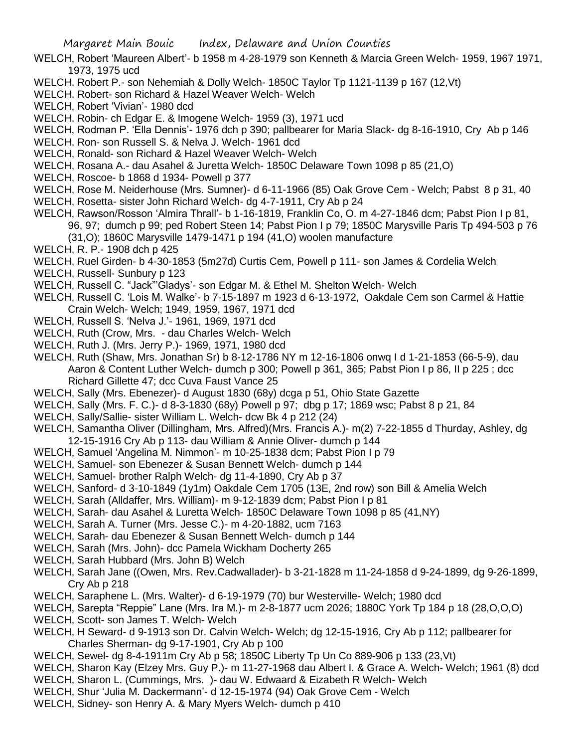- WELCH, Robert 'Maureen Albert'- b 1958 m 4-28-1979 son Kenneth & Marcia Green Welch- 1959, 1967 1971, 1973, 1975 ucd
- WELCH, Robert P.- son Nehemiah & Dolly Welch- 1850C Taylor Tp 1121-1139 p 167 (12,Vt)
- WELCH, Robert- son Richard & Hazel Weaver Welch- Welch
- WELCH, Robert 'Vivian'- 1980 dcd
- WELCH, Robin- ch Edgar E. & Imogene Welch- 1959 (3), 1971 ucd
- WELCH, Rodman P. 'Ella Dennis'- 1976 dch p 390; pallbearer for Maria Slack- dg 8-16-1910, Cry Ab p 146
- WELCH, Ron- son Russell S. & Nelva J. Welch- 1961 dcd
- WELCH, Ronald- son Richard & Hazel Weaver Welch- Welch
- WELCH, Rosana A.- dau Asahel & Juretta Welch- 1850C Delaware Town 1098 p 85 (21,O)
- WELCH, Roscoe- b 1868 d 1934- Powell p 377
- WELCH, Rose M. Neiderhouse (Mrs. Sumner)- d 6-11-1966 (85) Oak Grove Cem Welch; Pabst 8 p 31, 40
- WELCH, Rosetta- sister John Richard Welch- dg 4-7-1911, Cry Ab p 24
- WELCH, Rawson/Rosson 'Almira Thrall'- b 1-16-1819, Franklin Co, O. m 4-27-1846 dcm; Pabst Pion I p 81, 96, 97; dumch p 99; ped Robert Steen 14; Pabst Pion I p 79; 1850C Marysville Paris Tp 494-503 p 76 (31,O); 1860C Marysville 1479-1471 p 194 (41,O) woolen manufacture
- WELCH, R. P.- 1908 dch p 425
- WELCH, Ruel Girden- b 4-30-1853 (5m27d) Curtis Cem, Powell p 111- son James & Cordelia Welch
- WELCH, Russell- Sunbury p 123
- WELCH, Russell C. "Jack"'Gladys'- son Edgar M. & Ethel M. Shelton Welch- Welch
- WELCH, Russell C. 'Lois M. Walke'- b 7-15-1897 m 1923 d 6-13-1972, Oakdale Cem son Carmel & Hattie Crain Welch- Welch; 1949, 1959, 1967, 1971 dcd
- WELCH, Russell S. 'Nelva J.'- 1961, 1969, 1971 dcd
- WELCH, Ruth (Crow, Mrs. dau Charles Welch- Welch
- WELCH, Ruth J. (Mrs. Jerry P.)- 1969, 1971, 1980 dcd
- WELCH, Ruth (Shaw, Mrs. Jonathan Sr) b 8-12-1786 NY m 12-16-1806 onwq I d 1-21-1853 (66-5-9), dau Aaron & Content Luther Welch- dumch p 300; Powell p 361, 365; Pabst Pion I p 86, II p 225 ; dcc Richard Gillette 47; dcc Cuva Faust Vance 25
- WELCH, Sally (Mrs. Ebenezer)- d August 1830 (68y) dcga p 51, Ohio State Gazette
- WELCH, Sally (Mrs. F. C.)- d 8-3-1830 (68y) Powell p 97; dbg p 17; 1869 wsc; Pabst 8 p 21, 84
- WELCH, Sally/Sallie- sister William L. Welch- dcw Bk 4 p 212 (24)
- WELCH, Samantha Oliver (Dillingham, Mrs. Alfred)(Mrs. Francis A.)- m(2) 7-22-1855 d Thurday, Ashley, dg 12-15-1916 Cry Ab p 113- dau William & Annie Oliver- dumch p 144
- WELCH, Samuel 'Angelina M. Nimmon'- m 10-25-1838 dcm; Pabst Pion I p 79
- WELCH, Samuel- son Ebenezer & Susan Bennett Welch- dumch p 144
- WELCH, Samuel- brother Ralph Welch- dg 11-4-1890, Cry Ab p 37
- WELCH, Sanford- d 3-10-1849 (1y1m) Oakdale Cem 1705 (13E, 2nd row) son Bill & Amelia Welch
- WELCH, Sarah (Alldaffer, Mrs. William)- m 9-12-1839 dcm; Pabst Pion I p 81
- WELCH, Sarah- dau Asahel & Luretta Welch- 1850C Delaware Town 1098 p 85 (41,NY)
- WELCH, Sarah A. Turner (Mrs. Jesse C.)- m 4-20-1882, ucm 7163
- WELCH, Sarah- dau Ebenezer & Susan Bennett Welch- dumch p 144
- WELCH, Sarah (Mrs. John)- dcc Pamela Wickham Docherty 265
- WELCH, Sarah Hubbard (Mrs. John B) Welch
- WELCH, Sarah Jane ((Owen, Mrs. Rev.Cadwallader)- b 3-21-1828 m 11-24-1858 d 9-24-1899, dg 9-26-1899, Cry Ab p 218
- WELCH, Saraphene L. (Mrs. Walter)- d 6-19-1979 (70) bur Westerville- Welch; 1980 dcd
- WELCH, Sarepta "Reppie" Lane (Mrs. Ira M.)- m 2-8-1877 ucm 2026; 1880C York Tp 184 p 18 (28,O,O,O)
- WELCH, Scott- son James T. Welch- Welch
- WELCH, H Seward- d 9-1913 son Dr. Calvin Welch- Welch; dg 12-15-1916, Cry Ab p 112; pallbearer for Charles Sherman- dg 9-17-1901, Cry Ab p 100
- WELCH, Sewel- dg 8-4-1911m Cry Ab p 58; 1850C Liberty Tp Un Co 889-906 p 133 (23,Vt)
- WELCH, Sharon Kay (Elzey Mrs. Guy P.)- m 11-27-1968 dau Albert I. & Grace A. Welch- Welch; 1961 (8) dcd
- WELCH, Sharon L. (Cummings, Mrs. )- dau W. Edwaard & Eizabeth R Welch- Welch
- WELCH, Shur 'Julia M. Dackermann'- d 12-15-1974 (94) Oak Grove Cem Welch
- WELCH, Sidney- son Henry A. & Mary Myers Welch- dumch p 410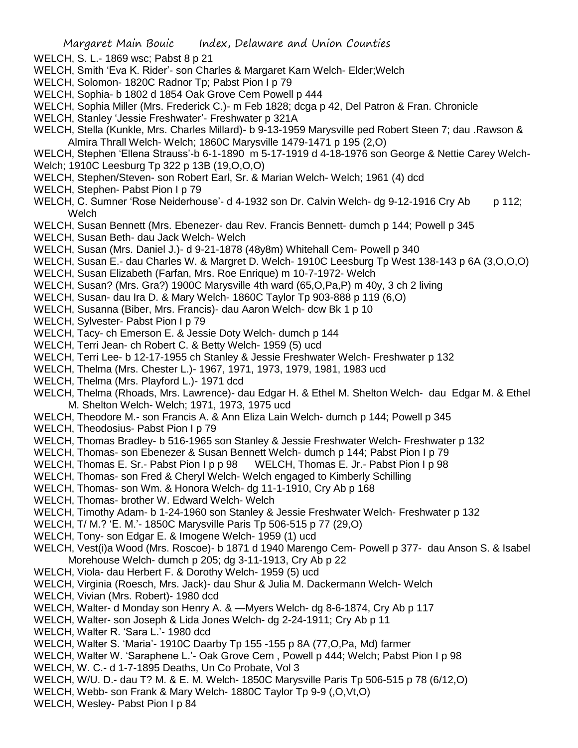- WELCH, S. L.- 1869 wsc; Pabst 8 p 21
- WELCH, Smith 'Eva K. Rider'- son Charles & Margaret Karn Welch- Elder;Welch
- WELCH, Solomon- 1820C Radnor Tp; Pabst Pion I p 79
- WELCH, Sophia- b 1802 d 1854 Oak Grove Cem Powell p 444
- WELCH, Sophia Miller (Mrs. Frederick C.)- m Feb 1828; dcga p 42, Del Patron & Fran. Chronicle
- WELCH, Stanley 'Jessie Freshwater'- Freshwater p 321A
- WELCH, Stella (Kunkle, Mrs. Charles Millard)- b 9-13-1959 Marysville ped Robert Steen 7; dau .Rawson & Almira Thrall Welch- Welch; 1860C Marysville 1479-1471 p 195 (2,O)
- WELCH, Stephen 'Ellena Strauss'-b 6-1-1890 m 5-17-1919 d 4-18-1976 son George & Nettie Carey Welch-Welch; 1910C Leesburg Tp 322 p 13B (19,O,O,O)
- WELCH, Stephen/Steven- son Robert Earl, Sr. & Marian Welch- Welch; 1961 (4) dcd
- WELCH, Stephen- Pabst Pion I p 79
- WELCH, C. Sumner 'Rose Neiderhouse'- d 4-1932 son Dr. Calvin Welch- dg 9-12-1916 Cry Ab p 112; Welch
- WELCH, Susan Bennett (Mrs. Ebenezer- dau Rev. Francis Bennett- dumch p 144; Powell p 345
- WELCH, Susan Beth- dau Jack Welch- Welch
- WELCH, Susan (Mrs. Daniel J.)- d 9-21-1878 (48y8m) Whitehall Cem- Powell p 340
- WELCH, Susan E.- dau Charles W. & Margret D. Welch- 1910C Leesburg Tp West 138-143 p 6A (3,O,O,O)
- WELCH, Susan Elizabeth (Farfan, Mrs. Roe Enrique) m 10-7-1972- Welch
- WELCH, Susan? (Mrs. Gra?) 1900C Marysville 4th ward (65,O,Pa,P) m 40y, 3 ch 2 living
- WELCH, Susan- dau Ira D. & Mary Welch- 1860C Taylor Tp 903-888 p 119 (6,O)
- WELCH, Susanna (Biber, Mrs. Francis)- dau Aaron Welch- dcw Bk 1 p 10
- WELCH, Sylvester- Pabst Pion I p 79
- WELCH, Tacy- ch Emerson E. & Jessie Doty Welch- dumch p 144
- WELCH, Terri Jean- ch Robert C. & Betty Welch- 1959 (5) ucd
- WELCH, Terri Lee- b 12-17-1955 ch Stanley & Jessie Freshwater Welch- Freshwater p 132
- WELCH, Thelma (Mrs. Chester L.)- 1967, 1971, 1973, 1979, 1981, 1983 ucd
- WELCH, Thelma (Mrs. Playford L.)- 1971 dcd
- WELCH, Thelma (Rhoads, Mrs. Lawrence)- dau Edgar H. & Ethel M. Shelton Welch- dau Edgar M. & Ethel M. Shelton Welch- Welch; 1971, 1973, 1975 ucd
- WELCH, Theodore M.- son Francis A. & Ann Eliza Lain Welch- dumch p 144; Powell p 345
- WELCH, Theodosius- Pabst Pion I p 79
- WELCH, Thomas Bradley- b 516-1965 son Stanley & Jessie Freshwater Welch- Freshwater p 132
- WELCH, Thomas- son Ebenezer & Susan Bennett Welch- dumch p 144; Pabst Pion I p 79
- WELCH, Thomas E. Sr.- Pabst Pion I p p 98 WELCH, Thomas E. Jr.- Pabst Pion I p 98
- WELCH, Thomas- son Fred & Cheryl Welch- Welch engaged to Kimberly Schilling
- WELCH, Thomas- son Wm. & Honora Welch- dg 11-1-1910, Cry Ab p 168
- WELCH, Thomas- brother W. Edward Welch- Welch
- WELCH, Timothy Adam- b 1-24-1960 son Stanley & Jessie Freshwater Welch- Freshwater p 132
- WELCH, T/ M.? 'E. M.'- 1850C Marysville Paris Tp 506-515 p 77 (29,O)
- WELCH, Tony- son Edgar E. & Imogene Welch- 1959 (1) ucd
- WELCH, Vest(i)a Wood (Mrs. Roscoe)- b 1871 d 1940 Marengo Cem- Powell p 377- dau Anson S. & Isabel Morehouse Welch- dumch p 205; dg 3-11-1913, Cry Ab p 22
- WELCH, Viola- dau Herbert F. & Dorothy Welch- 1959 (5) ucd
- WELCH, Virginia (Roesch, Mrs. Jack)- dau Shur & Julia M. Dackermann Welch- Welch
- WELCH, Vivian (Mrs. Robert)- 1980 dcd
- WELCH, Walter- d Monday son Henry A. & —Myers Welch- dg 8-6-1874, Cry Ab p 117
- WELCH, Walter- son Joseph & Lida Jones Welch- dg 2-24-1911; Cry Ab p 11
- WELCH, Walter R. 'Sara L.'- 1980 dcd
- WELCH, Walter S. 'Maria'- 1910C Daarby Tp 155 -155 p 8A (77,O,Pa, Md) farmer
- WELCH, Walter W. 'Saraphene L.'- Oak Grove Cem , Powell p 444; Welch; Pabst Pion I p 98
- WELCH, W. C.- d 1-7-1895 Deaths, Un Co Probate, Vol 3
- WELCH, W/U. D.- dau T? M. & E. M. Welch- 1850C Marysville Paris Tp 506-515 p 78 (6/12,O)
- WELCH, Webb- son Frank & Mary Welch- 1880C Taylor Tp 9-9 (,O,Vt,O)
- WELCH, Wesley- Pabst Pion I p 84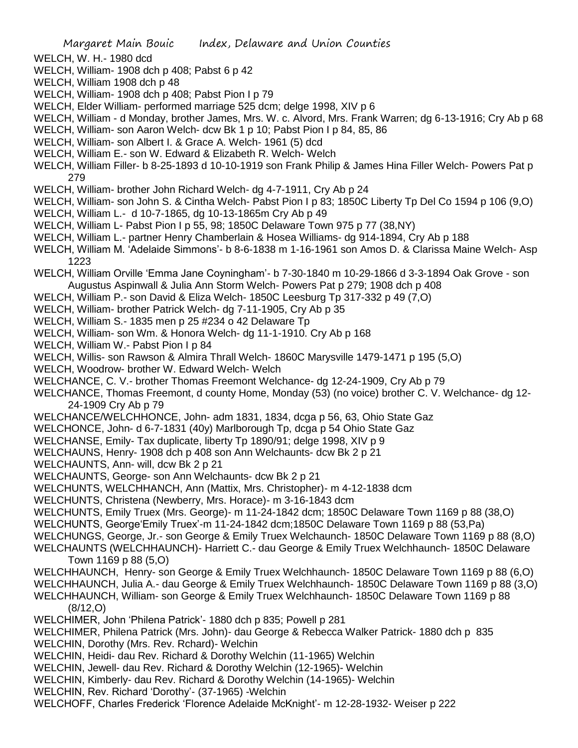- WELCH, W. H.- 1980 dcd
- WELCH, William- 1908 dch p 408; Pabst 6 p 42
- WELCH, William 1908 dch p 48
- WELCH, William- 1908 dch p 408; Pabst Pion I p 79
- WELCH, Elder William- performed marriage 525 dcm; delge 1998, XIV p 6
- WELCH, William d Monday, brother James, Mrs. W. c. Alvord, Mrs. Frank Warren; dg 6-13-1916; Cry Ab p 68
- WELCH, William- son Aaron Welch- dcw Bk 1 p 10; Pabst Pion I p 84, 85, 86
- WELCH, William- son Albert I. & Grace A. Welch- 1961 (5) dcd
- WELCH, William E.- son W. Edward & Elizabeth R. Welch- Welch
- WELCH, William Filler- b 8-25-1893 d 10-10-1919 son Frank Philip & James Hina Filler Welch- Powers Pat p 279
- WELCH, William- brother John Richard Welch- dg 4-7-1911, Cry Ab p 24
- WELCH, William- son John S. & Cintha Welch- Pabst Pion I p 83; 1850C Liberty Tp Del Co 1594 p 106 (9,O)
- WELCH, William L.- d 10-7-1865, dg 10-13-1865m Cry Ab p 49
- WELCH, William L- Pabst Pion I p 55, 98; 1850C Delaware Town 975 p 77 (38,NY)
- WELCH, William L.- partner Henry Chamberlain & Hosea Williams- dg 914-1894, Cry Ab p 188
- WELCH, William M. 'Adelaide Simmons'- b 8-6-1838 m 1-16-1961 son Amos D. & Clarissa Maine Welch- Asp 1223
- WELCH, William Orville 'Emma Jane Coyningham'- b 7-30-1840 m 10-29-1866 d 3-3-1894 Oak Grove son Augustus Aspinwall & Julia Ann Storm Welch- Powers Pat p 279; 1908 dch p 408
- WELCH, William P.- son David & Eliza Welch- 1850C Leesburg Tp 317-332 p 49 (7,O)
- WELCH, William- brother Patrick Welch- dg 7-11-1905, Cry Ab p 35
- WELCH, William S.- 1835 men p 25 #234 o 42 Delaware Tp
- WELCH, William- son Wm. & Honora Welch- dg 11-1-1910. Cry Ab p 168
- WELCH, William W.- Pabst Pion I p 84
- WELCH, Willis- son Rawson & Almira Thrall Welch- 1860C Marysville 1479-1471 p 195 (5,O)
- WELCH, Woodrow- brother W. Edward Welch- Welch
- WELCHANCE, C. V.- brother Thomas Freemont Welchance- dg 12-24-1909, Cry Ab p 79
- WELCHANCE, Thomas Freemont, d county Home, Monday (53) (no voice) brother C. V. Welchance- dg 12- 24-1909 Cry Ab p 79
- WELCHANCE/WELCHHONCE, John- adm 1831, 1834, dcga p 56, 63, Ohio State Gaz
- WELCHONCE, John- d 6-7-1831 (40y) Marlborough Tp, dcga p 54 Ohio State Gaz
- WELCHANSE, Emily- Tax duplicate, liberty Tp 1890/91; delge 1998, XIV p 9
- WELCHAUNS, Henry- 1908 dch p 408 son Ann Welchaunts- dcw Bk 2 p 21
- WELCHAUNTS, Ann- will, dcw Bk 2 p 21
- WELCHAUNTS, George- son Ann Welchaunts- dcw Bk 2 p 21
- WELCHUNTS, WELCHHANCH, Ann (Mattix, Mrs. Christopher)- m 4-12-1838 dcm
- WELCHUNTS, Christena (Newberry, Mrs. Horace)- m 3-16-1843 dcm
- WELCHUNTS, Emily Truex (Mrs. George)- m 11-24-1842 dcm; 1850C Delaware Town 1169 p 88 (38,O)
- WELCHUNTS, George'Emily Truex'-m 11-24-1842 dcm;1850C Delaware Town 1169 p 88 (53,Pa)
- WELCHUNGS, George, Jr.- son George & Emily Truex Welchaunch- 1850C Delaware Town 1169 p 88 (8,O)
- WELCHAUNTS (WELCHHAUNCH)- Harriett C.- dau George & Emily Truex Welchhaunch- 1850C Delaware Town 1169 p 88 (5,O)
- WELCHHAUNCH, Henry- son George & Emily Truex Welchhaunch- 1850C Delaware Town 1169 p 88 (6,O)
- WELCHHAUNCH, Julia A.- dau George & Emily Truex Welchhaunch- 1850C Delaware Town 1169 p 88 (3,O)
- WELCHHAUNCH, William- son George & Emily Truex Welchhaunch- 1850C Delaware Town 1169 p 88 (8/12,O)
- WELCHIMER, John 'Philena Patrick'- 1880 dch p 835; Powell p 281
- WELCHIMER, Philena Patrick (Mrs. John)- dau George & Rebecca Walker Patrick- 1880 dch p 835 WELCHIN, Dorothy (Mrs. Rev. Rchard)- Welchin
- WELCHIN, Heidi- dau Rev. Richard & Dorothy Welchin (11-1965) Welchin
- WELCHIN, Jewell- dau Rev. Richard & Dorothy Welchin (12-1965)- Welchin
- WELCHIN, Kimberly- dau Rev. Richard & Dorothy Welchin (14-1965)- Welchin
- WELCHIN, Rev. Richard 'Dorothy'- (37-1965) -Welchin
- WELCHOFF, Charles Frederick 'Florence Adelaide McKnight'- m 12-28-1932- Weiser p 222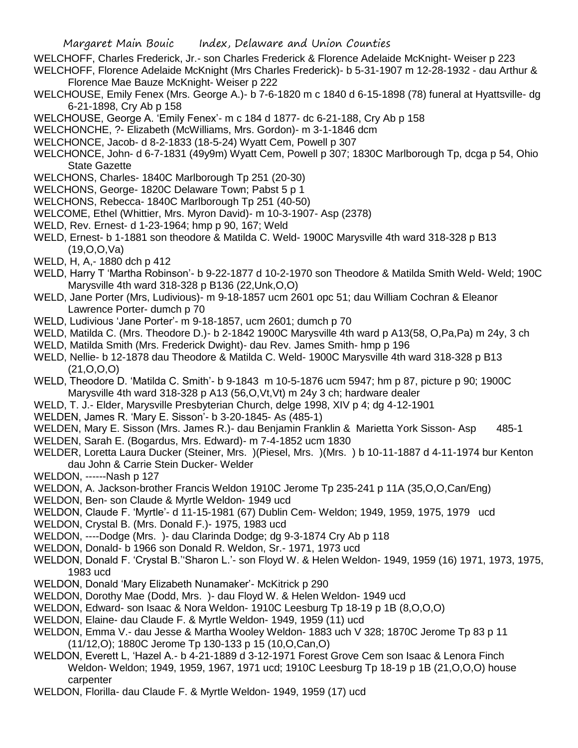- WELCHOFF, Charles Frederick, Jr.- son Charles Frederick & Florence Adelaide McKnight- Weiser p 223
- WELCHOFF, Florence Adelaide McKnight (Mrs Charles Frederick)- b 5-31-1907 m 12-28-1932 dau Arthur & Florence Mae Bauze McKnight- Weiser p 222
- WELCHOUSE, Emily Fenex (Mrs. George A.)- b 7-6-1820 m c 1840 d 6-15-1898 (78) funeral at Hyattsville- dg 6-21-1898, Cry Ab p 158
- WELCHOUSE, George A. 'Emily Fenex'- m c 184 d 1877- dc 6-21-188, Cry Ab p 158
- WELCHONCHE, ?- Elizabeth (McWilliams, Mrs. Gordon)- m 3-1-1846 dcm
- WELCHONCE, Jacob- d 8-2-1833 (18-5-24) Wyatt Cem, Powell p 307
- WELCHONCE, John- d 6-7-1831 (49y9m) Wyatt Cem, Powell p 307; 1830C Marlborough Tp, dcga p 54, Ohio State Gazette
- WELCHONS, Charles- 1840C Marlborough Tp 251 (20-30)
- WELCHONS, George- 1820C Delaware Town; Pabst 5 p 1
- WELCHONS, Rebecca- 1840C Marlborough Tp 251 (40-50)
- WELCOME, Ethel (Whittier, Mrs. Myron David)- m 10-3-1907- Asp (2378)
- WELD, Rev. Ernest- d 1-23-1964; hmp p 90, 167; Weld
- WELD, Ernest- b 1-1881 son theodore & Matilda C. Weld- 1900C Marysville 4th ward 318-328 p B13 (19,O,O,Va)
- WELD, H, A,- 1880 dch p 412
- WELD, Harry T 'Martha Robinson'- b 9-22-1877 d 10-2-1970 son Theodore & Matilda Smith Weld- Weld; 190C Marysville 4th ward 318-328 p B136 (22,Unk,O,O)
- WELD, Jane Porter (Mrs, Ludivious)- m 9-18-1857 ucm 2601 opc 51; dau William Cochran & Eleanor Lawrence Porter- dumch p 70
- WELD, Ludivious 'Jane Porter'- m 9-18-1857, ucm 2601; dumch p 70
- WELD, Matilda C. (Mrs. Theodore D.)- b 2-1842 1900C Marysville 4th ward p A13(58, O,Pa,Pa) m 24y, 3 ch
- WELD, Matilda Smith (Mrs. Frederick Dwight)- dau Rev. James Smith- hmp p 196
- WELD, Nellie- b 12-1878 dau Theodore & Matilda C. Weld- 1900C Marysville 4th ward 318-328 p B13 (21,O,O,O)
- WELD, Theodore D. 'Matilda C. Smith'- b 9-1843 m 10-5-1876 ucm 5947; hm p 87, picture p 90; 1900C Marysville 4th ward 318-328 p A13 (56,O,Vt,Vt) m 24y 3 ch; hardware dealer
- WELD, T. J.- Elder, Marysville Presbyterian Church, delge 1998, XIV p 4; dg 4-12-1901
- WELDEN, James R. 'Mary E. Sisson'- b 3-20-1845- As (485-1)
- WELDEN, Mary E. Sisson (Mrs. James R.)- dau Benjamin Franklin & Marietta York Sisson- Asp 485-1
- WELDEN, Sarah E. (Bogardus, Mrs. Edward)- m 7-4-1852 ucm 1830
- WELDER, Loretta Laura Ducker (Steiner, Mrs. )(Piesel, Mrs. )(Mrs. ) b 10-11-1887 d 4-11-1974 bur Kenton dau John & Carrie Stein Ducker- Welder
- WELDON, ------Nash p 127
- WELDON, A. Jackson-brother Francis Weldon 1910C Jerome Tp 235-241 p 11A (35,O,O,Can/Eng)
- WELDON, Ben- son Claude & Myrtle Weldon- 1949 ucd
- WELDON, Claude F. 'Myrtle'- d 11-15-1981 (67) Dublin Cem- Weldon; 1949, 1959, 1975, 1979 ucd
- WELDON, Crystal B. (Mrs. Donald F.)- 1975, 1983 ucd
- WELDON, ----Dodge (Mrs. )- dau Clarinda Dodge; dg 9-3-1874 Cry Ab p 118
- WELDON, Donald- b 1966 son Donald R. Weldon, Sr.- 1971, 1973 ucd
- WELDON, Donald F. 'Crystal B.''Sharon L.'- son Floyd W. & Helen Weldon- 1949, 1959 (16) 1971, 1973, 1975, 1983 ucd
- WELDON, Donald 'Mary Elizabeth Nunamaker'- McKitrick p 290
- WELDON, Dorothy Mae (Dodd, Mrs. )- dau Floyd W. & Helen Weldon- 1949 ucd
- WELDON, Edward- son Isaac & Nora Weldon- 1910C Leesburg Tp 18-19 p 1B (8,O,O,O)
- WELDON, Elaine- dau Claude F. & Myrtle Weldon- 1949, 1959 (11) ucd
- WELDON, Emma V.- dau Jesse & Martha Wooley Weldon- 1883 uch V 328; 1870C Jerome Tp 83 p 11 (11/12,O); 1880C Jerome Tp 130-133 p 15 (10,O,Can,O)
- WELDON, Everett L, 'Hazel A.- b 4-21-1889 d 3-12-1971 Forest Grove Cem son Isaac & Lenora Finch Weldon- Weldon; 1949, 1959, 1967, 1971 ucd; 1910C Leesburg Tp 18-19 p 1B (21,O,O,O) house carpenter
- WELDON, Florilla- dau Claude F. & Myrtle Weldon- 1949, 1959 (17) ucd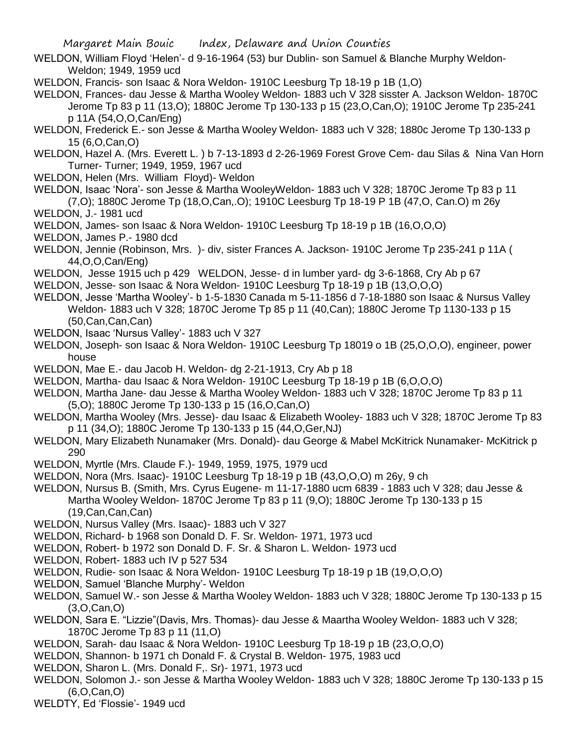- WELDON, William Floyd 'Helen'- d 9-16-1964 (53) bur Dublin- son Samuel & Blanche Murphy Weldon-Weldon; 1949, 1959 ucd
- WELDON, Francis- son Isaac & Nora Weldon- 1910C Leesburg Tp 18-19 p 1B (1,O)
- WELDON, Frances- dau Jesse & Martha Wooley Weldon- 1883 uch V 328 sisster A. Jackson Weldon- 1870C Jerome Tp 83 p 11 (13,O); 1880C Jerome Tp 130-133 p 15 (23,O,Can,O); 1910C Jerome Tp 235-241 p 11A (54,O,O,Can/Eng)
- WELDON, Frederick E.- son Jesse & Martha Wooley Weldon- 1883 uch V 328; 1880c Jerome Tp 130-133 p 15 (6,O,Can,O)
- WELDON, Hazel A. (Mrs. Everett L. ) b 7-13-1893 d 2-26-1969 Forest Grove Cem- dau Silas & Nina Van Horn Turner- Turner; 1949, 1959, 1967 ucd
- WELDON, Helen (Mrs. William Floyd)- Weldon
- WELDON, Isaac 'Nora'- son Jesse & Martha WooleyWeldon- 1883 uch V 328; 1870C Jerome Tp 83 p 11 (7,O); 1880C Jerome Tp (18,O,Can,.O); 1910C Leesburg Tp 18-19 P 1B (47,O, Can.O) m 26y
- WELDON, J.- 1981 ucd
- WELDON, James- son Isaac & Nora Weldon- 1910C Leesburg Tp 18-19 p 1B (16,O,O,O)
- WELDON, James P.- 1980 dcd
- WELDON, Jennie (Robinson, Mrs. )- div, sister Frances A. Jackson- 1910C Jerome Tp 235-241 p 11A ( 44,O,O,Can/Eng)
- WELDON, Jesse 1915 uch p 429 WELDON, Jesse- d in lumber yard- dg 3-6-1868, Cry Ab p 67
- WELDON, Jesse- son Isaac & Nora Weldon- 1910C Leesburg Tp 18-19 p 1B (13,O,O,O)
- WELDON, Jesse 'Martha Wooley'- b 1-5-1830 Canada m 5-11-1856 d 7-18-1880 son Isaac & Nursus Valley Weldon- 1883 uch V 328; 1870C Jerome Tp 85 p 11 (40,Can); 1880C Jerome Tp 1130-133 p 15 (50,Can,Can,Can)
- WELDON, Isaac 'Nursus Valley'- 1883 uch V 327
- WELDON, Joseph- son Isaac & Nora Weldon- 1910C Leesburg Tp 18019 o 1B (25,O,O,O), engineer, power house
- WELDON, Mae E.- dau Jacob H. Weldon- dg 2-21-1913, Cry Ab p 18
- WELDON, Martha- dau Isaac & Nora Weldon- 1910C Leesburg Tp 18-19 p 1B (6,O,O,O)
- WELDON, Martha Jane- dau Jesse & Martha Wooley Weldon- 1883 uch V 328; 1870C Jerome Tp 83 p 11 (5,O); 1880C Jerome Tp 130-133 p 15 (16,O,Can,O)
- WELDON, Martha Wooley (Mrs. Jesse)- dau Isaac & Elizabeth Wooley- 1883 uch V 328; 1870C Jerome Tp 83 p 11 (34,O); 1880C Jerome Tp 130-133 p 15 (44,O,Ger,NJ)
- WELDON, Mary Elizabeth Nunamaker (Mrs. Donald)- dau George & Mabel McKitrick Nunamaker- McKitrick p 290
- WELDON, Myrtle (Mrs. Claude F.)- 1949, 1959, 1975, 1979 ucd
- WELDON, Nora (Mrs. Isaac)- 1910C Leesburg Tp 18-19 p 1B (43,O,O,O) m 26y, 9 ch
- WELDON, Nursus B. (Smith, Mrs. Cyrus Eugene- m 11-17-1880 ucm 6839 1883 uch V 328; dau Jesse & Martha Wooley Weldon- 1870C Jerome Tp 83 p 11 (9,O); 1880C Jerome Tp 130-133 p 15 (19,Can,Can,Can)
- WELDON, Nursus Valley (Mrs. Isaac)- 1883 uch V 327
- WELDON, Richard- b 1968 son Donald D. F. Sr. Weldon- 1971, 1973 ucd
- WELDON, Robert- b 1972 son Donald D. F. Sr. & Sharon L. Weldon- 1973 ucd
- WELDON, Robert- 1883 uch IV p 527 534
- WELDON, Rudie- son Isaac & Nora Weldon- 1910C Leesburg Tp 18-19 p 1B (19,O,O,O)
- WELDON, Samuel 'Blanche Murphy'- Weldon
- WELDON, Samuel W.- son Jesse & Martha Wooley Weldon- 1883 uch V 328; 1880C Jerome Tp 130-133 p 15 (3,O,Can,O)
- WELDON, Sara E. "Lizzie"(Davis, Mrs. Thomas)- dau Jesse & Maartha Wooley Weldon- 1883 uch V 328; 1870C Jerome Tp 83 p 11 (11,O)
- WELDON, Sarah- dau Isaac & Nora Weldon- 1910C Leesburg Tp 18-19 p 1B (23,O,O,O)
- WELDON, Shannon- b 1971 ch Donald F. & Crystal B. Weldon- 1975, 1983 ucd
- WELDON, Sharon L. (Mrs. Donald F,. Sr)- 1971, 1973 ucd
- WELDON, Solomon J.- son Jesse & Martha Wooley Weldon- 1883 uch V 328; 1880C Jerome Tp 130-133 p 15 (6,O,Can,O)
- WELDTY, Ed 'Flossie'- 1949 ucd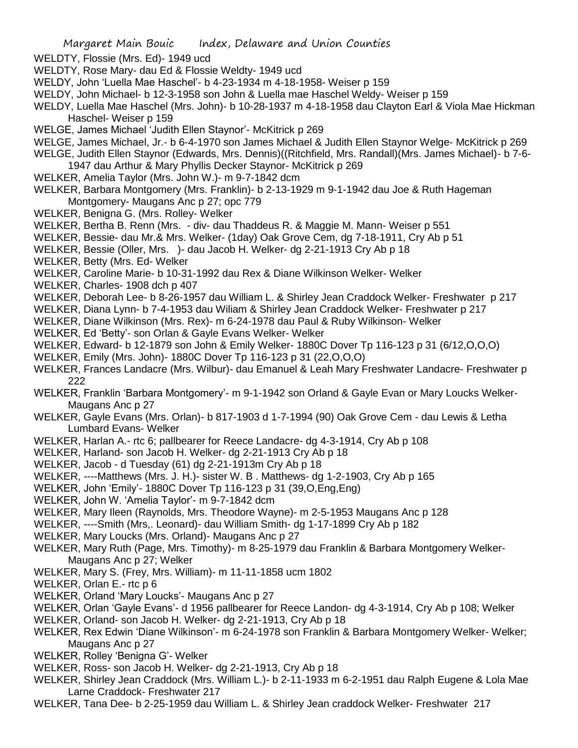WELDTY, Flossie (Mrs. Ed)- 1949 ucd

- WELDTY, Rose Mary- dau Ed & Flossie Weldty- 1949 ucd
- WELDY, John 'Luella Mae Haschel'- b 4-23-1934 m 4-18-1958- Weiser p 159
- WELDY, John Michael- b 12-3-1958 son John & Luella mae Haschel Weldy- Weiser p 159
- WELDY, Luella Mae Haschel (Mrs. John)- b 10-28-1937 m 4-18-1958 dau Clayton Earl & Viola Mae Hickman Haschel- Weiser p 159
- WELGE, James Michael 'Judith Ellen Staynor'- McKitrick p 269
- WELGE, James Michael, Jr.- b 6-4-1970 son James Michael & Judith Ellen Staynor Welge- McKitrick p 269 WELGE, Judith Ellen Staynor (Edwards, Mrs. Dennis)((Ritchfield, Mrs. Randall)(Mrs. James Michael)- b 7-6-

1947 dau Arthur & Mary Phyllis Decker Staynor- McKitrick p 269

- WELKER, Amelia Taylor (Mrs. John W.)- m 9-7-1842 dcm
- WELKER, Barbara Montgomery (Mrs. Franklin)- b 2-13-1929 m 9-1-1942 dau Joe & Ruth Hageman Montgomery- Maugans Anc p 27; opc 779
- WELKER, Benigna G. (Mrs. Rolley- Welker
- WELKER, Bertha B. Renn (Mrs. div- dau Thaddeus R. & Maggie M. Mann- Weiser p 551
- WELKER, Bessie- dau Mr.& Mrs. Welker- (1day) Oak Grove Cem, dg 7-18-1911, Cry Ab p 51
- WELKER, Bessie (Oller, Mrs. )- dau Jacob H. Welker- dg 2-21-1913 Cry Ab p 18
- WELKER, Betty (Mrs. Ed- Welker
- WELKER, Caroline Marie- b 10-31-1992 dau Rex & Diane Wilkinson Welker- Welker
- WELKER, Charles- 1908 dch p 407
- WELKER, Deborah Lee- b 8-26-1957 dau William L. & Shirley Jean Craddock Welker- Freshwater p 217
- WELKER, Diana Lynn- b 7-4-1953 dau Wiliam & Shirley Jean Craddock Welker- Freshwater p 217
- WELKER, Diane Wilkinson (Mrs. Rex)- m 6-24-1978 dau Paul & Ruby Wilkinson- Welker
- WELKER, Ed 'Betty'- son Orlan & Gayle Evans Welker- Welker
- WELKER, Edward- b 12-1879 son John & Emily Welker- 1880C Dover Tp 116-123 p 31 (6/12,O,O,O)
- WELKER, Emily (Mrs. John)- 1880C Dover Tp 116-123 p 31 (22,O,O,O)
- WELKER, Frances Landacre (Mrs. Wilbur)- dau Emanuel & Leah Mary Freshwater Landacre- Freshwater p 222
- WELKER, Franklin 'Barbara Montgomery'- m 9-1-1942 son Orland & Gayle Evan or Mary Loucks Welker-Maugans Anc p 27
- WELKER, Gayle Evans (Mrs. Orlan)- b 817-1903 d 1-7-1994 (90) Oak Grove Cem dau Lewis & Letha Lumbard Evans- Welker
- WELKER, Harlan A.- rtc 6; pallbearer for Reece Landacre- dg 4-3-1914, Cry Ab p 108
- WELKER, Harland- son Jacob H. Welker- dg 2-21-1913 Cry Ab p 18
- WELKER, Jacob d Tuesday (61) dg 2-21-1913m Cry Ab p 18
- WELKER, ----Matthews (Mrs. J. H.)- sister W. B . Matthews- dg 1-2-1903, Cry Ab p 165
- WELKER, John 'Emily'- 1880C Dover Tp 116-123 p 31 (39,O,Eng,Eng)
- WELKER, John W. 'Amelia Taylor'- m 9-7-1842 dcm
- WELKER, Mary Ileen (Raynolds, Mrs. Theodore Wayne)- m 2-5-1953 Maugans Anc p 128
- WELKER, ----Smith (Mrs,. Leonard)- dau William Smith- dg 1-17-1899 Cry Ab p 182
- WELKER, Mary Loucks (Mrs. Orland)- Maugans Anc p 27
- WELKER, Mary Ruth (Page, Mrs. Timothy)- m 8-25-1979 dau Franklin & Barbara Montgomery Welker-Maugans Anc p 27; Welker
- WELKER, Mary S. (Frey, Mrs. William)- m 11-11-1858 ucm 1802
- WELKER, Orlan E.- rtc p 6
- WELKER, Orland 'Mary Loucks'- Maugans Anc p 27
- WELKER, Orlan 'Gayle Evans'- d 1956 pallbearer for Reece Landon- dg 4-3-1914, Cry Ab p 108; Welker
- WELKER, Orland- son Jacob H. Welker- dg 2-21-1913, Cry Ab p 18
- WELKER, Rex Edwin 'Diane Wilkinson'- m 6-24-1978 son Franklin & Barbara Montgomery Welker- Welker; Maugans Anc p 27
- WELKER, Rolley 'Benigna G'- Welker
- WELKER, Ross- son Jacob H. Welker- dg 2-21-1913, Cry Ab p 18
- WELKER, Shirley Jean Craddock (Mrs. William L.)- b 2-11-1933 m 6-2-1951 dau Ralph Eugene & Lola Mae Larne Craddock- Freshwater 217
- WELKER, Tana Dee- b 2-25-1959 dau William L. & Shirley Jean craddock Welker- Freshwater 217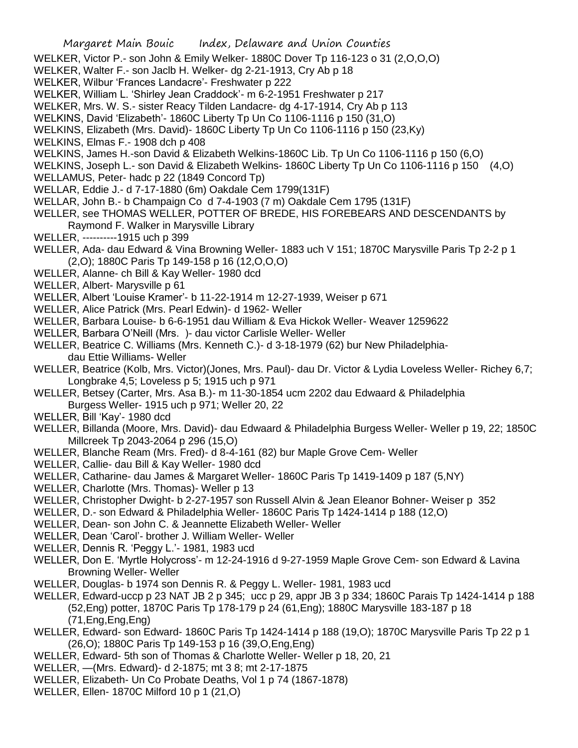- WELKER, Victor P.- son John & Emily Welker- 1880C Dover Tp 116-123 o 31 (2,O,O,O)
- WELKER, Walter F.- son Jaclb H. Welker- dg 2-21-1913, Cry Ab p 18
- WELKER, Wilbur 'Frances Landacre'- Freshwater p 222
- WELKER, William L. 'Shirley Jean Craddock'- m 6-2-1951 Freshwater p 217
- WELKER, Mrs. W. S.- sister Reacy Tilden Landacre- dg 4-17-1914, Cry Ab p 113
- WELKINS, David 'Elizabeth'- 1860C Liberty Tp Un Co 1106-1116 p 150 (31,O)
- WELKINS, Elizabeth (Mrs. David)- 1860C Liberty Tp Un Co 1106-1116 p 150 (23,Ky)
- WELKINS, Elmas F.- 1908 dch p 408
- WELKINS, James H.-son David & Elizabeth Welkins-1860C Lib. Tp Un Co 1106-1116 p 150 (6,O)
- WELKINS, Joseph L.- son David & Elizabeth Welkins- 1860C Liberty Tp Un Co 1106-1116 p 150 (4,O)
- WELLAMUS, Peter- hadc p 22 (1849 Concord Tp)
- WELLAR, Eddie J.- d 7-17-1880 (6m) Oakdale Cem 1799(131F)
- WELLAR, John B.- b Champaign Co d 7-4-1903 (7 m) Oakdale Cem 1795 (131F)
- WELLER, see THOMAS WELLER, POTTER OF BREDE, HIS FOREBEARS AND DESCENDANTS by
	- Raymond F. Walker in Marysville Library
- WELLER, ----------1915 uch p 399
- WELLER, Ada- dau Edward & Vina Browning Weller- 1883 uch V 151; 1870C Marysville Paris Tp 2-2 p 1 (2,O); 1880C Paris Tp 149-158 p 16 (12,O,O,O)
- WELLER, Alanne- ch Bill & Kay Weller- 1980 dcd
- WELLER, Albert- Marysville p 61
- WELLER, Albert 'Louise Kramer'- b 11-22-1914 m 12-27-1939, Weiser p 671
- WELLER, Alice Patrick (Mrs. Pearl Edwin)- d 1962- Weller
- WELLER, Barbara Louise- b 6-6-1951 dau William & Eva Hickok Weller- Weaver 1259622
- WELLER, Barbara O'Neill (Mrs. )- dau victor Carlisle Weller- Weller
- WELLER, Beatrice C. Williams (Mrs. Kenneth C.)- d 3-18-1979 (62) bur New Philadelphiadau Ettie Williams- Weller
- WELLER, Beatrice (Kolb, Mrs. Victor)(Jones, Mrs. Paul)- dau Dr. Victor & Lydia Loveless Weller- Richey 6,7; Longbrake 4,5; Loveless p 5; 1915 uch p 971
- WELLER, Betsey (Carter, Mrs. Asa B.)- m 11-30-1854 ucm 2202 dau Edwaard & Philadelphia Burgess Weller- 1915 uch p 971; Weller 20, 22
- WELLER, Bill 'Kay'- 1980 dcd
- WELLER, Billanda (Moore, Mrs. David)- dau Edwaard & Philadelphia Burgess Weller- Weller p 19, 22; 1850C Millcreek Tp 2043-2064 p 296 (15,O)
- WELLER, Blanche Ream (Mrs. Fred)- d 8-4-161 (82) bur Maple Grove Cem- Weller
- WELLER, Callie- dau Bill & Kay Weller- 1980 dcd
- WELLER, Catharine- dau James & Margaret Weller- 1860C Paris Tp 1419-1409 p 187 (5,NY)
- WELLER, Charlotte (Mrs. Thomas)- Weller p 13
- WELLER, Christopher Dwight- b 2-27-1957 son Russell Alvin & Jean Eleanor Bohner- Weiser p 352
- WELLER, D.- son Edward & Philadelphia Weller- 1860C Paris Tp 1424-1414 p 188 (12,O)
- WELLER, Dean- son John C. & Jeannette Elizabeth Weller- Weller
- WELLER, Dean 'Carol'- brother J. William Weller- Weller
- WELLER, Dennis R. 'Peggy L.'- 1981, 1983 ucd
- WELLER, Don E. 'Myrtle Holycross'- m 12-24-1916 d 9-27-1959 Maple Grove Cem- son Edward & Lavina Browning Weller- Weller
- WELLER, Douglas- b 1974 son Dennis R. & Peggy L. Weller- 1981, 1983 ucd
- WELLER, Edward-uccp p 23 NAT JB 2 p 345; ucc p 29, appr JB 3 p 334; 1860C Parais Tp 1424-1414 p 188 (52,Eng) potter, 1870C Paris Tp 178-179 p 24 (61,Eng); 1880C Marysville 183-187 p 18 (71,Eng,Eng,Eng)
- WELLER, Edward- son Edward- 1860C Paris Tp 1424-1414 p 188 (19,O); 1870C Marysville Paris Tp 22 p 1 (26,O); 1880C Paris Tp 149-153 p 16 (39,O,Eng,Eng)
- WELLER, Edward- 5th son of Thomas & Charlotte Weller- Weller p 18, 20, 21
- WELLER, —(Mrs. Edward)- d 2-1875; mt 3 8; mt 2-17-1875
- WELLER, Elizabeth- Un Co Probate Deaths, Vol 1 p 74 (1867-1878)
- WELLER, Ellen- 1870C Milford 10 p 1 (21,O)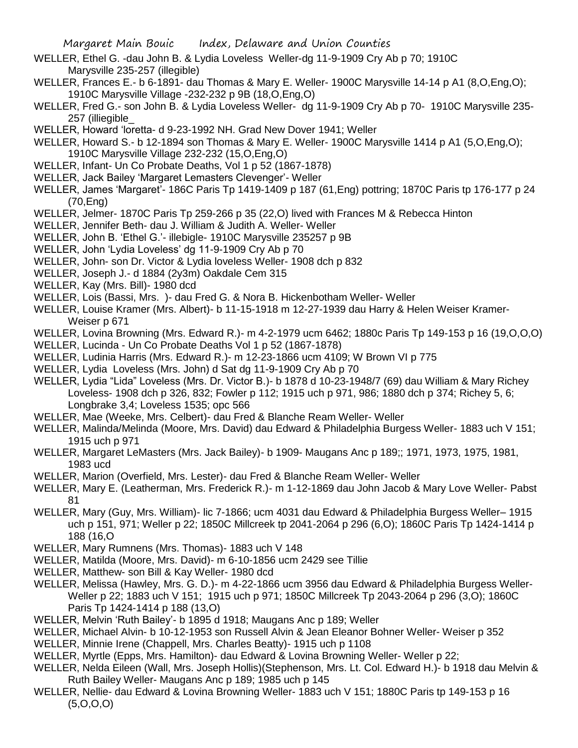- WELLER, Ethel G. -dau John B. & Lydia Loveless Weller-dg 11-9-1909 Cry Ab p 70; 1910C Marysville 235-257 (illegible)
- WELLER, Frances E.- b 6-1891- dau Thomas & Mary E. Weller- 1900C Marysville 14-14 p A1 (8,O,Eng,O); 1910C Marysville Village -232-232 p 9B (18,O,Eng,O)
- WELLER, Fred G.- son John B. & Lydia Loveless Weller- dg 11-9-1909 Cry Ab p 70- 1910C Marysville 235- 257 (illiegible\_
- WELLER, Howard 'loretta- d 9-23-1992 NH. Grad New Dover 1941; Weller
- WELLER, Howard S.- b 12-1894 son Thomas & Mary E. Weller- 1900C Marysville 1414 p A1 (5,O,Eng,O); 1910C Marysville Village 232-232 (15,O,Eng,O)
- WELLER, Infant- Un Co Probate Deaths, Vol 1 p 52 (1867-1878)
- WELLER, Jack Bailey 'Margaret Lemasters Clevenger'- Weller
- WELLER, James 'Margaret'- 186C Paris Tp 1419-1409 p 187 (61,Eng) pottring; 1870C Paris tp 176-177 p 24 (70,Eng)
- WELLER, Jelmer- 1870C Paris Tp 259-266 p 35 (22,O) lived with Frances M & Rebecca Hinton
- WELLER, Jennifer Beth- dau J. William & Judith A. Weller- Weller
- WELLER, John B. 'Ethel G.'- illebigle- 1910C Marysville 235257 p 9B
- WELLER, John 'Lydia Loveless' dg 11-9-1909 Cry Ab p 70
- WELLER, John- son Dr. Victor & Lydia loveless Weller- 1908 dch p 832
- WELLER, Joseph J.- d 1884 (2y3m) Oakdale Cem 315
- WELLER, Kay (Mrs. Bill)- 1980 dcd
- WELLER, Lois (Bassi, Mrs. )- dau Fred G. & Nora B. Hickenbotham Weller- Weller
- WELLER, Louise Kramer (Mrs. Albert)- b 11-15-1918 m 12-27-1939 dau Harry & Helen Weiser Kramer-Weiser p 671
- WELLER, Lovina Browning (Mrs. Edward R.)- m 4-2-1979 ucm 6462; 1880c Paris Tp 149-153 p 16 (19,O,O,O)
- WELLER, Lucinda Un Co Probate Deaths Vol 1 p 52 (1867-1878)
- WELLER, Ludinia Harris (Mrs. Edward R.)- m 12-23-1866 ucm 4109; W Brown VI p 775
- WELLER, Lydia Loveless (Mrs. John) d Sat dg 11-9-1909 Cry Ab p 70
- WELLER, Lydia "Lida" Loveless (Mrs. Dr. Victor B.)- b 1878 d 10-23-1948/7 (69) dau William & Mary Richey Loveless- 1908 dch p 326, 832; Fowler p 112; 1915 uch p 971, 986; 1880 dch p 374; Richey 5, 6; Longbrake 3,4; Loveless 1535; opc 566
- WELLER, Mae (Weeke, Mrs. Celbert)- dau Fred & Blanche Ream Weller- Weller
- WELLER, Malinda/Melinda (Moore, Mrs. David) dau Edward & Philadelphia Burgess Weller- 1883 uch V 151; 1915 uch p 971
- WELLER, Margaret LeMasters (Mrs. Jack Bailey)- b 1909- Maugans Anc p 189;; 1971, 1973, 1975, 1981, 1983 ucd
- WELLER, Marion (Overfield, Mrs. Lester)- dau Fred & Blanche Ream Weller- Weller
- WELLER, Mary E. (Leatherman, Mrs. Frederick R.)- m 1-12-1869 dau John Jacob & Mary Love Weller- Pabst 81
- WELLER, Mary (Guy, Mrs. William)- lic 7-1866; ucm 4031 dau Edward & Philadelphia Burgess Weller– 1915 uch p 151, 971; Weller p 22; 1850C Millcreek tp 2041-2064 p 296 (6,O); 1860C Paris Tp 1424-1414 p 188 (16,O
- WELLER, Mary Rumnens (Mrs. Thomas)- 1883 uch V 148
- WELLER, Matilda (Moore, Mrs. David)- m 6-10-1856 ucm 2429 see Tillie
- WELLER, Matthew- son Bill & Kay Weller- 1980 dcd
- WELLER, Melissa (Hawley, Mrs. G. D.)- m 4-22-1866 ucm 3956 dau Edward & Philadelphia Burgess Weller-Weller p 22; 1883 uch V 151; 1915 uch p 971; 1850C Millcreek Tp 2043-2064 p 296 (3,O); 1860C Paris Tp 1424-1414 p 188 (13,O)
- WELLER, Melvin 'Ruth Bailey'- b 1895 d 1918; Maugans Anc p 189; Weller
- WELLER, Michael Alvin- b 10-12-1953 son Russell Alvin & Jean Eleanor Bohner Weller- Weiser p 352
- WELLER, Minnie Irene (Chappell, Mrs. Charles Beatty)- 1915 uch p 1108
- WELLER, Myrtle (Epps, Mrs. Hamilton)- dau Edward & Lovina Browning Weller- Weller p 22;
- WELLER, Nelda Eileen (Wall, Mrs. Joseph Hollis)(Stephenson, Mrs. Lt. Col. Edward H.)- b 1918 dau Melvin & Ruth Bailey Weller- Maugans Anc p 189; 1985 uch p 145
- WELLER, Nellie- dau Edward & Lovina Browning Weller- 1883 uch V 151; 1880C Paris tp 149-153 p 16  $(5,0,0,0)$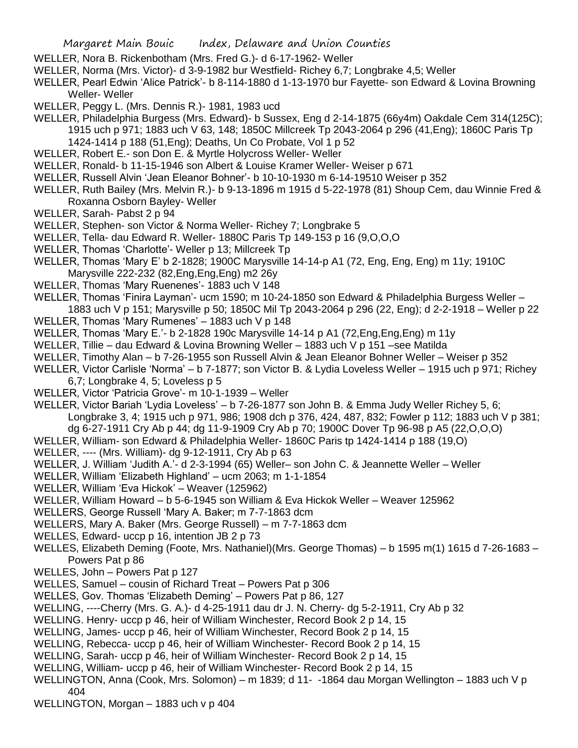- WELLER, Nora B. Rickenbotham (Mrs. Fred G.)- d 6-17-1962- Weller
- WELLER, Norma (Mrs. Victor)- d 3-9-1982 bur Westfield- Richey 6,7; Longbrake 4,5; Weller
- WELLER, Pearl Edwin 'Alice Patrick'- b 8-114-1880 d 1-13-1970 bur Fayette- son Edward & Lovina Browning Weller- Weller
- WELLER, Peggy L. (Mrs. Dennis R.)- 1981, 1983 ucd
- WELLER, Philadelphia Burgess (Mrs. Edward)- b Sussex, Eng d 2-14-1875 (66y4m) Oakdale Cem 314(125C); 1915 uch p 971; 1883 uch V 63, 148; 1850C Millcreek Tp 2043-2064 p 296 (41,Eng); 1860C Paris Tp 1424-1414 p 188 (51,Eng); Deaths, Un Co Probate, Vol 1 p 52
- WELLER, Robert E.- son Don E. & Myrtle Holycross Weller- Weller
- WELLER, Ronald- b 11-15-1946 son Albert & Louise Kramer Weller- Weiser p 671
- WELLER, Russell Alvin 'Jean Eleanor Bohner'- b 10-10-1930 m 6-14-19510 Weiser p 352
- WELLER, Ruth Bailey (Mrs. Melvin R.)- b 9-13-1896 m 1915 d 5-22-1978 (81) Shoup Cem, dau Winnie Fred & Roxanna Osborn Bayley- Weller
- WELLER, Sarah- Pabst 2 p 94
- WELLER, Stephen- son Victor & Norma Weller- Richey 7; Longbrake 5
- WELLER, Tella- dau Edward R. Weller- 1880C Paris Tp 149-153 p 16 (9,O,O,O
- WELLER, Thomas 'Charlotte'- Weller p 13; Millcreek Tp
- WELLER, Thomas 'Mary E' b 2-1828; 1900C Marysville 14-14-p A1 (72, Eng, Eng, Eng) m 11y; 1910C Marysville 222-232 (82,Eng,Eng,Eng) m2 26y
- WELLER, Thomas 'Mary Ruenenes'- 1883 uch V 148
- WELLER, Thomas 'Finira Layman'- ucm 1590; m 10-24-1850 son Edward & Philadelphia Burgess Weller 1883 uch V p 151; Marysville p 50; 1850C Mil Tp 2043-2064 p 296 (22, Eng); d 2-2-1918 – Weller p 22
- WELLER, Thomas 'Mary Rumenes' 1883 uch V p 148
- WELLER, Thomas 'Mary E.'- b 2-1828 190c Marysville 14-14 p A1 (72,Eng,Eng,Eng) m 11y
- WELLER, Tillie dau Edward & Lovina Browning Weller 1883 uch V p 151 –see Matilda
- WELLER, Timothy Alan b 7-26-1955 son Russell Alvin & Jean Eleanor Bohner Weller Weiser p 352
- WELLER, Victor Carlisle 'Norma' b 7-1877; son Victor B. & Lydia Loveless Weller 1915 uch p 971; Richey
	- 6,7; Longbrake 4, 5; Loveless p 5
- WELLER, Victor 'Patricia Grove'- m 10-1-1939 Weller
- WELLER, Victor Bariah 'Lydia Loveless' b 7-26-1877 son John B. & Emma Judy Weller Richey 5, 6; Longbrake 3, 4; 1915 uch p 971, 986; 1908 dch p 376, 424, 487, 832; Fowler p 112; 1883 uch V p 381;
- dg 6-27-1911 Cry Ab p 44; dg 11-9-1909 Cry Ab p 70; 1900C Dover Tp 96-98 p A5 (22,O,O,O)
- WELLER, William- son Edward & Philadelphia Weller- 1860C Paris tp 1424-1414 p 188 (19,O)
- WELLER, ---- (Mrs. William)- dg 9-12-1911, Cry Ab p 63
- WELLER, J. William 'Judith A.'- d 2-3-1994 (65) Weller– son John C. & Jeannette Weller Weller
- WELLER, William 'Elizabeth Highland' ucm 2063; m 1-1-1854
- WELLER, William 'Eva Hickok' Weaver (125962)
- WELLER, William Howard b 5-6-1945 son William & Eva Hickok Weller Weaver 125962
- WELLERS, George Russell 'Mary A. Baker; m 7-7-1863 dcm
- WELLERS, Mary A. Baker (Mrs. George Russell) m 7-7-1863 dcm
- WELLES, Edward- uccp p 16, intention JB 2 p 73
- WELLES, Elizabeth Deming (Foote, Mrs. Nathaniel)(Mrs. George Thomas) b 1595 m(1) 1615 d 7-26-1683 Powers Pat p 86
- WELLES, John Powers Pat p 127
- WELLES, Samuel cousin of Richard Treat Powers Pat p 306
- WELLES, Gov. Thomas 'Elizabeth Deming' Powers Pat p 86, 127
- WELLING, ----Cherry (Mrs. G. A.)- d 4-25-1911 dau dr J. N. Cherry- dg 5-2-1911, Cry Ab p 32
- WELLING. Henry- uccp p 46, heir of William Winchester, Record Book 2 p 14, 15
- WELLING, James- uccp p 46, heir of William Winchester, Record Book 2 p 14, 15
- WELLING, Rebecca- uccp p 46, heir of William Winchester- Record Book 2 p 14, 15
- WELLING, Sarah- uccp p 46, heir of William Winchester- Record Book 2 p 14, 15
- WELLING, William- uccp p 46, heir of William Winchester- Record Book 2 p 14, 15
- WELLINGTON, Anna (Cook, Mrs. Solomon) m 1839; d 11- -1864 dau Morgan Wellington 1883 uch V p 404
- WELLINGTON, Morgan 1883 uch v p 404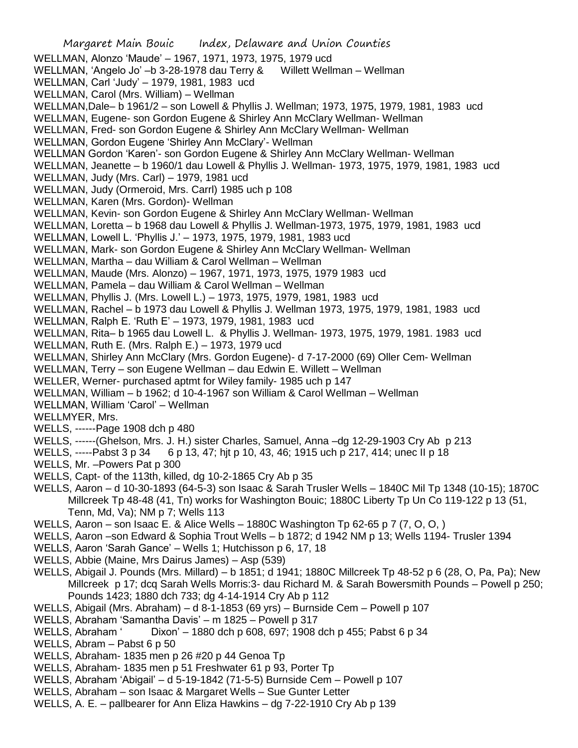Margaret Main Bouic Index, Delaware and Union Counties WELLMAN, Alonzo 'Maude' – 1967, 1971, 1973, 1975, 1979 ucd WELLMAN, 'Angelo Jo' –b 3-28-1978 dau Terry & Willett Wellman – Wellman WELLMAN, Carl 'Judy' – 1979, 1981, 1983 ucd WELLMAN, Carol (Mrs. William) – Wellman WELLMAN,Dale– b 1961/2 – son Lowell & Phyllis J. Wellman; 1973, 1975, 1979, 1981, 1983 ucd WELLMAN, Eugene- son Gordon Eugene & Shirley Ann McClary Wellman- Wellman WELLMAN, Fred- son Gordon Eugene & Shirley Ann McClary Wellman- Wellman WELLMAN, Gordon Eugene 'Shirley Ann McClary'- Wellman WELLMAN Gordon 'Karen'- son Gordon Eugene & Shirley Ann McClary Wellman- Wellman WELLMAN, Jeanette – b 1960/1 dau Lowell & Phyllis J. Wellman- 1973, 1975, 1979, 1981, 1983 ucd WELLMAN, Judy (Mrs. Carl) – 1979, 1981 ucd WELLMAN, Judy (Ormeroid, Mrs. Carrl) 1985 uch p 108 WELLMAN, Karen (Mrs. Gordon)- Wellman WELLMAN, Kevin- son Gordon Eugene & Shirley Ann McClary Wellman- Wellman WELLMAN, Loretta – b 1968 dau Lowell & Phyllis J. Wellman-1973, 1975, 1979, 1981, 1983 ucd WELLMAN, Lowell L. 'Phyllis J.' – 1973, 1975, 1979, 1981, 1983 ucd WELLMAN, Mark- son Gordon Eugene & Shirley Ann McClary Wellman- Wellman WELLMAN, Martha – dau William & Carol Wellman – Wellman WELLMAN, Maude (Mrs. Alonzo) – 1967, 1971, 1973, 1975, 1979 1983 ucd WELLMAN, Pamela – dau William & Carol Wellman – Wellman WELLMAN, Phyllis J. (Mrs. Lowell L.) – 1973, 1975, 1979, 1981, 1983 ucd WELLMAN, Rachel – b 1973 dau Lowell & Phyllis J. Wellman 1973, 1975, 1979, 1981, 1983 ucd WELLMAN, Ralph E. 'Ruth E' – 1973, 1979, 1981, 1983 ucd WELLMAN, Rita– b 1965 dau Lowell L. & Phyllis J. Wellman- 1973, 1975, 1979, 1981. 1983 ucd WELLMAN, Ruth E. (Mrs. Ralph E.) – 1973, 1979 ucd WELLMAN, Shirley Ann McClary (Mrs. Gordon Eugene)- d 7-17-2000 (69) Oller Cem- Wellman WELLMAN, Terry – son Eugene Wellman – dau Edwin E. Willett – Wellman WELLER, Werner- purchased aptmt for Wiley family- 1985 uch p 147 WELLMAN, William – b 1962; d 10-4-1967 son William & Carol Wellman – Wellman WELLMAN, William 'Carol' – Wellman WELLMYER, Mrs. WELLS, ------Page 1908 dch p 480 WELLS, ------(Ghelson, Mrs. J. H.) sister Charles, Samuel, Anna –dg 12-29-1903 Cry Ab p 213 WELLS, -----Pabst 3 p 34 6 p 13, 47; hit p 10, 43, 46; 1915 uch p 217, 414; unec II p 18 WELLS, Mr. –Powers Pat p 300 WELLS, Capt- of the 113th, killed, dg 10-2-1865 Cry Ab p 35 WELLS, Aaron – d 10-30-1893 (64-5-3) son Isaac & Sarah Trusler Wells – 1840C Mil Tp 1348 (10-15); 1870C Millcreek Tp 48-48 (41, Tn) works for Washington Bouic; 1880C Liberty Tp Un Co 119-122 p 13 (51, Tenn, Md, Va); NM p 7; Wells 113 WELLS, Aaron – son Isaac E. & Alice Wells – 1880C Washington Tp 62-65 p 7 (7, O, O, ) WELLS, Aaron –son Edward & Sophia Trout Wells – b 1872; d 1942 NM p 13; Wells 1194- Trusler 1394 WELLS, Aaron 'Sarah Gance' – Wells 1; Hutchisson p 6, 17, 18 WELLS, Abbie (Maine, Mrs Dairus James) – Asp (539) WELLS, Abigail J. Pounds (Mrs. Millard) – b 1851; d 1941; 1880C Millcreek Tp 48-52 p 6 (28, O, Pa, Pa); New Millcreek p 17; dcq Sarah Wells Morris:3- dau Richard M. & Sarah Bowersmith Pounds – Powell p 250; Pounds 1423; 1880 dch 733; dg 4-14-1914 Cry Ab p 112 WELLS, Abigail (Mrs. Abraham) – d 8-1-1853 (69 yrs) – Burnside Cem – Powell p 107 WELLS, Abraham 'Samantha Davis' – m 1825 – Powell p 317 WELLS, Abraham ' Dixon' – 1880 dch p 608, 697; 1908 dch p 455; Pabst 6 p 34 WELLS, Abram – Pabst 6 p 50 WELLS, Abraham- 1835 men p 26 #20 p 44 Genoa Tp WELLS, Abraham- 1835 men p 51 Freshwater 61 p 93, Porter Tp WELLS, Abraham 'Abigail' – d 5-19-1842 (71-5-5) Burnside Cem – Powell p 107

- WELLS, Abraham son Isaac & Margaret Wells Sue Gunter Letter
- WELLS, A. E. pallbearer for Ann Eliza Hawkins dg 7-22-1910 Cry Ab p 139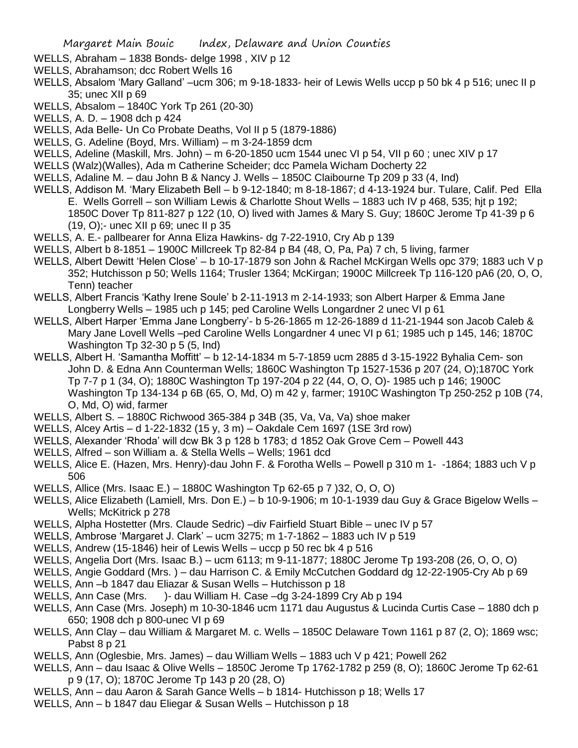- WELLS, Abraham 1838 Bonds- delge 1998 , XIV p 12
- WELLS, Abrahamson; dcc Robert Wells 16
- WELLS, Absalom 'Mary Galland' –ucm 306; m 9-18-1833- heir of Lewis Wells uccp p 50 bk 4 p 516; unec II p 35; unec XII p 69
- WELLS, Absalom 1840C York Tp 261 (20-30)
- WELLS, A. D. 1908 dch p 424
- WELLS, Ada Belle- Un Co Probate Deaths, Vol II p 5 (1879-1886)
- WELLS, G. Adeline (Boyd, Mrs. William) m 3-24-1859 dcm
- WELLS, Adeline (Maskill, Mrs. John) m 6-20-1850 ucm 1544 unec VI p 54, VII p 60 ; unec XIV p 17
- WELLS (Walz)(Walles), Ada m Catherine Scheider; dcc Pamela Wicham Docherty 22
- WELLS, Adaline M. dau John B & Nancy J. Wells 1850C Claibourne Tp 209 p 33 (4, Ind)
- WELLS, Addison M. 'Mary Elizabeth Bell b 9-12-1840; m 8-18-1867; d 4-13-1924 bur. Tulare, Calif. Ped Ella E. Wells Gorrell – son William Lewis & Charlotte Shout Wells – 1883 uch IV p 468, 535; hjt p 192; 1850C Dover Tp 811-827 p 122 (10, O) lived with James & Mary S. Guy; 1860C Jerome Tp 41-39 p 6 (19, O);- unec XII p 69; unec II p 35
- WELLS, A. E.- pallbearer for Anna Eliza Hawkins- dg 7-22-1910, Cry Ab p 139
- WELLS, Albert b 8-1851 1900C Millcreek Tp 82-84 p B4 (48, O, Pa, Pa) 7 ch, 5 living, farmer
- WELLS, Albert Dewitt 'Helen Close' b 10-17-1879 son John & Rachel McKirgan Wells opc 379; 1883 uch V p 352; Hutchisson p 50; Wells 1164; Trusler 1364; McKirgan; 1900C Millcreek Tp 116-120 pA6 (20, O, O, Tenn) teacher
- WELLS, Albert Francis 'Kathy Irene Soule' b 2-11-1913 m 2-14-1933; son Albert Harper & Emma Jane Longberry Wells – 1985 uch p 145; ped Caroline Wells Longardner 2 unec VI p 61
- WELLS, Albert Harper 'Emma Jane Longberry'- b 5-26-1865 m 12-26-1889 d 11-21-1944 son Jacob Caleb & Mary Jane Lovell Wells –ped Caroline Wells Longardner 4 unec VI p 61; 1985 uch p 145, 146; 1870C Washington Tp 32-30 p 5 (5, Ind)
- WELLS, Albert H. 'Samantha Moffitt' b 12-14-1834 m 5-7-1859 ucm 2885 d 3-15-1922 Byhalia Cem- son John D. & Edna Ann Counterman Wells; 1860C Washington Tp 1527-1536 p 207 (24, O);1870C York Tp 7-7 p 1 (34, O); 1880C Washington Tp 197-204 p 22 (44, O, O, O)- 1985 uch p 146; 1900C Washington Tp 134-134 p 6B (65, O, Md, O) m 42 y, farmer; 1910C Washington Tp 250-252 p 10B (74, O, Md, O) wid, farmer
- WELLS, Albert S. 1880C Richwood 365-384 p 34B (35, Va, Va, Va) shoe maker
- WELLS, Alcey Artis d 1-22-1832 (15 y, 3 m) Oakdale Cem 1697 (1SE 3rd row)
- WELLS, Alexander 'Rhoda' will dcw Bk 3 p 128 b 1783; d 1852 Oak Grove Cem Powell 443
- WELLS, Alfred son William a. & Stella Wells Wells; 1961 dcd
- WELLS, Alice E. (Hazen, Mrs. Henry)-dau John F. & Forotha Wells Powell p 310 m 1- -1864; 1883 uch V p 506
- WELLS, Allice (Mrs. Isaac E.) 1880C Washington Tp 62-65 p 7 )32, O, O, O)
- WELLS, Alice Elizabeth (Lamiell, Mrs. Don E.) b 10-9-1906; m 10-1-1939 dau Guy & Grace Bigelow Wells Wells; McKitrick p 278
- WELLS, Alpha Hostetter (Mrs. Claude Sedric) –div Fairfield Stuart Bible unec IV p 57
- WELLS, Ambrose 'Margaret J. Clark' ucm 3275; m 1-7-1862 1883 uch IV p 519
- WELLS, Andrew (15-1846) heir of Lewis Wells uccp p 50 rec bk 4 p 516
- WELLS, Angelia Dort (Mrs. Isaac B.) ucm 6113; m 9-11-1877; 1880C Jerome Tp 193-208 (26, O, O, O)
- WELLS, Angie Goddard (Mrs. ) dau Harrison C. & Emily McCutchen Goddard dg 12-22-1905-Cry Ab p 69
- WELLS, Ann –b 1847 dau Eliazar & Susan Wells Hutchisson p 18
- WELLS, Ann Case (Mrs. )- dau William H. Case –dg 3-24-1899 Cry Ab p 194
- WELLS, Ann Case (Mrs. Joseph) m 10-30-1846 ucm 1171 dau Augustus & Lucinda Curtis Case 1880 dch p 650; 1908 dch p 800-unec VI p 69
- WELLS, Ann Clay dau William & Margaret M. c. Wells 1850C Delaware Town 1161 p 87 (2, O); 1869 wsc; Pabst 8 p 21
- WELLS, Ann (Oglesbie, Mrs. James) dau William Wells 1883 uch V p 421; Powell 262
- WELLS, Ann dau Isaac & Olive Wells 1850C Jerome Tp 1762-1782 p 259 (8, O); 1860C Jerome Tp 62-61 p 9 (17, O); 1870C Jerome Tp 143 p 20 (28, O)
- WELLS, Ann dau Aaron & Sarah Gance Wells b 1814- Hutchisson p 18; Wells 17
- WELLS, Ann b 1847 dau Eliegar & Susan Wells Hutchisson p 18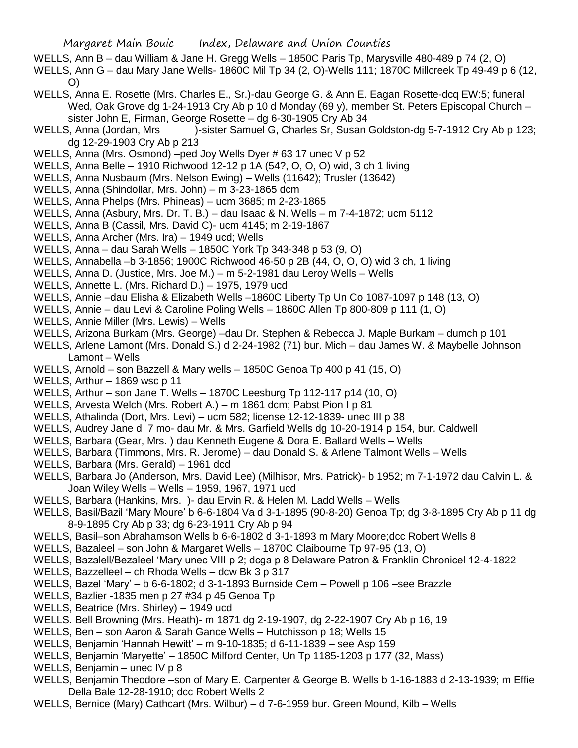- WELLS, Ann B dau William & Jane H. Gregg Wells 1850C Paris Tp, Marysville 480-489 p 74 (2, O)
- WELLS, Ann G dau Mary Jane Wells- 1860C Mil Tp 34 (2, O)-Wells 111; 1870C Millcreek Tp 49-49 p 6 (12, O)
- WELLS, Anna E. Rosette (Mrs. Charles E., Sr.)-dau George G. & Ann E. Eagan Rosette-dcq EW:5; funeral Wed, Oak Grove dg 1-24-1913 Cry Ab p 10 d Monday (69 y), member St. Peters Episcopal Church – sister John E, Firman, George Rosette – dg 6-30-1905 Cry Ab 34
- WELLS, Anna (Jordan, Mrs )-sister Samuel G, Charles Sr, Susan Goldston-dg 5-7-1912 Cry Ab p 123; dg 12-29-1903 Cry Ab p 213
- WELLS, Anna (Mrs. Osmond) –ped Joy Wells Dyer # 63 17 unec V p 52
- WELLS, Anna Belle 1910 Richwood 12-12 p 1A (54?, O, O, O) wid, 3 ch 1 living
- WELLS, Anna Nusbaum (Mrs. Nelson Ewing) Wells (11642); Trusler (13642)
- WELLS, Anna (Shindollar, Mrs. John) m 3-23-1865 dcm
- WELLS, Anna Phelps (Mrs. Phineas) ucm 3685; m 2-23-1865
- WELLS, Anna (Asbury, Mrs. Dr. T. B.) dau Isaac & N. Wells m 7-4-1872; ucm 5112
- WELLS, Anna B (Cassil, Mrs. David C)- ucm 4145; m 2-19-1867
- WELLS, Anna Archer (Mrs. Ira) 1949 ucd; Wells
- WELLS, Anna dau Sarah Wells 1850C York Tp 343-348 p 53 (9, O)
- WELLS, Annabella –b 3-1856; 1900C Richwood 46-50 p 2B (44, O, O, O) wid 3 ch, 1 living
- WELLS, Anna D. (Justice, Mrs. Joe M.) m 5-2-1981 dau Leroy Wells Wells
- WELLS, Annette L. (Mrs. Richard D.) 1975, 1979 ucd
- WELLS, Annie –dau Elisha & Elizabeth Wells –1860C Liberty Tp Un Co 1087-1097 p 148 (13, O)
- WELLS, Annie dau Levi & Caroline Poling Wells 1860C Allen Tp 800-809 p 111 (1, O)
- WELLS, Annie Miller (Mrs. Lewis) Wells
- WELLS, Arizona Burkam (Mrs. George) –dau Dr. Stephen & Rebecca J. Maple Burkam dumch p 101
- WELLS, Arlene Lamont (Mrs. Donald S.) d 2-24-1982 (71) bur. Mich dau James W. & Maybelle Johnson Lamont – Wells
- WELLS, Arnold son Bazzell & Mary wells 1850C Genoa Tp 400 p 41 (15, O)
- WELLS, Arthur 1869 wsc p 11
- WELLS, Arthur son Jane T. Wells 1870C Leesburg Tp 112-117 p14 (10, O)
- WELLS, Arvesta Welch (Mrs. Robert A.) m 1861 dcm; Pabst Pion I p 81
- WELLS, Athalinda (Dort, Mrs. Levi) ucm 582; license 12-12-1839- unec III p 38
- WELLS, Audrey Jane d 7 mo- dau Mr. & Mrs. Garfield Wells dg 10-20-1914 p 154, bur. Caldwell
- WELLS, Barbara (Gear, Mrs. ) dau Kenneth Eugene & Dora E. Ballard Wells Wells
- WELLS, Barbara (Timmons, Mrs. R. Jerome) dau Donald S. & Arlene Talmont Wells Wells
- WELLS, Barbara (Mrs. Gerald) 1961 dcd
- WELLS, Barbara Jo (Anderson, Mrs. David Lee) (Milhisor, Mrs. Patrick)- b 1952; m 7-1-1972 dau Calvin L. & Joan Wiley Wells – Wells – 1959, 1967, 1971 ucd
- WELLS, Barbara (Hankins, Mrs. )- dau Ervin R. & Helen M. Ladd Wells Wells
- WELLS, Basil/Bazil 'Mary Moure' b 6-6-1804 Va d 3-1-1895 (90-8-20) Genoa Tp; dg 3-8-1895 Cry Ab p 11 dg 8-9-1895 Cry Ab p 33; dg 6-23-1911 Cry Ab p 94
- WELLS, Basil–son Abrahamson Wells b 6-6-1802 d 3-1-1893 m Mary Moore;dcc Robert Wells 8
- WELLS, Bazaleel son John & Margaret Wells 1870C Claibourne Tp 97-95 (13, O)
- WELLS, Bazalell/Bezaleel 'Mary unec VIII p 2; dcga p 8 Delaware Patron & Franklin Chronicel 12-4-1822
- WELLS, Bazzelleel ch Rhoda Wells dcw Bk 3 p 317
- WELLS, Bazel 'Mary' b 6-6-1802; d 3-1-1893 Burnside Cem Powell p 106 –see Brazzle
- WELLS, Bazlier -1835 men p 27 #34 p 45 Genoa Tp
- WELLS, Beatrice (Mrs. Shirley) 1949 ucd
- WELLS. Bell Browning (Mrs. Heath)- m 1871 dg 2-19-1907, dg 2-22-1907 Cry Ab p 16, 19
- WELLS, Ben son Aaron & Sarah Gance Wells Hutchisson p 18; Wells 15
- WELLS, Benjamin 'Hannah Hewitt' m 9-10-1835; d 6-11-1839 see Asp 159
- WELLS, Benjamin 'Maryette' 1850C Milford Center, Un Tp 1185-1203 p 177 (32, Mass)
- WELLS, Benjamin unec IV p 8
- WELLS, Benjamin Theodore –son of Mary E. Carpenter & George B. Wells b 1-16-1883 d 2-13-1939; m Effie Della Bale 12-28-1910; dcc Robert Wells 2
- WELLS, Bernice (Mary) Cathcart (Mrs. Wilbur) d 7-6-1959 bur. Green Mound, Kilb Wells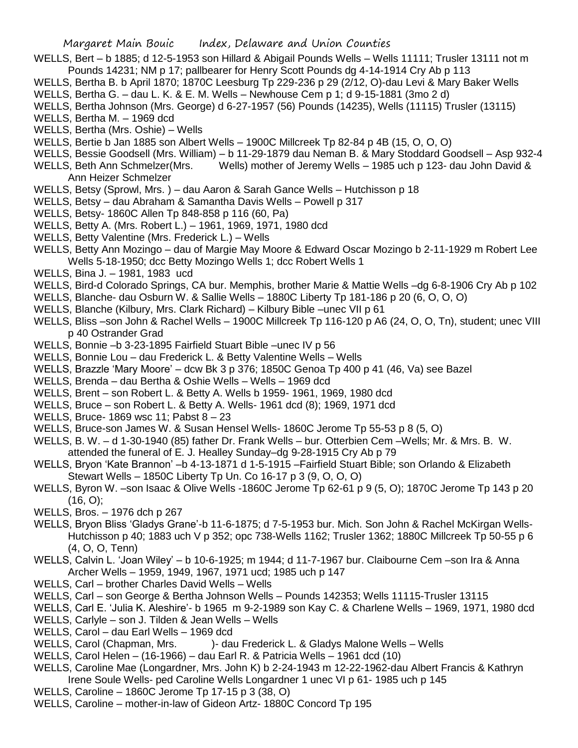- WELLS, Bert b 1885; d 12-5-1953 son Hillard & Abigail Pounds Wells Wells 11111; Trusler 13111 not m
- Pounds 14231; NM p 17; pallbearer for Henry Scott Pounds dg 4-14-1914 Cry Ab p 113
- WELLS, Bertha B. b April 1870; 1870C Leesburg Tp 229-236 p 29 (2/12, O)-dau Levi & Mary Baker Wells
- WELLS, Bertha G. dau L. K. & E. M. Wells Newhouse Cem p 1; d 9-15-1881 (3mo 2 d)
- WELLS, Bertha Johnson (Mrs. George) d 6-27-1957 (56) Pounds (14235), Wells (11115) Trusler (13115)
- WELLS, Bertha M. 1969 dcd
- WELLS, Bertha (Mrs. Oshie) Wells
- WELLS, Bertie b Jan 1885 son Albert Wells 1900C Millcreek Tp 82-84 p 4B (15, O, O, O)
- WELLS, Bessie Goodsell (Mrs. William) b 11-29-1879 dau Neman B. & Mary Stoddard Goodsell Asp 932-4
- WELLS, Beth Ann Schmelzer(Mrs. Wells) mother of Jeremy Wells 1985 uch p 123- dau John David & Ann Heizer Schmelzer
- WELLS, Betsy (Sprowl, Mrs. ) dau Aaron & Sarah Gance Wells Hutchisson p 18
- WELLS, Betsy dau Abraham & Samantha Davis Wells Powell p 317
- WELLS, Betsy- 1860C Allen Tp 848-858 p 116 (60, Pa)
- WELLS, Betty A. (Mrs. Robert L.) 1961, 1969, 1971, 1980 dcd
- WELLS, Betty Valentine (Mrs. Frederick L.) Wells
- WELLS, Betty Ann Mozingo dau of Margie May Moore & Edward Oscar Mozingo b 2-11-1929 m Robert Lee Wells 5-18-1950; dcc Betty Mozingo Wells 1; dcc Robert Wells 1
- WELLS, Bina J. 1981, 1983 ucd
- WELLS, Bird-d Colorado Springs, CA bur. Memphis, brother Marie & Mattie Wells –dg 6-8-1906 Cry Ab p 102
- WELLS, Blanche- dau Osburn W. & Sallie Wells 1880C Liberty Tp 181-186 p 20 (6, O, O, O)
- WELLS, Blanche (Kilbury, Mrs. Clark Richard) Kilbury Bible –unec VII p 61
- WELLS, Bliss –son John & Rachel Wells 1900C Millcreek Tp 116-120 p A6 (24, O, O, Tn), student; unec VIII p 40 Ostrander Grad
- WELLS, Bonnie –b 3-23-1895 Fairfield Stuart Bible –unec IV p 56
- WELLS, Bonnie Lou dau Frederick L. & Betty Valentine Wells Wells
- WELLS, Brazzle 'Mary Moore' dcw Bk 3 p 376; 1850C Genoa Tp 400 p 41 (46, Va) see Bazel
- WELLS, Brenda dau Bertha & Oshie Wells Wells 1969 dcd
- WELLS, Brent son Robert L. & Betty A. Wells b 1959- 1961, 1969, 1980 dcd
- WELLS, Bruce son Robert L. & Betty A. Wells- 1961 dcd (8); 1969, 1971 dcd
- WELLS, Bruce- 1869 wsc 11; Pabst 8 23
- WELLS, Bruce-son James W. & Susan Hensel Wells- 1860C Jerome Tp 55-53 p 8 (5, O)
- WELLS, B. W. d 1-30-1940 (85) father Dr. Frank Wells bur. Otterbien Cem –Wells; Mr. & Mrs. B. W. attended the funeral of E. J. Healley Sunday–dg 9-28-1915 Cry Ab p 79
- WELLS, Bryon 'Kate Brannon' –b 4-13-1871 d 1-5-1915 –Fairfield Stuart Bible; son Orlando & Elizabeth Stewart Wells – 1850C Liberty Tp Un. Co 16-17 p 3 (9, O, O, O)
- WELLS, Byron W. –son Isaac & Olive Wells -1860C Jerome Tp 62-61 p 9 (5, O); 1870C Jerome Tp 143 p 20  $(16, 0)$ ;
- WELLS, Bros. 1976 dch p 267
- WELLS, Bryon Bliss 'Gladys Grane'-b 11-6-1875; d 7-5-1953 bur. Mich. Son John & Rachel McKirgan Wells-Hutchisson p 40; 1883 uch V p 352; opc 738-Wells 1162; Trusler 1362; 1880C Millcreek Tp 50-55 p 6 (4, O, O, Tenn)
- WELLS, Calvin L. 'Joan Wiley' b 10-6-1925; m 1944; d 11-7-1967 bur. Claibourne Cem –son Ira & Anna Archer Wells – 1959, 1949, 1967, 1971 ucd; 1985 uch p 147
- WELLS, Carl brother Charles David Wells Wells
- WELLS, Carl son George & Bertha Johnson Wells Pounds 142353; Wells 11115-Trusler 13115
- WELLS, Carl E. 'Julia K. Aleshire'- b 1965 m 9-2-1989 son Kay C. & Charlene Wells 1969, 1971, 1980 dcd
- WELLS, Carlyle son J. Tilden & Jean Wells Wells
- WELLS, Carol dau Earl Wells 1969 dcd
- WELLS, Carol (Chapman, Mrs. )- dau Frederick L. & Gladys Malone Wells Wells
- WELLS, Carol Helen (16-1966) dau Earl R. & Patricia Wells 1961 dcd (10)
- WELLS, Caroline Mae (Longardner, Mrs. John K) b 2-24-1943 m 12-22-1962-dau Albert Francis & Kathryn Irene Soule Wells- ped Caroline Wells Longardner 1 unec VI p 61- 1985 uch p 145
- WELLS, Caroline 1860C Jerome Tp 17-15 p 3 (38, O)
- WELLS, Caroline mother-in-law of Gideon Artz- 1880C Concord Tp 195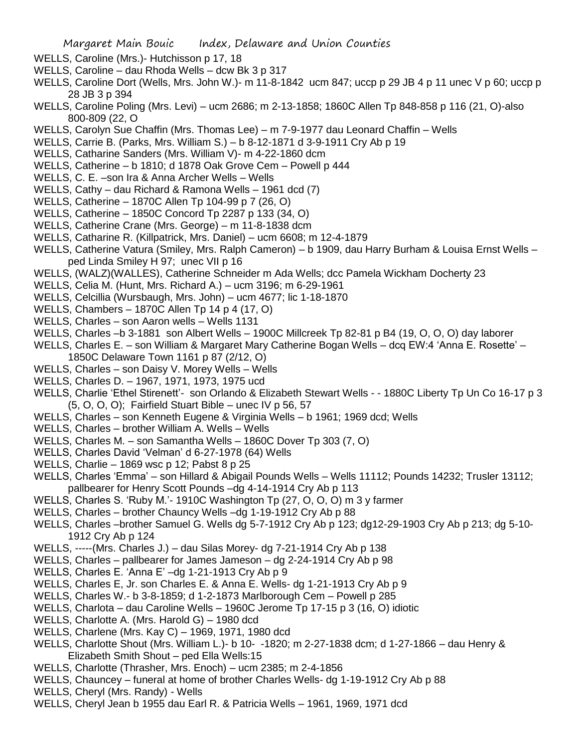- WELLS, Caroline (Mrs.)- Hutchisson p 17, 18
- WELLS, Caroline dau Rhoda Wells dcw Bk 3 p 317
- WELLS, Caroline Dort (Wells, Mrs. John W.)- m 11-8-1842 ucm 847; uccp p 29 JB 4 p 11 unec V p 60; uccp p 28 JB 3 p 394
- WELLS, Caroline Poling (Mrs. Levi) ucm 2686; m 2-13-1858; 1860C Allen Tp 848-858 p 116 (21, O)-also 800-809 (22, O
- WELLS, Carolyn Sue Chaffin (Mrs. Thomas Lee) m 7-9-1977 dau Leonard Chaffin Wells
- WELLS, Carrie B. (Parks, Mrs. William S.) b 8-12-1871 d 3-9-1911 Cry Ab p 19
- WELLS, Catharine Sanders (Mrs. William V)- m 4-22-1860 dcm
- WELLS, Catherine b 1810; d 1878 Oak Grove Cem Powell p 444
- WELLS, C. E. –son Ira & Anna Archer Wells Wells
- WELLS, Cathy dau Richard & Ramona Wells 1961 dcd (7)
- WELLS, Catherine 1870C Allen Tp 104-99 p 7 (26, O)
- WELLS, Catherine 1850C Concord Tp 2287 p 133 (34, O)
- WELLS, Catherine Crane (Mrs. George) m 11-8-1838 dcm
- WELLS, Catharine R. (Killpatrick, Mrs. Daniel) ucm 6608; m 12-4-1879
- WELLS, Catherine Vatura (Smiley, Mrs. Ralph Cameron) b 1909, dau Harry Burham & Louisa Ernst Wells ped Linda Smiley H 97; unec VII p 16
- WELLS, (WALZ)(WALLES), Catherine Schneider m Ada Wells; dcc Pamela Wickham Docherty 23
- WELLS, Celia M. (Hunt, Mrs. Richard A.) ucm 3196; m 6-29-1961
- WELLS, Celcillia (Wursbaugh, Mrs. John) ucm 4677; lic 1-18-1870
- WELLS, Chambers 1870C Allen Tp 14 p 4 (17, O)
- WELLS, Charles son Aaron wells Wells 1131
- WELLS, Charles –b 3-1881 son Albert Wells 1900C Millcreek Tp 82-81 p B4 (19, O, O, O) day laborer
- WELLS, Charles E. son William & Margaret Mary Catherine Bogan Wells dcq EW:4 'Anna E. Rosette' 1850C Delaware Town 1161 p 87 (2/12, O)
- WELLS, Charles son Daisy V. Morey Wells Wells
- WELLS, Charles D. 1967, 1971, 1973, 1975 ucd
- WELLS, Charlie 'Ethel Stirenett'- son Orlando & Elizabeth Stewart Wells - 1880C Liberty Tp Un Co 16-17 p 3 (5, O, O, O); Fairfield Stuart Bible – unec IV p 56, 57
- WELLS, Charles son Kenneth Eugene & Virginia Wells b 1961; 1969 dcd; Wells
- WELLS, Charles brother William A. Wells Wells
- WELLS, Charles M. son Samantha Wells 1860C Dover Tp 303 (7, O)
- WELLS, Charles David 'Velman' d 6-27-1978 (64) Wells
- WELLS, Charlie 1869 wsc p 12; Pabst 8 p 25
- WELLS, Charles 'Emma' son Hillard & Abigail Pounds Wells Wells 11112; Pounds 14232; Trusler 13112; pallbearer for Henry Scott Pounds –dg 4-14-1914 Cry Ab p 113
- WELLS, Charles S. 'Ruby M.'- 1910C Washington Tp (27, O, O, O) m 3 y farmer
- WELLS, Charles brother Chauncy Wells –dg 1-19-1912 Cry Ab p 88
- WELLS, Charles –brother Samuel G. Wells dg 5-7-1912 Cry Ab p 123; dg12-29-1903 Cry Ab p 213; dg 5-10- 1912 Cry Ab p 124
- WELLS, -----(Mrs. Charles J.) dau Silas Morey- dg 7-21-1914 Cry Ab p 138
- WELLS, Charles pallbearer for James Jameson dg 2-24-1914 Cry Ab p 98
- WELLS, Charles E. 'Anna E' –dg 1-21-1913 Cry Ab p 9
- WELLS, Charles E, Jr. son Charles E. & Anna E. Wells- dg 1-21-1913 Cry Ab p 9
- WELLS, Charles W.- b 3-8-1859; d 1-2-1873 Marlborough Cem Powell p 285
- WELLS, Charlota dau Caroline Wells 1960C Jerome Tp 17-15 p 3 (16, O) idiotic
- WELLS, Charlotte A. (Mrs. Harold G) 1980 dcd
- WELLS, Charlene (Mrs. Kay C) 1969, 1971, 1980 dcd
- WELLS, Charlotte Shout (Mrs. William L.)- b 10- -1820; m 2-27-1838 dcm; d 1-27-1866 dau Henry & Elizabeth Smith Shout – ped Ella Wells:15
- WELLS, Charlotte (Thrasher, Mrs. Enoch) ucm 2385; m 2-4-1856
- WELLS, Chauncey funeral at home of brother Charles Wells- dg 1-19-1912 Cry Ab p 88
- WELLS, Cheryl (Mrs. Randy) Wells
- WELLS, Cheryl Jean b 1955 dau Earl R. & Patricia Wells 1961, 1969, 1971 dcd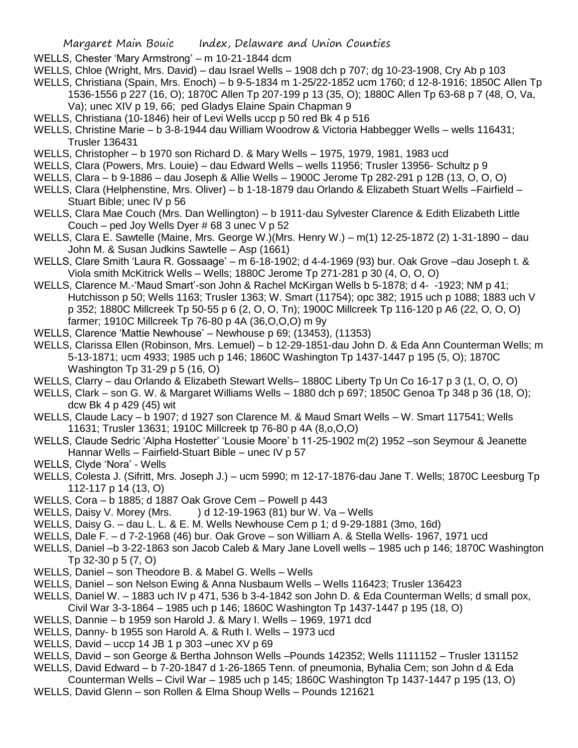- WELLS, Chester 'Mary Armstrong' m 10-21-1844 dcm
- WELLS, Chloe (Wright, Mrs. David) dau Israel Wells 1908 dch p 707; dg 10-23-1908, Cry Ab p 103
- WELLS, Christiana (Spain, Mrs. Enoch) b 9-5-1834 m 1-25/22-1852 ucm 1760; d 12-8-1916; 1850C Allen Tp 1536-1556 p 227 (16, O); 1870C Allen Tp 207-199 p 13 (35, O); 1880C Allen Tp 63-68 p 7 (48, O, Va, Va); unec XIV p 19, 66; ped Gladys Elaine Spain Chapman 9
- WELLS, Christiana (10-1846) heir of Levi Wells uccp p 50 red Bk 4 p 516
- WELLS, Christine Marie b 3-8-1944 dau William Woodrow & Victoria Habbegger Wells wells 116431; Trusler 136431
- WELLS, Christopher b 1970 son Richard D. & Mary Wells 1975, 1979, 1981, 1983 ucd
- WELLS, Clara (Powers, Mrs. Louie) dau Edward Wells wells 11956; Trusler 13956- Schultz p 9
- WELLS, Clara b 9-1886 dau Joseph & Allie Wells 1900C Jerome Tp 282-291 p 12B (13, O, O, O)
- WELLS, Clara (Helphenstine, Mrs. Oliver) b 1-18-1879 dau Orlando & Elizabeth Stuart Wells –Fairfield Stuart Bible; unec IV p 56
- WELLS, Clara Mae Couch (Mrs. Dan Wellington) b 1911-dau Sylvester Clarence & Edith Elizabeth Little Couch – ped Joy Wells Dyer # 68 3 unec V p 52
- WELLS, Clara E. Sawtelle (Maine, Mrs. George W.)(Mrs. Henry W.) m(1) 12-25-1872 (2) 1-31-1890 dau John M. & Susan Judkins Sawtelle – Asp (1661)
- WELLS, Clare Smith 'Laura R. Gossaage' m 6-18-1902; d 4-4-1969 (93) bur. Oak Grove –dau Joseph t. & Viola smith McKitrick Wells – Wells; 1880C Jerome Tp 271-281 p 30 (4, O, O, O)
- WELLS, Clarence M.-'Maud Smart'-son John & Rachel McKirgan Wells b 5-1878; d 4- -1923; NM p 41; Hutchisson p 50; Wells 1163; Trusler 1363; W. Smart (11754); opc 382; 1915 uch p 1088; 1883 uch V p 352; 1880C Millcreek Tp 50-55 p 6 (2, O, O, Tn); 1900C Millcreek Tp 116-120 p A6 (22, O, O, O) farmer; 1910C Millcreek Tp 76-80 p 4A (36,O,O,O) m 9y
- WELLS, Clarence 'Mattie Newhouse' Newhouse p 69; (13453), (11353)
- WELLS, Clarissa Ellen (Robinson, Mrs. Lemuel) b 12-29-1851-dau John D. & Eda Ann Counterman Wells; m 5-13-1871; ucm 4933; 1985 uch p 146; 1860C Washington Tp 1437-1447 p 195 (5, O); 1870C Washington Tp 31-29 p 5 (16, O)
- WELLS, Clarry dau Orlando & Elizabeth Stewart Wells– 1880C Liberty Tp Un Co 16-17 p 3 (1, O, O, O)
- WELLS, Clark son G. W. & Margaret Williams Wells 1880 dch p 697; 1850C Genoa Tp 348 p 36 (18, O); dcw Bk 4 p 429 (45) wit
- WELLS, Claude Lacy b 1907; d 1927 son Clarence M. & Maud Smart Wells W. Smart 117541; Wells 11631; Trusler 13631; 1910C Millcreek tp 76-80 p 4A (8,o,O,O)
- WELLS, Claude Sedric 'Alpha Hostetter' 'Lousie Moore' b 11-25-1902 m(2) 1952 –son Seymour & Jeanette Hannar Wells – Fairfield-Stuart Bible – unec IV p 57
- WELLS, Clyde 'Nora' Wells
- WELLS, Colesta J. (Sifritt, Mrs. Joseph J.) ucm 5990; m 12-17-1876-dau Jane T. Wells; 1870C Leesburg Tp 112-117 p 14 (13, O)
- WELLS, Cora b 1885; d 1887 Oak Grove Cem Powell p 443
- WELLS, Daisy V. Morey (Mrs.  $\longrightarrow$  ) d 12-19-1963 (81) bur W. Va Wells
- WELLS, Daisy G. dau L. L. & E. M. Wells Newhouse Cem p 1; d 9-29-1881 (3mo, 16d)
- WELLS, Dale F. d 7-2-1968 (46) bur. Oak Grove son William A. & Stella Wells- 1967, 1971 ucd
- WELLS, Daniel –b 3-22-1863 son Jacob Caleb & Mary Jane Lovell wells 1985 uch p 146; 1870C Washington Tp 32-30 p 5 (7, O)
- WELLS, Daniel son Theodore B. & Mabel G. Wells Wells
- WELLS, Daniel son Nelson Ewing & Anna Nusbaum Wells Wells 116423; Trusler 136423
- WELLS, Daniel W. 1883 uch IV p 471, 536 b 3-4-1842 son John D. & Eda Counterman Wells; d small pox, Civil War 3-3-1864 – 1985 uch p 146; 1860C Washington Tp 1437-1447 p 195 (18, O)
- WELLS, Dannie b 1959 son Harold J. & Mary I. Wells 1969, 1971 dcd
- WELLS, Danny- b 1955 son Harold A. & Ruth I. Wells 1973 ucd
- WELLS, David uccp 14 JB 1 p 303 –unec XV p 69
- WELLS, David son George & Bertha Johnson Wells –Pounds 142352; Wells 1111152 Trusler 131152
- WELLS, David Edward b 7-20-1847 d 1-26-1865 Tenn. of pneumonia, Byhalia Cem; son John d & Eda
- Counterman Wells Civil War 1985 uch p 145; 1860C Washington Tp 1437-1447 p 195 (13, O)
- WELLS, David Glenn son Rollen & Elma Shoup Wells Pounds 121621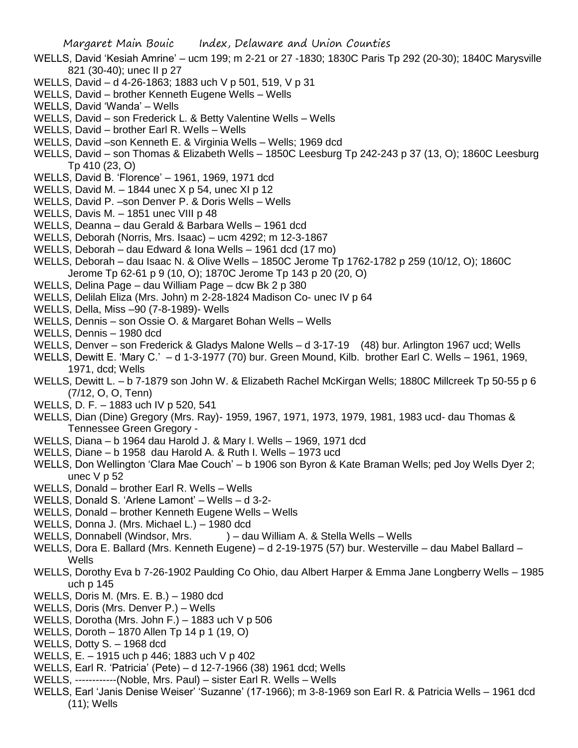- WELLS, David 'Kesiah Amrine' ucm 199; m 2-21 or 27 -1830; 1830C Paris Tp 292 (20-30); 1840C Marysville 821 (30-40); unec II p 27
- WELLS, David d 4-26-1863; 1883 uch V p 501, 519, V p 31
- WELLS, David brother Kenneth Eugene Wells Wells
- WELLS, David 'Wanda' Wells
- WELLS, David son Frederick L. & Betty Valentine Wells Wells
- WELLS, David brother Earl R. Wells Wells
- WELLS, David –son Kenneth E. & Virginia Wells Wells; 1969 dcd
- WELLS, David son Thomas & Elizabeth Wells 1850C Leesburg Tp 242-243 p 37 (13, O); 1860C Leesburg Tp 410 (23, O)
- WELLS, David B. 'Florence' 1961, 1969, 1971 dcd
- WELLS, David M.  $-$  1844 unec X p 54, unec XI p 12
- WELLS, David P. –son Denver P. & Doris Wells Wells
- WELLS, Davis M. 1851 unec VIII p 48
- WELLS, Deanna dau Gerald & Barbara Wells 1961 dcd
- WELLS, Deborah (Norris, Mrs. Isaac) ucm 4292; m 12-3-1867
- WELLS, Deborah dau Edward & Iona Wells 1961 dcd (17 mo)
- WELLS, Deborah dau Isaac N. & Olive Wells 1850C Jerome Tp 1762-1782 p 259 (10/12, O); 1860C Jerome Tp 62-61 p 9 (10, O); 1870C Jerome Tp 143 p 20 (20, O)
- WELLS, Delina Page dau William Page dcw Bk 2 p 380
- WELLS, Delilah Eliza (Mrs. John) m 2-28-1824 Madison Co- unec IV p 64
- WELLS, Della, Miss –90 (7-8-1989)- Wells
- WELLS, Dennis son Ossie O. & Margaret Bohan Wells Wells
- WELLS, Dennis 1980 dcd
- WELLS, Denver son Frederick & Gladys Malone Wells d 3-17-19 (48) bur. Arlington 1967 ucd; Wells
- WELLS, Dewitt E. 'Mary C.' d 1-3-1977 (70) bur. Green Mound, Kilb. brother Earl C. Wells 1961, 1969, 1971, dcd; Wells
- WELLS, Dewitt L. b 7-1879 son John W. & Elizabeth Rachel McKirgan Wells; 1880C Millcreek Tp 50-55 p 6 (7/12, O, O, Tenn)
- WELLS, D. F. 1883 uch IV p 520, 541
- WELLS, Dian (Dine) Gregory (Mrs. Ray)- 1959, 1967, 1971, 1973, 1979, 1981, 1983 ucd- dau Thomas & Tennessee Green Gregory -
- WELLS, Diana b 1964 dau Harold J. & Mary I. Wells 1969, 1971 dcd
- WELLS, Diane b 1958 dau Harold A. & Ruth I. Wells 1973 ucd
- WELLS, Don Wellington 'Clara Mae Couch' b 1906 son Byron & Kate Braman Wells; ped Joy Wells Dyer 2; unec  $V$  p 52
- WELLS, Donald brother Earl R. Wells Wells
- WELLS, Donald S. 'Arlene Lamont' Wells d 3-2-
- WELLS, Donald brother Kenneth Eugene Wells Wells
- WELLS, Donna J. (Mrs. Michael L.) 1980 dcd
- WELLS, Donnabell (Windsor, Mrs. ) dau William A. & Stella Wells Wells
- WELLS, Dora E. Ballard (Mrs. Kenneth Eugene) d 2-19-1975 (57) bur. Westerville dau Mabel Ballard **Wells**
- WELLS, Dorothy Eva b 7-26-1902 Paulding Co Ohio, dau Albert Harper & Emma Jane Longberry Wells 1985 uch p 145
- WELLS, Doris M. (Mrs. E. B.) 1980 dcd
- WELLS, Doris (Mrs. Denver P.) Wells
- WELLS, Dorotha (Mrs. John F.) 1883 uch V p 506
- WELLS, Doroth 1870 Allen Tp 14 p 1 (19, O)
- WELLS, Dotty S. 1968 dcd
- WELLS, E. 1915 uch p 446; 1883 uch V p 402
- WELLS, Earl R. 'Patricia' (Pete) d 12-7-1966 (38) 1961 dcd; Wells
- WELLS, ------------(Noble, Mrs. Paul) sister Earl R. Wells Wells
- WELLS, Earl 'Janis Denise Weiser' 'Suzanne' (17-1966); m 3-8-1969 son Earl R. & Patricia Wells 1961 dcd (11); Wells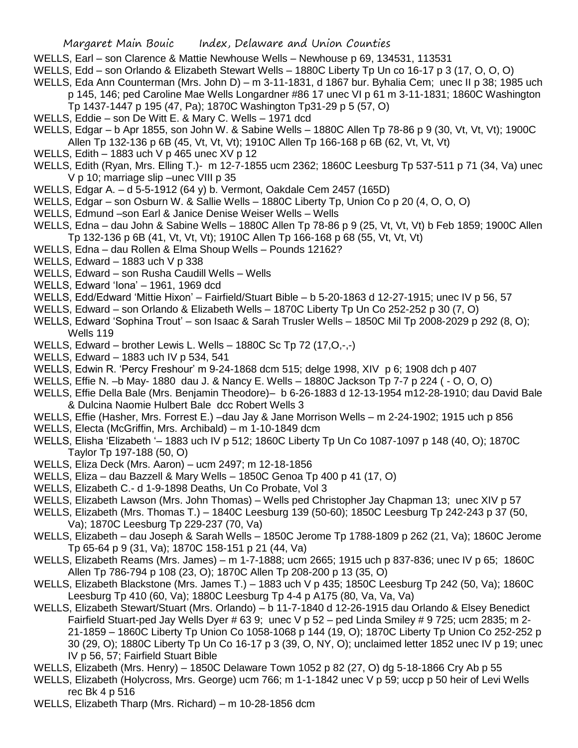- WELLS, Earl son Clarence & Mattie Newhouse Wells Newhouse p 69, 134531, 113531
- WELLS, Edd son Orlando & Elizabeth Stewart Wells 1880C Liberty Tp Un co 16-17 p 3 (17, O, O, O)
- WELLS, Eda Ann Counterman (Mrs. John D) m 3-11-1831, d 1867 bur. Byhalia Cem; unec II p 38; 1985 uch
	- p 145, 146; ped Caroline Mae Wells Longardner #86 17 unec VI p 61 m 3-11-1831; 1860C Washington Tp 1437-1447 p 195 (47, Pa); 1870C Washington Tp31-29 p 5 (57, O)
- WELLS, Eddie son De Witt E. & Mary C. Wells 1971 dcd
- WELLS, Edgar b Apr 1855, son John W. & Sabine Wells 1880C Allen Tp 78-86 p 9 (30, Vt, Vt, Vt); 1900C Allen Tp 132-136 p 6B (45, Vt, Vt, Vt); 1910C Allen Tp 166-168 p 6B (62, Vt, Vt, Vt)
- WELLS, Edith  $-$  1883 uch V p 465 unec XV p 12
- WELLS, Edith (Ryan, Mrs. Elling T.)- m 12-7-1855 ucm 2362; 1860C Leesburg Tp 537-511 p 71 (34, Va) unec V p 10; marriage slip –unec VIII p 35
- WELLS, Edgar A. d 5-5-1912 (64 y) b. Vermont, Oakdale Cem 2457 (165D)
- WELLS, Edgar son Osburn W. & Sallie Wells 1880C Liberty Tp, Union Co p 20 (4, O, O, O)
- WELLS, Edmund –son Earl & Janice Denise Weiser Wells Wells
- WELLS, Edna dau John & Sabine Wells 1880C Allen Tp 78-86 p 9 (25, Vt, Vt, Vt) b Feb 1859; 1900C Allen Tp 132-136 p 6B (41, Vt, Vt, Vt); 1910C Allen Tp 166-168 p 68 (55, Vt, Vt, Vt)
- WELLS, Edna dau Rollen & Elma Shoup Wells Pounds 12162?
- WELLS, Edward 1883 uch V p 338
- WELLS, Edward son Rusha Caudill Wells Wells
- WELLS, Edward 'Iona' 1961, 1969 dcd
- WELLS, Edd/Edward 'Mittie Hixon' Fairfield/Stuart Bible b 5-20-1863 d 12-27-1915; unec IV p 56, 57
- WELLS, Edward son Orlando & Elizabeth Wells 1870C Liberty Tp Un Co 252-252 p 30 (7, O)
- WELLS, Edward 'Sophina Trout' son Isaac & Sarah Trusler Wells 1850C Mil Tp 2008-2029 p 292 (8, O); Wells 119
- WELLS, Edward brother Lewis L. Wells 1880C Sc Tp 72 (17,O,-,-)
- WELLS, Edward 1883 uch IV p 534, 541
- WELLS, Edwin R. 'Percy Freshour' m 9-24-1868 dcm 515; delge 1998, XIV p 6; 1908 dch p 407
- WELLS, Effie N. –b May- 1880 dau J. & Nancy E. Wells 1880C Jackson Tp 7-7 p 224 ( O, O, O)
- WELLS, Effie Della Bale (Mrs. Benjamin Theodore)– b 6-26-1883 d 12-13-1954 m12-28-1910; dau David Bale & Dulcina Naomie Hulbert Bale dcc Robert Wells 3
- WELLS, Effie (Hasher, Mrs. Forrest E.) –dau Jay & Jane Morrison Wells m 2-24-1902; 1915 uch p 856
- WELLS, Electa (McGriffin, Mrs. Archibald) m 1-10-1849 dcm
- WELLS, Elisha 'Elizabeth '– 1883 uch IV p 512; 1860C Liberty Tp Un Co 1087-1097 p 148 (40, O); 1870C Taylor Tp 197-188 (50, O)
- WELLS, Eliza Deck (Mrs. Aaron) ucm 2497; m 12-18-1856
- WELLS, Eliza dau Bazzell & Mary Wells 1850C Genoa Tp 400 p 41 (17, O)
- WELLS, Elizabeth C.- d 1-9-1898 Deaths, Un Co Probate, Vol 3
- WELLS, Elizabeth Lawson (Mrs. John Thomas) Wells ped Christopher Jay Chapman 13; unec XIV p 57
- WELLS, Elizabeth (Mrs. Thomas T.) 1840C Leesburg 139 (50-60); 1850C Leesburg Tp 242-243 p 37 (50, Va); 1870C Leesburg Tp 229-237 (70, Va)
- WELLS, Elizabeth dau Joseph & Sarah Wells 1850C Jerome Tp 1788-1809 p 262 (21, Va); 1860C Jerome Tp 65-64 p 9 (31, Va); 1870C 158-151 p 21 (44, Va)
- WELLS, Elizabeth Reams (Mrs. James) m 1-7-1888; ucm 2665; 1915 uch p 837-836; unec IV p 65; 1860C Allen Tp 786-794 p 108 (23, O); 1870C Allen Tp 208-200 p 13 (35, O)
- WELLS, Elizabeth Blackstone (Mrs. James T.) 1883 uch V p 435; 1850C Leesburg Tp 242 (50, Va); 1860C Leesburg Tp 410 (60, Va); 1880C Leesburg Tp 4-4 p A175 (80, Va, Va, Va)
- WELLS, Elizabeth Stewart/Stuart (Mrs. Orlando) b 11-7-1840 d 12-26-1915 dau Orlando & Elsey Benedict Fairfield Stuart-ped Jay Wells Dyer # 63 9; unec V p 52 – ped Linda Smiley # 9 725; ucm 2835; m 2- 21-1859 – 1860C Liberty Tp Union Co 1058-1068 p 144 (19, O); 1870C Liberty Tp Union Co 252-252 p 30 (29, O); 1880C Liberty Tp Un Co 16-17 p 3 (39, O, NY, O); unclaimed letter 1852 unec IV p 19; unec IV p 56, 57; Fairfield Stuart Bible
- WELLS, Elizabeth (Mrs. Henry) 1850C Delaware Town 1052 p 82 (27, O) dg 5-18-1866 Cry Ab p 55
- WELLS, Elizabeth (Holycross, Mrs. George) ucm 766; m 1-1-1842 unec V p 59; uccp p 50 heir of Levi Wells rec Bk 4 p 516
- WELLS, Elizabeth Tharp (Mrs. Richard) m 10-28-1856 dcm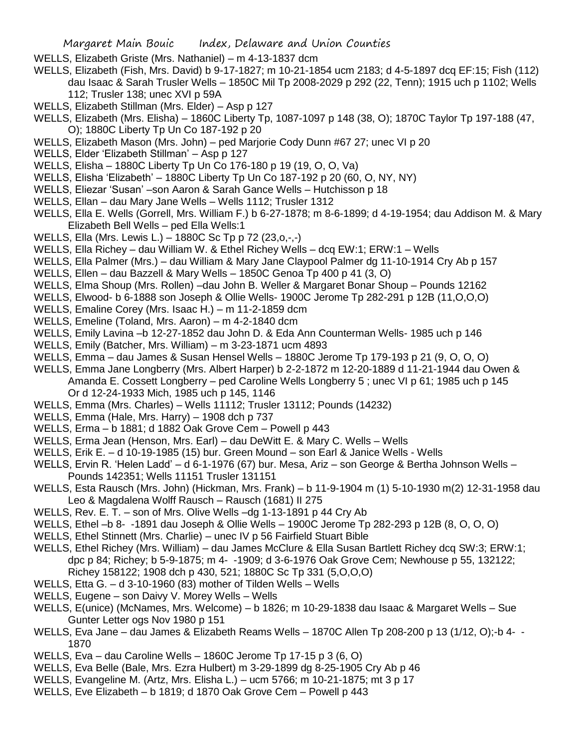- WELLS, Elizabeth Griste (Mrs. Nathaniel) m 4-13-1837 dcm
- WELLS, Elizabeth (Fish, Mrs. David) b 9-17-1827; m 10-21-1854 ucm 2183; d 4-5-1897 dcq EF:15; Fish (112) dau Isaac & Sarah Trusler Wells – 1850C Mil Tp 2008-2029 p 292 (22, Tenn); 1915 uch p 1102; Wells 112; Trusler 138; unec XVI p 59A
- WELLS, Elizabeth Stillman (Mrs. Elder) Asp p 127
- WELLS, Elizabeth (Mrs. Elisha) 1860C Liberty Tp, 1087-1097 p 148 (38, O); 1870C Taylor Tp 197-188 (47, O); 1880C Liberty Tp Un Co 187-192 p 20
- WELLS, Elizabeth Mason (Mrs. John) ped Marjorie Cody Dunn #67 27; unec VI p 20
- WELLS, Elder 'Elizabeth Stillman' Asp p 127
- WELLS, Elisha 1880C Liberty Tp Un Co 176-180 p 19 (19, O, O, Va)
- WELLS, Elisha 'Elizabeth' 1880C Liberty Tp Un Co 187-192 p 20 (60, O, NY, NY)
- WELLS, Eliezar 'Susan' –son Aaron & Sarah Gance Wells Hutchisson p 18
- WELLS, Ellan dau Mary Jane Wells Wells 1112; Trusler 1312
- WELLS, Ella E. Wells (Gorrell, Mrs. William F.) b 6-27-1878; m 8-6-1899; d 4-19-1954; dau Addison M. & Mary Elizabeth Bell Wells – ped Ella Wells:1
- WELLS, Ella (Mrs. Lewis L.) 1880C Sc Tp p 72 (23,o,-,-)
- WELLS, Ella Richey dau William W. & Ethel Richey Wells dcq EW:1; ERW:1 Wells
- WELLS, Ella Palmer (Mrs.) dau William & Mary Jane Claypool Palmer dg 11-10-1914 Cry Ab p 157
- WELLS, Ellen dau Bazzell & Mary Wells 1850C Genoa Tp 400 p 41 (3, O)
- WELLS, Elma Shoup (Mrs. Rollen) –dau John B. Weller & Margaret Bonar Shoup Pounds 12162
- WELLS, Elwood- b 6-1888 son Joseph & Ollie Wells- 1900C Jerome Tp 282-291 p 12B (11,O,O,O)
- WELLS, Emaline Corey (Mrs. Isaac H.) m 11-2-1859 dcm
- WELLS, Emeline (Toland, Mrs. Aaron) m 4-2-1840 dcm
- WELLS, Emily Lavina –b 12-27-1852 dau John D. & Eda Ann Counterman Wells- 1985 uch p 146
- WELLS, Emily (Batcher, Mrs. William) m 3-23-1871 ucm 4893
- WELLS, Emma dau James & Susan Hensel Wells 1880C Jerome Tp 179-193 p 21 (9, O, O, O)
- WELLS, Emma Jane Longberry (Mrs. Albert Harper) b 2-2-1872 m 12-20-1889 d 11-21-1944 dau Owen & Amanda E. Cossett Longberry – ped Caroline Wells Longberry 5 ; unec VI p 61; 1985 uch p 145 Or d 12-24-1933 Mich, 1985 uch p 145, 1146
- WELLS, Emma (Mrs. Charles) Wells 11112; Trusler 13112; Pounds (14232)
- WELLS, Emma (Hale, Mrs. Harry) 1908 dch p 737
- WELLS, Erma b 1881; d 1882 Oak Grove Cem Powell p 443
- WELLS, Erma Jean (Henson, Mrs. Earl) dau DeWitt E. & Mary C. Wells Wells
- WELLS, Erik E. d 10-19-1985 (15) bur. Green Mound son Earl & Janice Wells Wells
- WELLS, Ervin R. 'Helen Ladd' d 6-1-1976 (67) bur. Mesa, Ariz son George & Bertha Johnson Wells Pounds 142351; Wells 11151 Trusler 131151
- WELLS, Esta Rausch (Mrs. John) (Hickman, Mrs. Frank) b 11-9-1904 m (1) 5-10-1930 m(2) 12-31-1958 dau Leo & Magdalena Wolff Rausch – Rausch (1681) II 275
- WELLS, Rev. E. T. son of Mrs. Olive Wells –dg 1-13-1891 p 44 Cry Ab
- WELLS, Ethel –b 8- -1891 dau Joseph & Ollie Wells 1900C Jerome Tp 282-293 p 12B (8, O, O, O)
- WELLS, Ethel Stinnett (Mrs. Charlie) unec IV p 56 Fairfield Stuart Bible
- WELLS, Ethel Richey (Mrs. William) dau James McClure & Ella Susan Bartlett Richey dcq SW:3; ERW:1; dpc p 84; Richey; b 5-9-1875; m 4- -1909; d 3-6-1976 Oak Grove Cem; Newhouse p 55, 132122; Richey 158122; 1908 dch p 430, 521; 1880C Sc Tp 331 (5,O,O,O)
- WELLS, Etta G. d 3-10-1960 (83) mother of Tilden Wells Wells
- WELLS, Eugene son Daivy V. Morey Wells Wells
- WELLS, E(unice) (McNames, Mrs. Welcome) b 1826; m 10-29-1838 dau Isaac & Margaret Wells Sue Gunter Letter ogs Nov 1980 p 151
- WELLS, Eva Jane dau James & Elizabeth Reams Wells 1870C Allen Tp 208-200 p 13 (1/12, O);-b 4- 1870
- WELLS, Eva dau Caroline Wells 1860C Jerome Tp 17-15 p 3 (6, O)
- WELLS, Eva Belle (Bale, Mrs. Ezra Hulbert) m 3-29-1899 dg 8-25-1905 Cry Ab p 46
- WELLS, Evangeline M. (Artz, Mrs. Elisha L.) ucm 5766; m 10-21-1875; mt 3 p 17
- WELLS, Eve Elizabeth b 1819; d 1870 Oak Grove Cem Powell p 443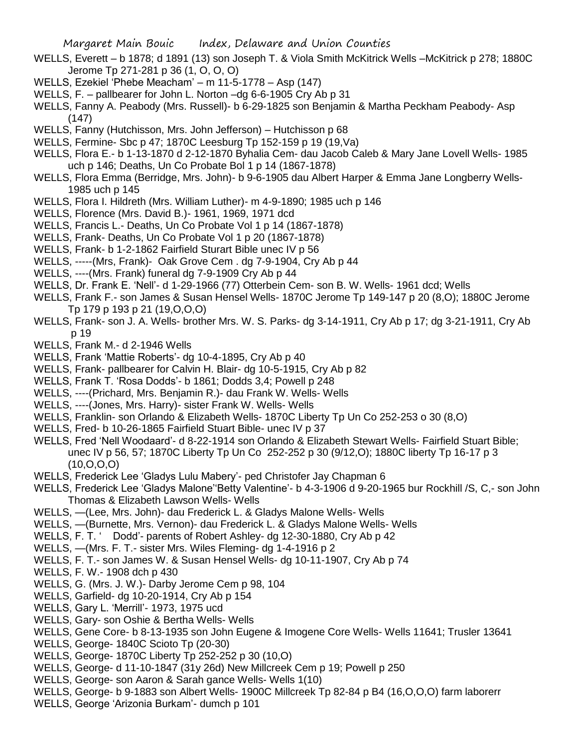- WELLS, Everett b 1878; d 1891 (13) son Joseph T. & Viola Smith McKitrick Wells –McKitrick p 278; 1880C Jerome Tp 271-281 p 36 (1, O, O, O)
- WELLS, Ezekiel 'Phebe Meacham' m 11-5-1778 Asp (147)
- WELLS, F. pallbearer for John L. Norton –dg 6-6-1905 Cry Ab p 31
- WELLS, Fanny A. Peabody (Mrs. Russell)- b 6-29-1825 son Benjamin & Martha Peckham Peabody- Asp (147)
- WELLS, Fanny (Hutchisson, Mrs. John Jefferson) Hutchisson p 68
- WELLS, Fermine- Sbc p 47; 1870C Leesburg Tp 152-159 p 19 (19,Va)
- WELLS, Flora E.- b 1-13-1870 d 2-12-1870 Byhalia Cem- dau Jacob Caleb & Mary Jane Lovell Wells- 1985 uch p 146; Deaths, Un Co Probate Bol 1 p 14 (1867-1878)
- WELLS, Flora Emma (Berridge, Mrs. John)- b 9-6-1905 dau Albert Harper & Emma Jane Longberry Wells-1985 uch p 145
- WELLS, Flora I. Hildreth (Mrs. William Luther)- m 4-9-1890; 1985 uch p 146
- WELLS, Florence (Mrs. David B.)- 1961, 1969, 1971 dcd
- WELLS, Francis L.- Deaths, Un Co Probate Vol 1 p 14 (1867-1878)
- WELLS, Frank- Deaths, Un Co Probate Vol 1 p 20 (1867-1878)
- WELLS, Frank- b 1-2-1862 Fairfield Sturart Bible unec IV p 56
- WELLS, -----(Mrs, Frank)- Oak Grove Cem . dg 7-9-1904, Cry Ab p 44
- WELLS, ----(Mrs. Frank) funeral dg 7-9-1909 Cry Ab p 44
- WELLS, Dr. Frank E. 'Nell'- d 1-29-1966 (77) Otterbein Cem- son B. W. Wells- 1961 dcd; Wells
- WELLS, Frank F.- son James & Susan Hensel Wells- 1870C Jerome Tp 149-147 p 20 (8,O); 1880C Jerome Tp 179 p 193 p 21 (19,O,O,O)
- WELLS, Frank- son J. A. Wells- brother Mrs. W. S. Parks- dg 3-14-1911, Cry Ab p 17; dg 3-21-1911, Cry Ab p 19
- WELLS, Frank M.- d 2-1946 Wells
- WELLS, Frank 'Mattie Roberts'- dg 10-4-1895, Cry Ab p 40
- WELLS, Frank- pallbearer for Calvin H. Blair- dg 10-5-1915, Cry Ab p 82
- WELLS, Frank T. 'Rosa Dodds'- b 1861; Dodds 3,4; Powell p 248
- WELLS, ----(Prichard, Mrs. Benjamin R.)- dau Frank W. Wells- Wells
- WELLS, ----(Jones, Mrs. Harry)- sister Frank W. Wells- Wells
- WELLS, Franklin- son Orlando & Elizabeth Wells- 1870C Liberty Tp Un Co 252-253 o 30 (8,O)
- WELLS, Fred- b 10-26-1865 Fairfield Stuart Bible- unec IV p 37
- WELLS, Fred 'Nell Woodaard'- d 8-22-1914 son Orlando & Elizabeth Stewart Wells- Fairfield Stuart Bible; unec IV p 56, 57; 1870C Liberty Tp Un Co 252-252 p 30 (9/12,O); 1880C liberty Tp 16-17 p 3 (10,O,O,O)
- WELLS, Frederick Lee 'Gladys Lulu Mabery'- ped Christofer Jay Chapman 6
- WELLS, Frederick Lee 'Gladys Malone''Betty Valentine'- b 4-3-1906 d 9-20-1965 bur Rockhill /S, C,- son John Thomas & Elizabeth Lawson Wells- Wells
- WELLS, —(Lee, Mrs. John)- dau Frederick L. & Gladys Malone Wells- Wells
- WELLS, —(Burnette, Mrs. Vernon)- dau Frederick L. & Gladys Malone Wells- Wells
- WELLS, F. T. ' Dodd'- parents of Robert Ashley- dg 12-30-1880, Cry Ab p 42
- WELLS, —(Mrs. F. T.- sister Mrs. Wiles Fleming- dg 1-4-1916 p 2
- WELLS, F. T.- son James W. & Susan Hensel Wells- dg 10-11-1907, Cry Ab p 74
- WELLS, F. W.- 1908 dch p 430
- WELLS, G. (Mrs. J. W.)- Darby Jerome Cem p 98, 104
- WELLS, Garfield- dg 10-20-1914, Cry Ab p 154
- WELLS, Gary L. 'Merrill'- 1973, 1975 ucd
- WELLS, Gary- son Oshie & Bertha Wells- Wells
- WELLS, Gene Core- b 8-13-1935 son John Eugene & Imogene Core Wells- Wells 11641; Trusler 13641
- WELLS, George- 1840C Scioto Tp (20-30)
- WELLS, George- 1870C Liberty Tp 252-252 p 30 (10,O)
- WELLS, George- d 11-10-1847 (31y 26d) New Millcreek Cem p 19; Powell p 250
- WELLS, George- son Aaron & Sarah gance Wells- Wells 1(10)
- WELLS, George- b 9-1883 son Albert Wells- 1900C Millcreek Tp 82-84 p B4 (16,O,O,O) farm laborerr
- WELLS, George 'Arizonia Burkam'- dumch p 101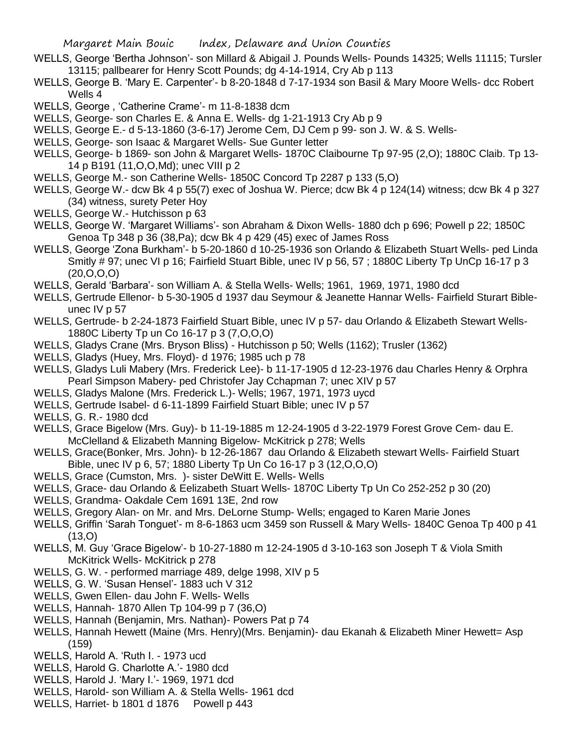- WELLS, George 'Bertha Johnson'- son Millard & Abigail J. Pounds Wells- Pounds 14325; Wells 11115; Tursler 13115; pallbearer for Henry Scott Pounds; dg 4-14-1914, Cry Ab p 113
- WELLS, George B. 'Mary E. Carpenter'- b 8-20-1848 d 7-17-1934 son Basil & Mary Moore Wells- dcc Robert Wells 4
- WELLS, George , 'Catherine Crame'- m 11-8-1838 dcm
- WELLS, George- son Charles E. & Anna E. Wells- dg 1-21-1913 Cry Ab p 9
- WELLS, George E.- d 5-13-1860 (3-6-17) Jerome Cem, DJ Cem p 99- son J. W. & S. Wells-
- WELLS, George- son Isaac & Margaret Wells- Sue Gunter letter
- WELLS, George- b 1869- son John & Margaret Wells- 1870C Claibourne Tp 97-95 (2,O); 1880C Claib. Tp 13- 14 p B191 (11,O,O,Md); unec VIII p 2
- WELLS, George M.- son Catherine Wells- 1850C Concord Tp 2287 p 133 (5,O)
- WELLS, George W.- dcw Bk 4 p 55(7) exec of Joshua W. Pierce; dcw Bk 4 p 124(14) witness; dcw Bk 4 p 327 (34) witness, surety Peter Hoy
- WELLS, George W.- Hutchisson p 63
- WELLS, George W. 'Margaret Williams'- son Abraham & Dixon Wells- 1880 dch p 696; Powell p 22; 1850C Genoa Tp 348 p 36 (38,Pa); dcw Bk 4 p 429 (45) exec of James Ross
- WELLS, George 'Zona Burkham'- b 5-20-1860 d 10-25-1936 son Orlando & Elizabeth Stuart Wells- ped Linda Smitly # 97; unec VI p 16; Fairfield Stuart Bible, unec IV p 56, 57 ; 1880C Liberty Tp UnCp 16-17 p 3  $(20, 0, 0, 0)$
- WELLS, Gerald 'Barbara'- son William A. & Stella Wells- Wells; 1961, 1969, 1971, 1980 dcd
- WELLS, Gertrude Ellenor- b 5-30-1905 d 1937 dau Seymour & Jeanette Hannar Wells- Fairfield Sturart Bibleunec IV p 57
- WELLS, Gertrude- b 2-24-1873 Fairfield Stuart Bible, unec IV p 57- dau Orlando & Elizabeth Stewart Wells-1880C Liberty Tp un Co 16-17 p 3 (7,O,O,O)
- WELLS, Gladys Crane (Mrs. Bryson Bliss) Hutchisson p 50; Wells (1162); Trusler (1362)
- WELLS, Gladys (Huey, Mrs. Floyd)- d 1976; 1985 uch p 78
- WELLS, Gladys Luli Mabery (Mrs. Frederick Lee)- b 11-17-1905 d 12-23-1976 dau Charles Henry & Orphra Pearl Simpson Mabery- ped Christofer Jay Cchapman 7; unec XIV p 57
- WELLS, Gladys Malone (Mrs. Frederick L.)- Wells; 1967, 1971, 1973 uycd
- WELLS, Gertrude Isabel- d 6-11-1899 Fairfield Stuart Bible; unec IV p 57
- WELLS, G. R.- 1980 dcd
- WELLS, Grace Bigelow (Mrs. Guy)- b 11-19-1885 m 12-24-1905 d 3-22-1979 Forest Grove Cem- dau E. McClelland & Elizabeth Manning Bigelow- McKitrick p 278; Wells
- WELLS, Grace(Bonker, Mrs. John)- b 12-26-1867 dau Orlando & Elizabeth stewart Wells- Fairfield Stuart Bible, unec IV p 6, 57; 1880 Liberty Tp Un Co 16-17 p 3 (12,O,O,O)
- WELLS, Grace (Cumston, Mrs. )- sister DeWitt E. Wells- Wells
- WELLS, Grace- dau Orlando & Eelizabeth Stuart Wells- 1870C Liberty Tp Un Co 252-252 p 30 (20)
- WELLS, Grandma- Oakdale Cem 1691 13E, 2nd row
- WELLS, Gregory Alan- on Mr. and Mrs. DeLorne Stump- Wells; engaged to Karen Marie Jones
- WELLS, Griffin 'Sarah Tonguet'- m 8-6-1863 ucm 3459 son Russell & Mary Wells- 1840C Genoa Tp 400 p 41  $(13,0)$
- WELLS, M. Guy 'Grace Bigelow'- b 10-27-1880 m 12-24-1905 d 3-10-163 son Joseph T & Viola Smith McKitrick Wells- McKitrick p 278
- WELLS, G. W. performed marriage 489, delge 1998, XIV p 5
- WELLS, G. W. 'Susan Hensel'- 1883 uch V 312
- WELLS, Gwen Ellen- dau John F. Wells- Wells
- WELLS, Hannah- 1870 Allen Tp 104-99 p 7 (36,O)
- WELLS, Hannah (Benjamin, Mrs. Nathan)- Powers Pat p 74
- WELLS, Hannah Hewett (Maine (Mrs. Henry)(Mrs. Benjamin)- dau Ekanah & Elizabeth Miner Hewett= Asp (159)
- WELLS, Harold A. 'Ruth I. 1973 ucd
- WELLS, Harold G. Charlotte A.'- 1980 dcd
- WELLS, Harold J. 'Mary I.'- 1969, 1971 dcd
- WELLS, Harold- son William A. & Stella Wells- 1961 dcd
- WELLS, Harriet- b 1801 d 1876 Powell p 443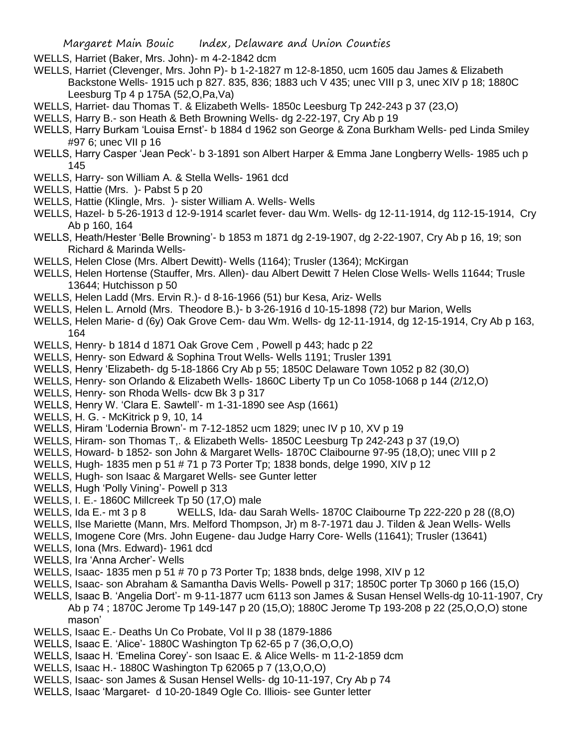- WELLS, Harriet (Baker, Mrs. John)- m 4-2-1842 dcm
- WELLS, Harriet (Clevenger, Mrs. John P)- b 1-2-1827 m 12-8-1850, ucm 1605 dau James & Elizabeth Backstone Wells- 1915 uch p 827. 835, 836; 1883 uch V 435; unec VIII p 3, unec XIV p 18; 1880C Leesburg Tp 4 p 175A (52,O,Pa,Va)
- WELLS, Harriet- dau Thomas T. & Elizabeth Wells- 1850c Leesburg Tp 242-243 p 37 (23,O)
- WELLS, Harry B.- son Heath & Beth Browning Wells- dg 2-22-197, Cry Ab p 19
- WELLS, Harry Burkam 'Louisa Ernst'- b 1884 d 1962 son George & Zona Burkham Wells- ped Linda Smiley #97 6; unec VII p 16
- WELLS, Harry Casper 'Jean Peck'- b 3-1891 son Albert Harper & Emma Jane Longberry Wells- 1985 uch p 145
- WELLS, Harry- son William A. & Stella Wells- 1961 dcd
- WELLS, Hattie (Mrs. )- Pabst 5 p 20
- WELLS, Hattie (Klingle, Mrs. )- sister William A. Wells- Wells
- WELLS, Hazel- b 5-26-1913 d 12-9-1914 scarlet fever- dau Wm. Wells- dg 12-11-1914, dg 112-15-1914, Cry Ab p 160, 164
- WELLS, Heath/Hester 'Belle Browning'- b 1853 m 1871 dg 2-19-1907, dg 2-22-1907, Cry Ab p 16, 19; son Richard & Marinda Wells-
- WELLS, Helen Close (Mrs. Albert Dewitt)- Wells (1164); Trusler (1364); McKirgan
- WELLS, Helen Hortense (Stauffer, Mrs. Allen)- dau Albert Dewitt 7 Helen Close Wells- Wells 11644; Trusle 13644; Hutchisson p 50
- WELLS, Helen Ladd (Mrs. Ervin R.)- d 8-16-1966 (51) bur Kesa, Ariz- Wells
- WELLS, Helen L. Arnold (Mrs. Theodore B.)- b 3-26-1916 d 10-15-1898 (72) bur Marion, Wells
- WELLS, Helen Marie- d (6y) Oak Grove Cem- dau Wm. Wells- dg 12-11-1914, dg 12-15-1914, Cry Ab p 163, 164
- WELLS, Henry- b 1814 d 1871 Oak Grove Cem , Powell p 443; hadc p 22
- WELLS, Henry- son Edward & Sophina Trout Wells- Wells 1191; Trusler 1391
- WELLS, Henry 'Elizabeth- dg 5-18-1866 Cry Ab p 55; 1850C Delaware Town 1052 p 82 (30,O)
- WELLS, Henry- son Orlando & Elizabeth Wells- 1860C Liberty Tp un Co 1058-1068 p 144 (2/12,O)
- WELLS, Henry- son Rhoda Wells- dcw Bk 3 p 317
- WELLS, Henry W. 'Clara E. Sawtell'- m 1-31-1890 see Asp (1661)
- WELLS, H. G. McKitrick p 9, 10, 14
- WELLS, Hiram 'Lodernia Brown'- m 7-12-1852 ucm 1829; unec IV p 10, XV p 19
- WELLS, Hiram- son Thomas T,. & Elizabeth Wells- 1850C Leesburg Tp 242-243 p 37 (19,O)
- WELLS, Howard- b 1852- son John & Margaret Wells- 1870C Claibourne 97-95 (18,O); unec VIII p 2
- WELLS, Hugh- 1835 men p 51 # 71 p 73 Porter Tp; 1838 bonds, delge 1990, XIV p 12
- WELLS, Hugh- son Isaac & Margaret Wells- see Gunter letter
- WELLS, Hugh 'Polly Vining'- Powell p 313
- WELLS, I. E.- 1860C Millcreek Tp 50 (17,O) male
- WELLS, Ida E.- mt 3 p 8 WELLS, Ida- dau Sarah Wells- 1870C Claibourne Tp 222-220 p 28 ((8,0)
- WELLS, Ilse Mariette (Mann, Mrs. Melford Thompson, Jr) m 8-7-1971 dau J. Tilden & Jean Wells- Wells
- WELLS, Imogene Core (Mrs. John Eugene- dau Judge Harry Core- Wells (11641); Trusler (13641)
- WELLS, Iona (Mrs. Edward)- 1961 dcd
- WELLS, Ira 'Anna Archer'- Wells
- WELLS, Isaac- 1835 men p 51 # 70 p 73 Porter Tp; 1838 bnds, delge 1998, XIV p 12
- WELLS, Isaac- son Abraham & Samantha Davis Wells- Powell p 317; 1850C porter Tp 3060 p 166 (15,O)
- WELLS, Isaac B. 'Angelia Dort'- m 9-11-1877 ucm 6113 son James & Susan Hensel Wells-dg 10-11-1907, Cry Ab p 74 ; 1870C Jerome Tp 149-147 p 20 (15,O); 1880C Jerome Tp 193-208 p 22 (25,O,O,O) stone mason'
- WELLS, Isaac E.- Deaths Un Co Probate, Vol II p 38 (1879-1886
- WELLS, Isaac E. 'Alice'- 1880C Washington Tp 62-65 p 7 (36,O,O,O)
- WELLS, Isaac H. 'Emelina Corey'- son Isaac E. & Alice Wells- m 11-2-1859 dcm
- WELLS, Isaac H.- 1880C Washington Tp 62065 p 7 (13,O,O,O)
- WELLS, Isaac- son James & Susan Hensel Wells- dg 10-11-197, Cry Ab p 74
- WELLS, Isaac 'Margaret- d 10-20-1849 Ogle Co. Illiois- see Gunter letter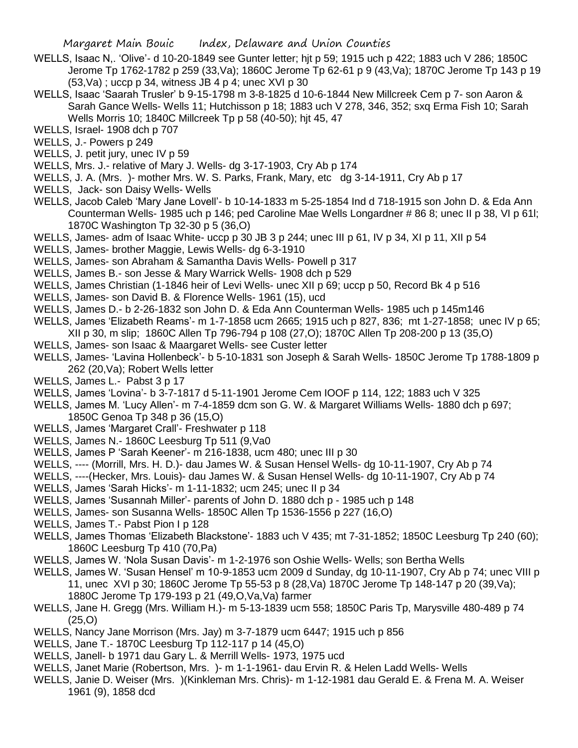- WELLS, Isaac N,. 'Olive'- d 10-20-1849 see Gunter letter; hjt p 59; 1915 uch p 422; 1883 uch V 286; 1850C Jerome Tp 1762-1782 p 259 (33,Va); 1860C Jerome Tp 62-61 p 9 (43,Va); 1870C Jerome Tp 143 p 19  $(53,Va)$ ; uccp p 34, witness JB 4 p 4; unec XVI p 30
- WELLS, Isaac 'Saarah Trusler' b 9-15-1798 m 3-8-1825 d 10-6-1844 New Millcreek Cem p 7- son Aaron & Sarah Gance Wells- Wells 11; Hutchisson p 18; 1883 uch V 278, 346, 352; sxq Erma Fish 10; Sarah Wells Morris 10; 1840C Millcreek Tp p 58 (40-50); hjt 45, 47
- WELLS, Israel- 1908 dch p 707
- WELLS, J.- Powers p 249
- WELLS, J. petit jury, unec IV p 59
- WELLS, Mrs. J.- relative of Mary J. Wells- dg 3-17-1903, Cry Ab p 174
- WELLS, J. A. (Mrs. )- mother Mrs. W. S. Parks, Frank, Mary, etc dg 3-14-1911, Cry Ab p 17
- WELLS, Jack- son Daisy Wells- Wells
- WELLS, Jacob Caleb 'Mary Jane Lovell'- b 10-14-1833 m 5-25-1854 Ind d 718-1915 son John D. & Eda Ann Counterman Wells- 1985 uch p 146; ped Caroline Mae Wells Longardner # 86 8; unec II p 38, VI p 61l; 1870C Washington Tp 32-30 p 5 (36,O)
- WELLS, James- adm of Isaac White- uccp p 30 JB 3 p 244; unec III p 61, IV p 34, XI p 11, XII p 54
- WELLS, James- brother Maggie, Lewis Wells- dg 6-3-1910
- WELLS, James- son Abraham & Samantha Davis Wells- Powell p 317
- WELLS, James B.- son Jesse & Mary Warrick Wells- 1908 dch p 529
- WELLS, James Christian (1-1846 heir of Levi Wells- unec XII p 69; uccp p 50, Record Bk 4 p 516
- WELLS, James- son David B. & Florence Wells- 1961 (15), ucd
- WELLS, James D.- b 2-26-1832 son John D. & Eda Ann Counterman Wells- 1985 uch p 145m146
- WELLS, James 'Elizabeth Reams'- m 1-7-1858 ucm 2665; 1915 uch p 827, 836; mt 1-27-1858; unec IV p 65; XII p 30, m slip; 1860C Allen Tp 796-794 p 108 (27,O); 1870C Allen Tp 208-200 p 13 (35,O)
- WELLS, James- son Isaac & Maargaret Wells- see Custer letter
- WELLS, James- 'Lavina Hollenbeck'- b 5-10-1831 son Joseph & Sarah Wells- 1850C Jerome Tp 1788-1809 p 262 (20,Va); Robert Wells letter
- WELLS, James L.- Pabst 3 p 17
- WELLS, James 'Lovina'- b 3-7-1817 d 5-11-1901 Jerome Cem IOOF p 114, 122; 1883 uch V 325
- WELLS, James M. 'Lucy Allen'- m 7-4-1859 dcm son G. W. & Margaret Williams Wells- 1880 dch p 697; 1850C Genoa Tp 348 p 36 (15,O)
- WELLS, James 'Margaret Crall'- Freshwater p 118
- WELLS, James N.- 1860C Leesburg Tp 511 (9,Va0
- WELLS, James P 'Sarah Keener'- m 216-1838, ucm 480; unec III p 30
- WELLS, ---- (Morrill, Mrs. H. D.)- dau James W. & Susan Hensel Wells- dg 10-11-1907, Cry Ab p 74
- WELLS, ----(Hecker, Mrs. Louis)- dau James W. & Susan Hensel Wells- dg 10-11-1907, Cry Ab p 74
- WELLS, James 'Sarah Hicks'- m 1-11-1832; ucm 245; unec II p 34
- WELLS, James 'Susannah Miller'- parents of John D. 1880 dch p 1985 uch p 148
- WELLS, James- son Susanna Wells- 1850C Allen Tp 1536-1556 p 227 (16,O)
- WELLS, James T.- Pabst Pion I p 128
- WELLS, James Thomas 'Elizabeth Blackstone'- 1883 uch V 435; mt 7-31-1852; 1850C Leesburg Tp 240 (60); 1860C Leesburg Tp 410 (70,Pa)
- WELLS, James W. 'Nola Susan Davis'- m 1-2-1976 son Oshie Wells- Wells; son Bertha Wells
- WELLS, James W. 'Susan Hensel' m 10-9-1853 ucm 2009 d Sunday, dg 10-11-1907, Cry Ab p 74; unec VIII p 11, unec XVI p 30; 1860C Jerome Tp 55-53 p 8 (28,Va) 1870C Jerome Tp 148-147 p 20 (39,Va); 1880C Jerome Tp 179-193 p 21 (49,O,Va,Va) farmer
- WELLS, Jane H. Gregg (Mrs. William H.)- m 5-13-1839 ucm 558; 1850C Paris Tp, Marysville 480-489 p 74 (25,O)
- WELLS, Nancy Jane Morrison (Mrs. Jay) m 3-7-1879 ucm 6447; 1915 uch p 856
- WELLS, Jane T.- 1870C Leesburg Tp 112-117 p 14 (45,O)
- WELLS, Janell- b 1971 dau Gary L. & Merrill Wells- 1973, 1975 ucd
- WELLS, Janet Marie (Robertson, Mrs. )- m 1-1-1961- dau Ervin R. & Helen Ladd Wells- Wells
- WELLS, Janie D. Weiser (Mrs. )(Kinkleman Mrs. Chris)- m 1-12-1981 dau Gerald E. & Frena M. A. Weiser 1961 (9), 1858 dcd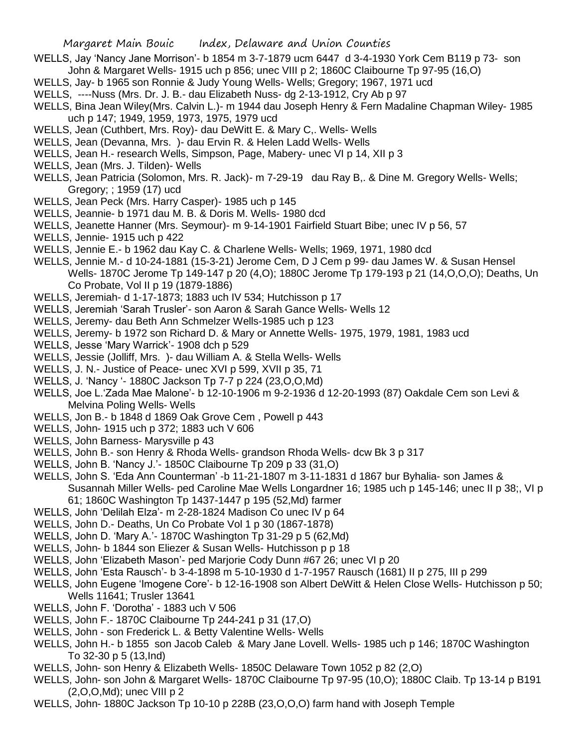- WELLS, Jay 'Nancy Jane Morrison'- b 1854 m 3-7-1879 ucm 6447 d 3-4-1930 York Cem B119 p 73- son John & Margaret Wells- 1915 uch p 856; unec VIII p 2; 1860C Claibourne Tp 97-95 (16,O)
- WELLS, Jay- b 1965 son Ronnie & Judy Young Wells- Wells; Gregory; 1967, 1971 ucd
- WELLS, ----Nuss (Mrs. Dr. J. B.- dau Elizabeth Nuss- dg 2-13-1912, Cry Ab p 97
- WELLS, Bina Jean Wiley(Mrs. Calvin L.)- m 1944 dau Joseph Henry & Fern Madaline Chapman Wiley- 1985 uch p 147; 1949, 1959, 1973, 1975, 1979 ucd
- WELLS, Jean (Cuthbert, Mrs. Roy)- dau DeWitt E. & Mary C,. Wells- Wells
- WELLS, Jean (Devanna, Mrs. )- dau Ervin R. & Helen Ladd Wells- Wells
- WELLS, Jean H.- research Wells, Simpson, Page, Mabery- unec VI p 14, XII p 3
- WELLS, Jean (Mrs. J. Tilden)- Wells
- WELLS, Jean Patricia (Solomon, Mrs. R. Jack)- m 7-29-19 dau Ray B,. & Dine M. Gregory Wells- Wells; Gregory; ; 1959 (17) ucd
- WELLS, Jean Peck (Mrs. Harry Casper)- 1985 uch p 145
- WELLS, Jeannie- b 1971 dau M. B. & Doris M. Wells- 1980 dcd
- WELLS, Jeanette Hanner (Mrs. Seymour)- m 9-14-1901 Fairfield Stuart Bibe; unec IV p 56, 57
- WELLS, Jennie- 1915 uch p 422
- WELLS, Jennie E.- b 1962 dau Kay C. & Charlene Wells- Wells; 1969, 1971, 1980 dcd
- WELLS, Jennie M.- d 10-24-1881 (15-3-21) Jerome Cem, D J Cem p 99- dau James W. & Susan Hensel Wells- 1870C Jerome Tp 149-147 p 20 (4,O); 1880C Jerome Tp 179-193 p 21 (14,O,O,O); Deaths, Un Co Probate, Vol II p 19 (1879-1886)
- WELLS, Jeremiah- d 1-17-1873; 1883 uch IV 534; Hutchisson p 17
- WELLS, Jeremiah 'Sarah Trusler'- son Aaron & Sarah Gance Wells- Wells 12
- WELLS, Jeremy- dau Beth Ann Schmelzer Wells-1985 uch p 123
- WELLS, Jeremy- b 1972 son Richard D. & Mary or Annette Wells- 1975, 1979, 1981, 1983 ucd
- WELLS, Jesse 'Mary Warrick'- 1908 dch p 529
- WELLS, Jessie (Jolliff, Mrs. )- dau William A. & Stella Wells- Wells
- WELLS, J. N.- Justice of Peace- unec XVI p 599, XVII p 35, 71
- WELLS, J. 'Nancy '- 1880C Jackson Tp 7-7 p 224 (23,O,O,Md)
- WELLS, Joe L.'Zada Mae Malone'- b 12-10-1906 m 9-2-1936 d 12-20-1993 (87) Oakdale Cem son Levi & Melvina Poling Wells- Wells
- WELLS, Jon B.- b 1848 d 1869 Oak Grove Cem , Powell p 443
- WELLS, John- 1915 uch p 372; 1883 uch V 606
- WELLS, John Barness- Marysville p 43
- WELLS, John B.- son Henry & Rhoda Wells- grandson Rhoda Wells- dcw Bk 3 p 317
- WELLS, John B. 'Nancy J.'- 1850C Claibourne Tp 209 p 33 (31,O)
- WELLS, John S. 'Eda Ann Counterman' -b 11-21-1807 m 3-11-1831 d 1867 bur Byhalia- son James & Susannah Miller Wells- ped Caroline Mae Wells Longardner 16; 1985 uch p 145-146; unec II p 38;, VI p 61; 1860C Washington Tp 1437-1447 p 195 (52,Md) farmer
- WELLS, John 'Delilah Elza'- m 2-28-1824 Madison Co unec IV p 64
- WELLS, John D.- Deaths, Un Co Probate Vol 1 p 30 (1867-1878)
- WELLS, John D. 'Mary A.'- 1870C Washington Tp 31-29 p 5 (62,Md)
- WELLS, John- b 1844 son Eliezer & Susan Wells- Hutchisson p p 18
- WELLS, John 'Elizabeth Mason'- ped Marjorie Cody Dunn #67 26; unec VI p 20
- WELLS, John 'Esta Rausch'- b 3-4-1898 m 5-10-1930 d 1-7-1957 Rausch (1681) II p 275, III p 299
- WELLS, John Eugene 'Imogene Core'- b 12-16-1908 son Albert DeWitt & Helen Close Wells- Hutchisson p 50; Wells 11641; Trusler 13641
- WELLS, John F. 'Dorotha' 1883 uch V 506
- WELLS, John F.- 1870C Claibourne Tp 244-241 p 31 (17,O)
- WELLS, John son Frederick L. & Betty Valentine Wells- Wells
- WELLS, John H.- b 1855 son Jacob Caleb & Mary Jane Lovell. Wells- 1985 uch p 146; 1870C Washington To 32-30 p 5 (13,Ind)
- WELLS, John- son Henry & Elizabeth Wells- 1850C Delaware Town 1052 p 82 (2,O)
- WELLS, John- son John & Margaret Wells- 1870C Claibourne Tp 97-95 (10,O); 1880C Claib. Tp 13-14 p B191 (2,O,O,Md); unec VIII p 2
- WELLS, John- 1880C Jackson Tp 10-10 p 228B (23,O,O,O) farm hand with Joseph Temple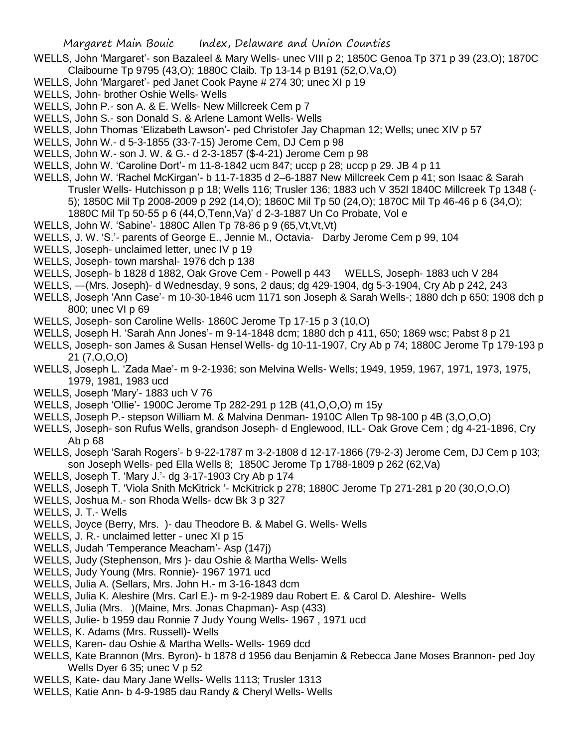- WELLS, John 'Margaret'- son Bazaleel & Mary Wells- unec VIII p 2; 1850C Genoa Tp 371 p 39 (23,O); 1870C Claibourne Tp 9795 (43,O); 1880C Claib. Tp 13-14 p B191 (52,O,Va,O)
- WELLS, John 'Margaret'- ped Janet Cook Payne # 274 30; unec XI p 19
- WELLS, John- brother Oshie Wells- Wells
- WELLS, John P.- son A. & E. Wells- New Millcreek Cem p 7
- WELLS, John S.- son Donald S. & Arlene Lamont Wells- Wells
- WELLS, John Thomas 'Elizabeth Lawson'- ped Christofer Jay Chapman 12; Wells; unec XIV p 57
- WELLS, John W.- d 5-3-1855 (33-7-15) Jerome Cem, DJ Cem p 98
- WELLS, John W.- son J. W. & G.- d 2-3-1857 (\$-4-21) Jerome Cem p 98
- WELLS, John W. 'Caroline Dort'- m 11-8-1842 ucm 847; uccp p 28; uccp p 29. JB 4 p 11
- WELLS, John W. 'Rachel McKirgan'- b 11-7-1835 d 2–6-1887 New Millcreek Cem p 41; son Isaac & Sarah Trusler Wells- Hutchisson p p 18; Wells 116; Trusler 136; 1883 uch V 352l 1840C Millcreek Tp 1348 (- 5); 1850C Mil Tp 2008-2009 p 292 (14,O); 1860C Mil Tp 50 (24,O); 1870C Mil Tp 46-46 p 6 (34,O); 1880C Mil Tp 50-55 p 6 (44,O,Tenn,Va)' d 2-3-1887 Un Co Probate, Vol e
- WELLS, John W. 'Sabine'- 1880C Allen Tp 78-86 p 9 (65,Vt,Vt,Vt)
- WELLS, J. W. 'S.'- parents of George E., Jennie M., Octavia- Darby Jerome Cem p 99, 104
- WELLS, Joseph- unclaimed letter, unec IV p 19
- WELLS, Joseph- town marshal- 1976 dch p 138
- WELLS, Joseph- b 1828 d 1882, Oak Grove Cem Powell p 443 WELLS, Joseph- 1883 uch V 284
- WELLS, —(Mrs. Joseph)- d Wednesday, 9 sons, 2 daus; dg 429-1904, dg 5-3-1904, Cry Ab p 242, 243
- WELLS, Joseph 'Ann Case'- m 10-30-1846 ucm 1171 son Joseph & Sarah Wells-; 1880 dch p 650; 1908 dch p 800; unec VI p 69
- WELLS, Joseph- son Caroline Wells- 1860C Jerome Tp 17-15 p 3 (10,O)
- WELLS, Joseph H. 'Sarah Ann Jones'- m 9-14-1848 dcm; 1880 dch p 411, 650; 1869 wsc; Pabst 8 p 21
- WELLS, Joseph- son James & Susan Hensel Wells- dg 10-11-1907, Cry Ab p 74; 1880C Jerome Tp 179-193 p 21 (7,O,O,O)
- WELLS, Joseph L. 'Zada Mae'- m 9-2-1936; son Melvina Wells- Wells; 1949, 1959, 1967, 1971, 1973, 1975, 1979, 1981, 1983 ucd
- WELLS, Joseph 'Mary'- 1883 uch V 76
- WELLS, Joseph 'Ollie'- 1900C Jerome Tp 282-291 p 12B (41,O,O,O) m 15y
- WELLS, Joseph P.- stepson William M. & Malvina Denman- 1910C Allen Tp 98-100 p 4B (3,O,O,O)
- WELLS, Joseph- son Rufus Wells, grandson Joseph- d Englewood, ILL- Oak Grove Cem ; dg 4-21-1896, Cry Ab p 68
- WELLS, Joseph 'Sarah Rogers'- b 9-22-1787 m 3-2-1808 d 12-17-1866 (79-2-3) Jerome Cem, DJ Cem p 103; son Joseph Wells- ped Ella Wells 8; 1850C Jerome Tp 1788-1809 p 262 (62,Va)
- WELLS, Joseph T. 'Mary J.'- dg 3-17-1903 Cry Ab p 174
- WELLS, Joseph T. 'Viola Snith McKitrick '- McKitrick p 278; 1880C Jerome Tp 271-281 p 20 (30, O, O, O)
- WELLS, Joshua M.- son Rhoda Wells- dcw Bk 3 p 327
- WELLS, J. T.- Wells
- WELLS, Joyce (Berry, Mrs. )- dau Theodore B. & Mabel G. Wells- Wells
- WELLS, J. R.- unclaimed letter unec XI p 15
- WELLS, Judah 'Temperance Meacham'- Asp (147j)
- WELLS, Judy (Stephenson, Mrs )- dau Oshie & Martha Wells- Wells
- WELLS, Judy Young (Mrs. Ronnie)- 1967 1971 ucd
- WELLS, Julia A. (Sellars, Mrs. John H.- m 3-16-1843 dcm
- WELLS, Julia K. Aleshire (Mrs. Carl E.)- m 9-2-1989 dau Robert E. & Carol D. Aleshire- Wells
- WELLS, Julia (Mrs. )(Maine, Mrs. Jonas Chapman)- Asp (433)
- WELLS, Julie- b 1959 dau Ronnie 7 Judy Young Wells- 1967 , 1971 ucd
- WELLS, K. Adams (Mrs. Russell)- Wells
- WELLS, Karen- dau Oshie & Martha Wells- Wells- 1969 dcd
- WELLS, Kate Brannon (Mrs. Byron)- b 1878 d 1956 dau Benjamin & Rebecca Jane Moses Brannon- ped Joy Wells Dyer 6 35; unec V p 52
- WELLS, Kate- dau Mary Jane Wells- Wells 1113; Trusler 1313
- WELLS, Katie Ann- b 4-9-1985 dau Randy & Cheryl Wells- Wells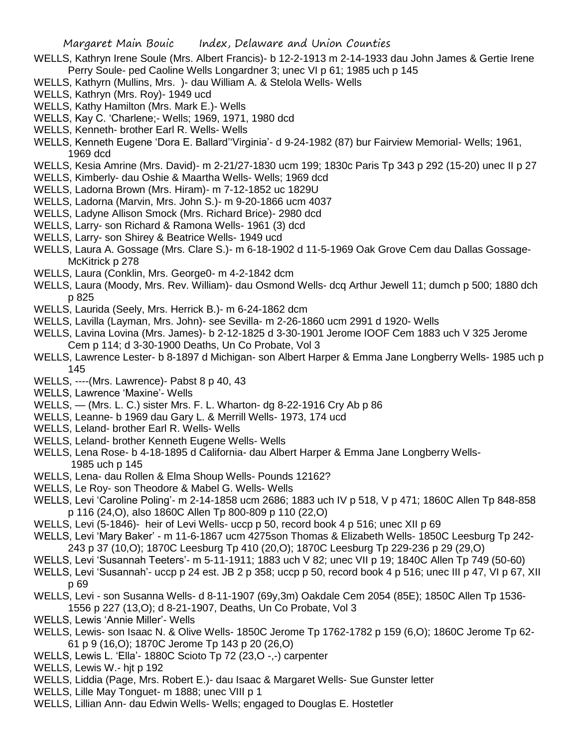- WELLS, Kathryn Irene Soule (Mrs. Albert Francis)- b 12-2-1913 m 2-14-1933 dau John James & Gertie Irene Perry Soule- ped Caoline Wells Longardner 3; unec VI p 61; 1985 uch p 145
- WELLS, Kathyrn (Mullins, Mrs. )- dau William A. & Stelola Wells- Wells
- WELLS, Kathryn (Mrs. Roy)- 1949 ucd
- WELLS, Kathy Hamilton (Mrs. Mark E.)- Wells
- WELLS, Kay C. 'Charlene;- Wells; 1969, 1971, 1980 dcd
- WELLS, Kenneth- brother Earl R. Wells- Wells
- WELLS, Kenneth Eugene 'Dora E. Ballard''Virginia'- d 9-24-1982 (87) bur Fairview Memorial- Wells; 1961, 1969 dcd
- WELLS, Kesia Amrine (Mrs. David)- m 2-21/27-1830 ucm 199; 1830c Paris Tp 343 p 292 (15-20) unec II p 27
- WELLS, Kimberly- dau Oshie & Maartha Wells- Wells; 1969 dcd
- WELLS, Ladorna Brown (Mrs. Hiram)- m 7-12-1852 uc 1829U
- WELLS, Ladorna (Marvin, Mrs. John S.)- m 9-20-1866 ucm 4037
- WELLS, Ladyne Allison Smock (Mrs. Richard Brice)- 2980 dcd
- WELLS, Larry- son Richard & Ramona Wells- 1961 (3) dcd
- WELLS, Larry- son Shirey & Beatrice Wells- 1949 ucd
- WELLS, Laura A. Gossage (Mrs. Clare S.)- m 6-18-1902 d 11-5-1969 Oak Grove Cem dau Dallas Gossage-McKitrick p 278
- WELLS, Laura (Conklin, Mrs. George0- m 4-2-1842 dcm
- WELLS, Laura (Moody, Mrs. Rev. William)- dau Osmond Wells- dcq Arthur Jewell 11; dumch p 500; 1880 dch p 825
- WELLS, Laurida (Seely, Mrs. Herrick B.)- m 6-24-1862 dcm
- WELLS, Lavilla (Layman, Mrs. John)- see Sevilla- m 2-26-1860 ucm 2991 d 1920- Wells
- WELLS, Lavina Lovina (Mrs. James)- b 2-12-1825 d 3-30-1901 Jerome IOOF Cem 1883 uch V 325 Jerome Cem p 114; d 3-30-1900 Deaths, Un Co Probate, Vol 3
- WELLS, Lawrence Lester- b 8-1897 d Michigan- son Albert Harper & Emma Jane Longberry Wells- 1985 uch p 145
- WELLS, ----(Mrs. Lawrence)- Pabst 8 p 40, 43
- WELLS, Lawrence 'Maxine'- Wells
- WELLS, (Mrs. L. C.) sister Mrs. F. L. Wharton- dg 8-22-1916 Cry Ab p 86
- WELLS, Leanne- b 1969 dau Gary L. & Merrill Wells- 1973, 174 ucd
- WELLS, Leland- brother Earl R. Wells- Wells
- WELLS, Leland- brother Kenneth Eugene Wells- Wells
- WELLS, Lena Rose- b 4-18-1895 d California- dau Albert Harper & Emma Jane Longberry Wells- 1985 uch p 145
- WELLS, Lena- dau Rollen & Elma Shoup Wells- Pounds 12162?
- WELLS, Le Roy- son Theodore & Mabel G. Wells- Wells
- WELLS, Levi 'Caroline Poling'- m 2-14-1858 ucm 2686; 1883 uch IV p 518, V p 471; 1860C Allen Tp 848-858 p 116 (24,O), also 1860C Allen Tp 800-809 p 110 (22,O)
- WELLS, Levi (5-1846)- heir of Levi Wells- uccp p 50, record book 4 p 516; unec XII p 69
- WELLS, Levi 'Mary Baker' m 11-6-1867 ucm 4275son Thomas & Elizabeth Wells- 1850C Leesburg Tp 242- 243 p 37 (10,O); 1870C Leesburg Tp 410 (20,O); 1870C Leesburg Tp 229-236 p 29 (29,O)
- WELLS, Levi 'Susannah Teeters'- m 5-11-1911; 1883 uch V 82; unec VII p 19; 1840C Allen Tp 749 (50-60)
- WELLS, Levi 'Susannah'- uccp p 24 est. JB 2 p 358; uccp p 50, record book 4 p 516; unec III p 47, VI p 67, XII p 69
- WELLS, Levi son Susanna Wells- d 8-11-1907 (69y,3m) Oakdale Cem 2054 (85E); 1850C Allen Tp 1536- 1556 p 227 (13,O); d 8-21-1907, Deaths, Un Co Probate, Vol 3
- WELLS, Lewis 'Annie Miller'- Wells
- WELLS, Lewis- son Isaac N. & Olive Wells- 1850C Jerome Tp 1762-1782 p 159 (6,O); 1860C Jerome Tp 62- 61 p 9 (16,O); 1870C Jerome Tp 143 p 20 (26,O)
- WELLS, Lewis L. 'Ella'- 1880C Scioto Tp 72 (23,O -,-) carpenter
- WELLS, Lewis W.- hjt p 192
- WELLS, Liddia (Page, Mrs. Robert E.)- dau Isaac & Margaret Wells- Sue Gunster letter
- WELLS, Lille May Tonguet- m 1888; unec VIII p 1
- WELLS, Lillian Ann- dau Edwin Wells- Wells; engaged to Douglas E. Hostetler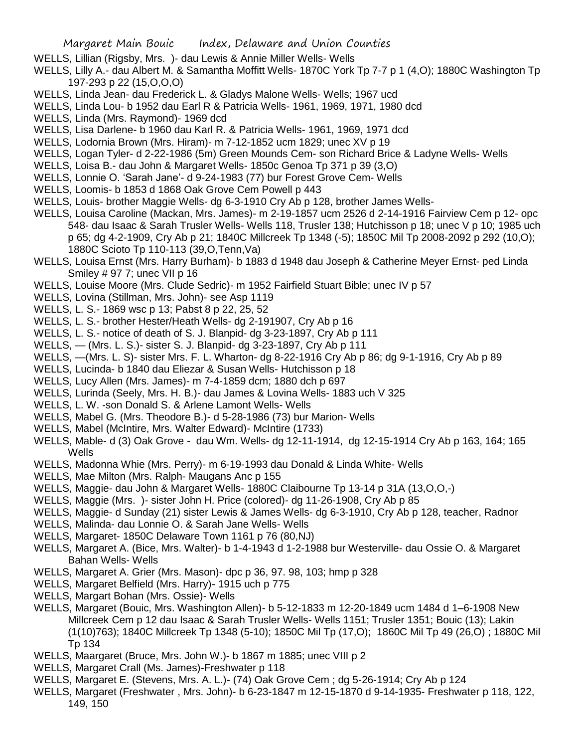- WELLS, Lillian (Rigsby, Mrs. )- dau Lewis & Annie Miller Wells- Wells
- WELLS, Lilly A.- dau Albert M. & Samantha Moffitt Wells- 1870C York Tp 7-7 p 1 (4,O); 1880C Washington Tp 197-293 p 22 (15,O,O,O)
- WELLS, Linda Jean- dau Frederick L. & Gladys Malone Wells- Wells; 1967 ucd
- WELLS, Linda Lou- b 1952 dau Earl R & Patricia Wells- 1961, 1969, 1971, 1980 dcd
- WELLS, Linda (Mrs. Raymond)- 1969 dcd
- WELLS, Lisa Darlene- b 1960 dau Karl R. & Patricia Wells- 1961, 1969, 1971 dcd
- WELLS, Lodornia Brown (Mrs. Hiram)- m 7-12-1852 ucm 1829; unec XV p 19
- WELLS, Logan Tyler- d 2-22-1986 (5m) Green Mounds Cem- son Richard Brice & Ladyne Wells- Wells
- WELLS, Loisa B.- dau John & Margaret Wells- 1850c Genoa Tp 371 p 39 (3,O)
- WELLS, Lonnie O. 'Sarah Jane'- d 9-24-1983 (77) bur Forest Grove Cem- Wells
- WELLS, Loomis- b 1853 d 1868 Oak Grove Cem Powell p 443
- WELLS, Louis- brother Maggie Wells- dg 6-3-1910 Cry Ab p 128, brother James Wells-
- WELLS, Louisa Caroline (Mackan, Mrs. James)- m 2-19-1857 ucm 2526 d 2-14-1916 Fairview Cem p 12- opc 548- dau Isaac & Sarah Trusler Wells- Wells 118, Trusler 138; Hutchisson p 18; unec V p 10; 1985 uch p 65; dg 4-2-1909, Cry Ab p 21; 1840C Millcreek Tp 1348 (-5); 1850C Mil Tp 2008-2092 p 292 (10,O); 1880C Scioto Tp 110-113 (39,O,Tenn,Va)
- WELLS, Louisa Ernst (Mrs. Harry Burham)- b 1883 d 1948 dau Joseph & Catherine Meyer Ernst- ped Linda Smiley # 97 7; unec VII p 16
- WELLS, Louise Moore (Mrs. Clude Sedric)- m 1952 Fairfield Stuart Bible; unec IV p 57
- WELLS, Lovina (Stillman, Mrs. John)- see Asp 1119
- WELLS, L. S.- 1869 wsc p 13; Pabst 8 p 22, 25, 52
- WELLS, L. S.- brother Hester/Heath Wells- dg 2-191907, Cry Ab p 16
- WELLS, L. S.- notice of death of S. J. Blanpid- dg 3-23-1897, Cry Ab p 111
- WELLS, (Mrs. L. S.)- sister S. J. Blanpid- dg 3-23-1897, Cry Ab p 111
- WELLS, —(Mrs. L. S)- sister Mrs. F. L. Wharton- dg 8-22-1916 Cry Ab p 86; dg 9-1-1916, Cry Ab p 89
- WELLS, Lucinda- b 1840 dau Eliezar & Susan Wells- Hutchisson p 18
- WELLS, Lucy Allen (Mrs. James)- m 7-4-1859 dcm; 1880 dch p 697
- WELLS, Lurinda (Seely, Mrs. H. B.)- dau James & Lovina Wells- 1883 uch V 325
- WELLS, L. W. -son Donald S. & Arlene Lamont Wells- Wells
- WELLS, Mabel G. (Mrs. Theodore B.)- d 5-28-1986 (73) bur Marion- Wells
- WELLS, Mabel (McIntire, Mrs. Walter Edward)- McIntire (1733)
- WELLS, Mable- d (3) Oak Grove dau Wm. Wells- dg 12-11-1914, dg 12-15-1914 Cry Ab p 163, 164; 165 Wells
- WELLS, Madonna Whie (Mrs. Perry)- m 6-19-1993 dau Donald & Linda White- Wells
- WELLS, Mae Milton (Mrs. Ralph- Maugans Anc p 155
- WELLS, Maggie- dau John & Margaret Wells- 1880C Claibourne Tp 13-14 p 31A (13,O,O,-)
- WELLS, Maggie (Mrs. )- sister John H. Price (colored)- dg 11-26-1908, Cry Ab p 85
- WELLS, Maggie- d Sunday (21) sister Lewis & James Wells- dg 6-3-1910, Cry Ab p 128, teacher, Radnor
- WELLS, Malinda- dau Lonnie O. & Sarah Jane Wells- Wells
- WELLS, Margaret- 1850C Delaware Town 1161 p 76 (80,NJ)
- WELLS, Margaret A. (Bice, Mrs. Walter)- b 1-4-1943 d 1-2-1988 bur Westerville- dau Ossie O. & Margaret Bahan Wells- Wells
- WELLS, Margaret A. Grier (Mrs. Mason)- dpc p 36, 97. 98, 103; hmp p 328
- WELLS, Margaret Belfield (Mrs. Harry)- 1915 uch p 775
- WELLS, Margart Bohan (Mrs. Ossie)- Wells
- WELLS, Margaret (Bouic, Mrs. Washington Allen)- b 5-12-1833 m 12-20-1849 ucm 1484 d 1–6-1908 New Millcreek Cem p 12 dau Isaac & Sarah Trusler Wells- Wells 1151; Trusler 1351; Bouic (13); Lakin (1(10)763); 1840C Millcreek Tp 1348 (5-10); 1850C Mil Tp (17,O); 1860C Mil Tp 49 (26,O) ; 1880C Mil Tp 134
- WELLS, Maargaret (Bruce, Mrs. John W.)- b 1867 m 1885; unec VIII p 2
- WELLS, Margaret Crall (Ms. James)-Freshwater p 118
- WELLS, Margaret E. (Stevens, Mrs. A. L.)- (74) Oak Grove Cem ; dg 5-26-1914; Cry Ab p 124
- WELLS, Margaret (Freshwater , Mrs. John)- b 6-23-1847 m 12-15-1870 d 9-14-1935- Freshwater p 118, 122, 149, 150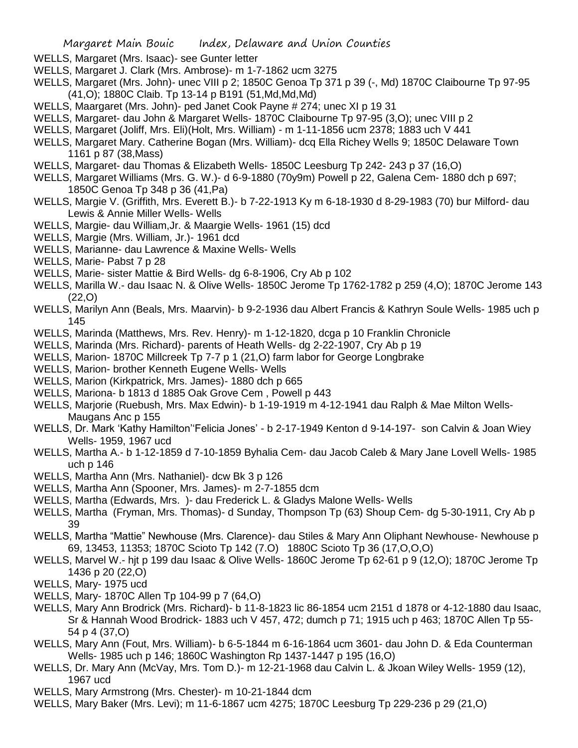- WELLS, Margaret (Mrs. Isaac)- see Gunter letter
- WELLS, Margaret J. Clark (Mrs. Ambrose)- m 1-7-1862 ucm 3275
- WELLS, Margaret (Mrs. John)- unec VIII p 2; 1850C Genoa Tp 371 p 39 (-, Md) 1870C Claibourne Tp 97-95 (41,O); 1880C Claib. Tp 13-14 p B191 (51,Md,Md,Md)
- WELLS, Maargaret (Mrs. John)- ped Janet Cook Payne # 274; unec XI p 19 31
- WELLS, Margaret- dau John & Margaret Wells- 1870C Claibourne Tp 97-95 (3,O); unec VIII p 2
- WELLS, Margaret (Joliff, Mrs. Eli)(Holt, Mrs. William) m 1-11-1856 ucm 2378; 1883 uch V 441
- WELLS, Margaret Mary. Catherine Bogan (Mrs. William)- dcq Ella Richey Wells 9; 1850C Delaware Town 1161 p 87 (38,Mass)
- WELLS, Margaret- dau Thomas & Elizabeth Wells- 1850C Leesburg Tp 242- 243 p 37 (16,O)
- WELLS, Margaret Williams (Mrs. G. W.)- d 6-9-1880 (70y9m) Powell p 22, Galena Cem- 1880 dch p 697; 1850C Genoa Tp 348 p 36 (41,Pa)
- WELLS, Margie V. (Griffith, Mrs. Everett B.)- b 7-22-1913 Ky m 6-18-1930 d 8-29-1983 (70) bur Milford- dau Lewis & Annie Miller Wells- Wells
- WELLS, Margie- dau William,Jr. & Maargie Wells- 1961 (15) dcd
- WELLS, Margie (Mrs. William, Jr.)- 1961 dcd
- WELLS, Marianne- dau Lawrence & Maxine Wells- Wells
- WELLS, Marie- Pabst 7 p 28
- WELLS, Marie- sister Mattie & Bird Wells- dg 6-8-1906, Cry Ab p 102
- WELLS, Marilla W.- dau Isaac N. & Olive Wells- 1850C Jerome Tp 1762-1782 p 259 (4,O); 1870C Jerome 143 (22,O)
- WELLS, Marilyn Ann (Beals, Mrs. Maarvin)- b 9-2-1936 dau Albert Francis & Kathryn Soule Wells- 1985 uch p 145
- WELLS, Marinda (Matthews, Mrs. Rev. Henry)- m 1-12-1820, dcga p 10 Franklin Chronicle
- WELLS, Marinda (Mrs. Richard)- parents of Heath Wells- dg 2-22-1907, Cry Ab p 19
- WELLS, Marion- 1870C Millcreek Tp 7-7 p 1 (21,O) farm labor for George Longbrake
- WELLS, Marion- brother Kenneth Eugene Wells- Wells
- WELLS, Marion (Kirkpatrick, Mrs. James)- 1880 dch p 665
- WELLS, Mariona- b 1813 d 1885 Oak Grove Cem , Powell p 443
- WELLS, Marjorie (Ruebush, Mrs. Max Edwin)- b 1-19-1919 m 4-12-1941 dau Ralph & Mae Milton Wells-Maugans Anc p 155
- WELLS, Dr. Mark 'Kathy Hamilton''Felicia Jones' b 2-17-1949 Kenton d 9-14-197- son Calvin & Joan Wiey Wells- 1959, 1967 ucd
- WELLS, Martha A.- b 1-12-1859 d 7-10-1859 Byhalia Cem- dau Jacob Caleb & Mary Jane Lovell Wells- 1985 uch p 146
- WELLS, Martha Ann (Mrs. Nathaniel)- dcw Bk 3 p 126
- WELLS, Martha Ann (Spooner, Mrs. James)- m 2-7-1855 dcm
- WELLS, Martha (Edwards, Mrs. )- dau Frederick L. & Gladys Malone Wells- Wells
- WELLS, Martha (Fryman, Mrs. Thomas)- d Sunday, Thompson Tp (63) Shoup Cem- dg 5-30-1911, Cry Ab p 39
- WELLS, Martha "Mattie" Newhouse (Mrs. Clarence)- dau Stiles & Mary Ann Oliphant Newhouse- Newhouse p 69, 13453, 11353; 1870C Scioto Tp 142 (7.O) 1880C Scioto Tp 36 (17,O,O,O)
- WELLS, Marvel W.- hjt p 199 dau Isaac & Olive Wells- 1860C Jerome Tp 62-61 p 9 (12,O); 1870C Jerome Tp 1436 p 20 (22,O)
- WELLS, Mary- 1975 ucd
- WELLS, Mary- 1870C Allen Tp 104-99 p 7 (64,O)
- WELLS, Mary Ann Brodrick (Mrs. Richard)- b 11-8-1823 lic 86-1854 ucm 2151 d 1878 or 4-12-1880 dau Isaac, Sr & Hannah Wood Brodrick- 1883 uch V 457, 472; dumch p 71; 1915 uch p 463; 1870C Allen Tp 55- 54 p 4 (37,O)
- WELLS, Mary Ann (Fout, Mrs. William)- b 6-5-1844 m 6-16-1864 ucm 3601- dau John D. & Eda Counterman Wells- 1985 uch p 146; 1860C Washington Rp 1437-1447 p 195 (16,O)
- WELLS, Dr. Mary Ann (McVay, Mrs. Tom D.)- m 12-21-1968 dau Calvin L. & Jkoan Wiley Wells- 1959 (12), 1967 ucd
- WELLS, Mary Armstrong (Mrs. Chester)- m 10-21-1844 dcm
- WELLS, Mary Baker (Mrs. Levi); m 11-6-1867 ucm 4275; 1870C Leesburg Tp 229-236 p 29 (21,O)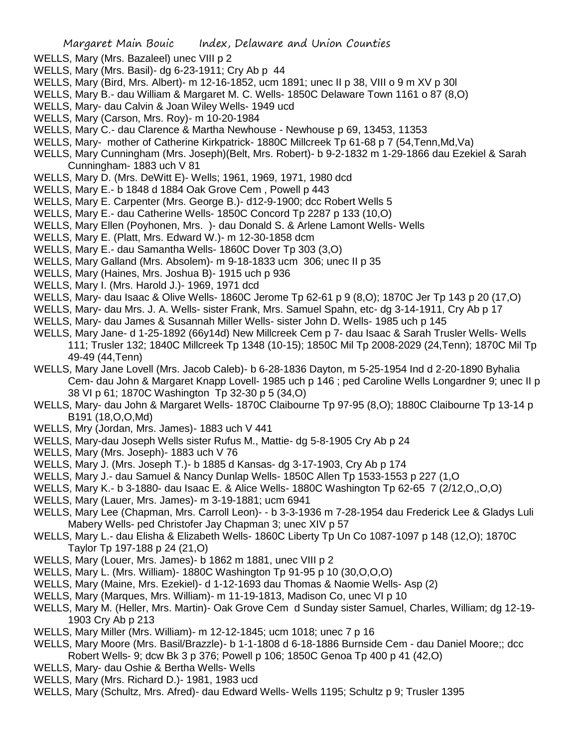- WELLS, Mary (Mrs. Bazaleel) unec VIII p 2
- WELLS, Mary (Mrs. Basil)- dg 6-23-1911; Cry Ab p 44
- WELLS, Mary (Bird, Mrs. Albert)- m 12-16-1852, ucm 1891; unec II p 38, VIII o 9 m XV p 30l
- WELLS, Mary B.- dau William & Margaret M. C. Wells- 1850C Delaware Town 1161 o 87 (8,O)
- WELLS, Mary- dau Calvin & Joan Wiley Wells- 1949 ucd
- WELLS, Mary (Carson, Mrs. Roy)- m 10-20-1984
- WELLS, Mary C.- dau Clarence & Martha Newhouse Newhouse p 69, 13453, 11353
- WELLS, Mary- mother of Catherine Kirkpatrick- 1880C Millcreek Tp 61-68 p 7 (54,Tenn,Md,Va)
- WELLS, Mary Cunningham (Mrs. Joseph)(Belt, Mrs. Robert)- b 9-2-1832 m 1-29-1866 dau Ezekiel & Sarah Cunningham- 1883 uch V 81
- WELLS, Mary D. (Mrs. DeWitt E)- Wells; 1961, 1969, 1971, 1980 dcd
- WELLS, Mary E.- b 1848 d 1884 Oak Grove Cem , Powell p 443
- WELLS, Mary E. Carpenter (Mrs. George B.)- d12-9-1900; dcc Robert Wells 5
- WELLS, Mary E.- dau Catherine Wells- 1850C Concord Tp 2287 p 133 (10,O)
- WELLS, Mary Ellen (Poyhonen, Mrs. )- dau Donald S. & Arlene Lamont Wells- Wells
- WELLS, Mary E. (Platt, Mrs. Edward W.)- m 12-30-1858 dcm
- WELLS, Mary E.- dau Samantha Wells- 1860C Dover Tp 303 (3,O)
- WELLS, Mary Galland (Mrs. Absolem)- m 9-18-1833 ucm 306; unec II p 35
- WELLS, Mary (Haines, Mrs. Joshua B)- 1915 uch p 936
- WELLS, Mary I. (Mrs. Harold J.)- 1969, 1971 dcd
- WELLS, Mary- dau Isaac & Olive Wells- 1860C Jerome Tp 62-61 p 9 (8,O); 1870C Jer Tp 143 p 20 (17,O)
- WELLS, Mary- dau Mrs. J. A. Wells- sister Frank, Mrs. Samuel Spahn, etc- dg 3-14-1911, Cry Ab p 17
- WELLS, Mary- dau James & Susannah Miller Wells- sister John D. Wells- 1985 uch p 145
- WELLS, Mary Jane- d 1-25-1892 (66y14d) New Millcreek Cem p 7- dau Isaac & Sarah Trusler Wells- Wells 111; Trusler 132; 1840C Millcreek Tp 1348 (10-15); 1850C Mil Tp 2008-2029 (24,Tenn); 1870C Mil Tp 49-49 (44,Tenn)
- WELLS, Mary Jane Lovell (Mrs. Jacob Caleb)- b 6-28-1836 Dayton, m 5-25-1954 Ind d 2-20-1890 Byhalia Cem- dau John & Margaret Knapp Lovell- 1985 uch p 146 ; ped Caroline Wells Longardner 9; unec II p 38 VI p 61; 1870C Washington Tp 32-30 p 5 (34,O)
- WELLS, Mary- dau John & Margaret Wells- 1870C Claibourne Tp 97-95 (8,O); 1880C Claibourne Tp 13-14 p B191 (18,O,O,Md)
- WELLS, Mry (Jordan, Mrs. James)- 1883 uch V 441
- WELLS, Mary-dau Joseph Wells sister Rufus M., Mattie- dg 5-8-1905 Cry Ab p 24
- WELLS, Mary (Mrs. Joseph)- 1883 uch V 76
- WELLS, Mary J. (Mrs. Joseph T.)- b 1885 d Kansas- dg 3-17-1903, Cry Ab p 174
- WELLS, Mary J.- dau Samuel & Nancy Dunlap Wells- 1850C Allen Tp 1533-1553 p 227 (1,O
- WELLS, Mary K.- b 3-1880- dau Isaac E. & Alice Wells- 1880C Washington Tp 62-65 7 (2/12,O,,O,O)
- WELLS, Mary (Lauer, Mrs. James)- m 3-19-1881; ucm 6941
- WELLS, Mary Lee (Chapman, Mrs. Carroll Leon)- b 3-3-1936 m 7-28-1954 dau Frederick Lee & Gladys Luli Mabery Wells- ped Christofer Jay Chapman 3; unec XIV p 57
- WELLS, Mary L.- dau Elisha & Elizabeth Wells- 1860C Liberty Tp Un Co 1087-1097 p 148 (12,O); 1870C Taylor Tp 197-188 p 24 (21,O)
- WELLS, Mary (Louer, Mrs. James)- b 1862 m 1881, unec VIII p 2
- WELLS, Mary L. (Mrs. William)- 1880C Washington Tp 91-95 p 10 (30,O,O,O)
- WELLS, Mary (Maine, Mrs. Ezekiel)- d 1-12-1693 dau Thomas & Naomie Wells- Asp (2)
- WELLS, Mary (Marques, Mrs. William)- m 11-19-1813, Madison Co, unec VI p 10
- WELLS, Mary M. (Heller, Mrs. Martin)- Oak Grove Cem d Sunday sister Samuel, Charles, William; dg 12-19- 1903 Cry Ab p 213
- WELLS, Mary Miller (Mrs. William)- m 12-12-1845; ucm 1018; unec 7 p 16
- WELLS, Mary Moore (Mrs. Basil/Brazzle)- b 1-1-1808 d 6-18-1886 Burnside Cem dau Daniel Moore;; dcc Robert Wells- 9; dcw Bk 3 p 376; Powell p 106; 1850C Genoa Tp 400 p 41 (42,O)
- WELLS, Mary- dau Oshie & Bertha Wells- Wells
- WELLS, Mary (Mrs. Richard D.)- 1981, 1983 ucd
- WELLS, Mary (Schultz, Mrs. Afred)- dau Edward Wells- Wells 1195; Schultz p 9; Trusler 1395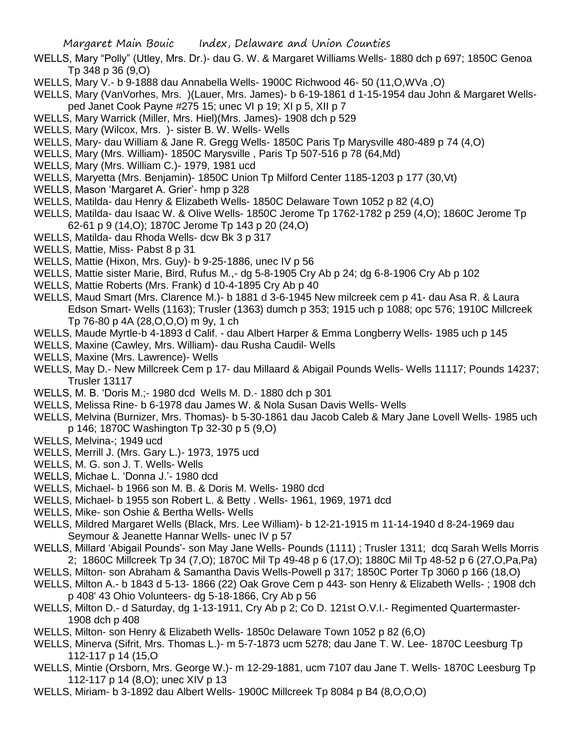- WELLS, Mary "Polly" (Utley, Mrs. Dr.)- dau G. W. & Margaret Williams Wells- 1880 dch p 697; 1850C Genoa Tp 348 p 36 (9,O)
- WELLS, Mary V.- b 9-1888 dau Annabella Wells- 1900C Richwood 46- 50 (11,O,WVa ,O)
- WELLS, Mary (VanVorhes, Mrs. )(Lauer, Mrs. James)- b 6-19-1861 d 1-15-1954 dau John & Margaret Wellsped Janet Cook Payne #275 15; unec VI p 19; XI p 5, XII p 7
- WELLS, Mary Warrick (Miller, Mrs. Hiel)(Mrs. James)- 1908 dch p 529
- WELLS, Mary (Wilcox, Mrs. )- sister B. W. Wells- Wells
- WELLS, Mary- dau William & Jane R. Gregg Wells- 1850C Paris Tp Marysville 480-489 p 74 (4,O)
- WELLS, Mary (Mrs. William)- 1850C Marysville , Paris Tp 507-516 p 78 (64,Md)
- WELLS, Mary (Mrs. William C.)- 1979, 1981 ucd
- WELLS, Maryetta (Mrs. Benjamin)- 1850C Union Tp Milford Center 1185-1203 p 177 (30,Vt)
- WELLS, Mason 'Margaret A. Grier'- hmp p 328
- WELLS, Matilda- dau Henry & Elizabeth Wells- 1850C Delaware Town 1052 p 82 (4,O)
- WELLS, Matilda- dau Isaac W. & Olive Wells- 1850C Jerome Tp 1762-1782 p 259 (4,O); 1860C Jerome Tp 62-61 p 9 (14,O); 1870C Jerome Tp 143 p 20 (24,O)
- WELLS, Matilda- dau Rhoda Wells- dcw Bk 3 p 317
- WELLS, Mattie, Miss- Pabst 8 p 31
- WELLS, Mattie (Hixon, Mrs. Guy)- b 9-25-1886, unec IV p 56
- WELLS, Mattie sister Marie, Bird, Rufus M.,- dg 5-8-1905 Cry Ab p 24; dg 6-8-1906 Cry Ab p 102
- WELLS, Mattie Roberts (Mrs. Frank) d 10-4-1895 Cry Ab p 40
- WELLS, Maud Smart (Mrs. Clarence M.)- b 1881 d 3-6-1945 New milcreek cem p 41- dau Asa R. & Laura Edson Smart- Wells (1163); Trusler (1363) dumch p 353; 1915 uch p 1088; opc 576; 1910C Millcreek Tp 76-80 p 4A (28,O,O,O) m 9y, 1 ch
- WELLS, Maude Myrtle-b 4-1893 d Calif. dau Albert Harper & Emma Longberry Wells- 1985 uch p 145
- WELLS, Maxine (Cawley, Mrs. William)- dau Rusha Caudil- Wells
- WELLS, Maxine (Mrs. Lawrence)- Wells
- WELLS, May D.- New Millcreek Cem p 17- dau Millaard & Abigail Pounds Wells- Wells 11117; Pounds 14237; Trusler 13117
- WELLS, M. B. 'Doris M.;- 1980 dcd Wells M. D.- 1880 dch p 301
- WELLS, Melissa Rine- b 6-1978 dau James W. & Nola Susan Davis Wells- Wells
- WELLS, Melvina (Burnizer, Mrs. Thomas)- b 5-30-1861 dau Jacob Caleb & Mary Jane Lovell Wells- 1985 uch p 146; 1870C Washington Tp 32-30 p 5 (9,O)
- WELLS, Melvina-; 1949 ucd
- WELLS, Merrill J. (Mrs. Gary L.)- 1973, 1975 ucd
- WELLS, M. G. son J. T. Wells- Wells
- WELLS, Michae L. 'Donna J.'- 1980 dcd
- WELLS, Michael- b 1966 son M. B. & Doris M. Wells- 1980 dcd
- WELLS, Michael- b 1955 son Robert L. & Betty . Wells- 1961, 1969, 1971 dcd
- WELLS, Mike- son Oshie & Bertha Wells- Wells
- WELLS, Mildred Margaret Wells (Black, Mrs. Lee William)- b 12-21-1915 m 11-14-1940 d 8-24-1969 dau Seymour & Jeanette Hannar Wells- unec IV p 57
- WELLS, Millard 'Abigail Pounds'- son May Jane Wells- Pounds (1111) ; Trusler 1311; dcq Sarah Wells Morris 2; 1860C Millcreek Tp 34 (7,O); 1870C Mil Tp 49-48 p 6 (17,O); 1880C Mil Tp 48-52 p 6 (27,O,Pa,Pa)
- WELLS, Milton- son Abraham & Samantha Davis Wells-Powell p 317; 1850C Porter Tp 3060 p 166 (18,O)
- WELLS, Milton A.- b 1843 d 5-13- 1866 (22) Oak Grove Cem p 443- son Henry & Elizabeth Wells- ; 1908 dch p 408' 43 Ohio Volunteers- dg 5-18-1866, Cry Ab p 56
- WELLS, Milton D.- d Saturday, dg 1-13-1911, Cry Ab p 2; Co D. 121st O.V.I.- Regimented Quartermaster-1908 dch p 408
- WELLS, Milton- son Henry & Elizabeth Wells- 1850c Delaware Town 1052 p 82 (6,O)
- WELLS, Minerva (Sifrit, Mrs. Thomas L.)- m 5-7-1873 ucm 5278; dau Jane T. W. Lee- 1870C Leesburg Tp 112-117 p 14 (15,O
- WELLS, Mintie (Orsborn, Mrs. George W.)- m 12-29-1881, ucm 7107 dau Jane T. Wells- 1870C Leesburg Tp 112-117 p 14 (8,O); unec XIV p 13
- WELLS, Miriam- b 3-1892 dau Albert Wells- 1900C Millcreek Tp 8084 p B4 (8,O,O,O)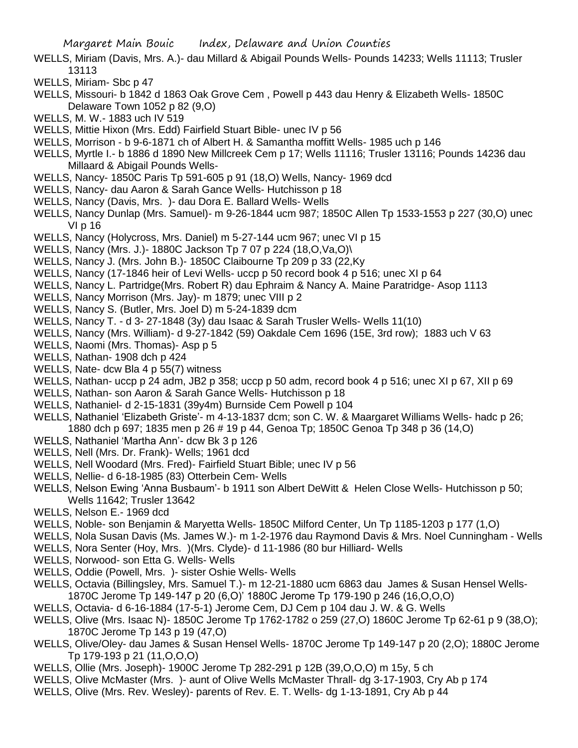- WELLS, Miriam (Davis, Mrs. A.)- dau Millard & Abigail Pounds Wells- Pounds 14233; Wells 11113; Trusler 13113
- WELLS, Miriam- Sbc p 47
- WELLS, Missouri- b 1842 d 1863 Oak Grove Cem , Powell p 443 dau Henry & Elizabeth Wells- 1850C Delaware Town 1052 p 82 (9,O)
- WELLS, M. W.- 1883 uch IV 519
- WELLS, Mittie Hixon (Mrs. Edd) Fairfield Stuart Bible- unec IV p 56
- WELLS, Morrison b 9-6-1871 ch of Albert H. & Samantha moffitt Wells- 1985 uch p 146
- WELLS, Myrtle I.- b 1886 d 1890 New Millcreek Cem p 17; Wells 11116; Trusler 13116; Pounds 14236 dau Millaard & Abigail Pounds Wells-
- WELLS, Nancy- 1850C Paris Tp 591-605 p 91 (18,O) Wells, Nancy- 1969 dcd
- WELLS, Nancy- dau Aaron & Sarah Gance Wells- Hutchisson p 18
- WELLS, Nancy (Davis, Mrs. )- dau Dora E. Ballard Wells- Wells
- WELLS, Nancy Dunlap (Mrs. Samuel)- m 9-26-1844 ucm 987; 1850C Allen Tp 1533-1553 p 227 (30,O) unec VI p 16
- WELLS, Nancy (Holycross, Mrs. Daniel) m 5-27-144 ucm 967; unec VI p 15
- WELLS, Nancy (Mrs. J.)- 1880C Jackson Tp 7 07 p 224 (18,O,Va,O)\
- WELLS, Nancy J. (Mrs. John B.)- 1850C Claibourne Tp 209 p 33 (22,Ky
- WELLS, Nancy (17-1846 heir of Levi Wells- uccp p 50 record book 4 p 516; unec XI p 64
- WELLS, Nancy L. Partridge(Mrs. Robert R) dau Ephraim & Nancy A. Maine Paratridge- Asop 1113
- WELLS, Nancy Morrison (Mrs. Jay)- m 1879; unec VIII p 2
- WELLS, Nancy S. (Butler, Mrs. Joel D) m 5-24-1839 dcm
- WELLS, Nancy T. d 3- 27-1848 (3y) dau Isaac & Sarah Trusler Wells- Wells 11(10)
- WELLS, Nancy (Mrs. William)- d 9-27-1842 (59) Oakdale Cem 1696 (15E, 3rd row); 1883 uch V 63
- WELLS, Naomi (Mrs. Thomas)- Asp p 5
- WELLS, Nathan- 1908 dch p 424
- WELLS, Nate- dcw Bla 4 p 55(7) witness
- WELLS, Nathan- uccp p 24 adm, JB2 p 358; uccp p 50 adm, record book 4 p 516; unec XI p 67, XII p 69
- WELLS, Nathan- son Aaron & Sarah Gance Wells- Hutchisson p 18
- WELLS, Nathaniel- d 2-15-1831 (39y4m) Burnside Cem Powell p 104
- WELLS, Nathaniel 'Elizabeth Griste'- m 4-13-1837 dcm; son C. W. & Maargaret Williams Wells- hadc p 26; 1880 dch p 697; 1835 men p 26 # 19 p 44, Genoa Tp; 1850C Genoa Tp 348 p 36 (14,O)
- WELLS, Nathaniel 'Martha Ann'- dcw Bk 3 p 126
- WELLS, Nell (Mrs. Dr. Frank)- Wells; 1961 dcd
- WELLS, Nell Woodard (Mrs. Fred)- Fairfield Stuart Bible; unec IV p 56
- WELLS, Nellie- d 6-18-1985 (83) Otterbein Cem- Wells
- WELLS, Nelson Ewing 'Anna Busbaum'- b 1911 son Albert DeWitt & Helen Close Wells- Hutchisson p 50; Wells 11642; Trusler 13642
- WELLS, Nelson E.- 1969 dcd
- WELLS, Noble- son Benjamin & Maryetta Wells- 1850C Milford Center, Un Tp 1185-1203 p 177 (1,O)
- WELLS, Nola Susan Davis (Ms. James W.)- m 1-2-1976 dau Raymond Davis & Mrs. Noel Cunningham Wells
- WELLS, Nora Senter (Hoy, Mrs. )(Mrs. Clyde)- d 11-1986 (80 bur Hilliard- Wells
- WELLS, Norwood- son Etta G. Wells- Wells
- WELLS, Oddie (Powell, Mrs. )- sister Oshie Wells- Wells
- WELLS, Octavia (Billingsley, Mrs. Samuel T.)- m 12-21-1880 ucm 6863 dau James & Susan Hensel Wells-1870C Jerome Tp 149-147 p 20 (6,O)' 1880C Jerome Tp 179-190 p 246 (16,O,O,O)
- WELLS, Octavia- d 6-16-1884 (17-5-1) Jerome Cem, DJ Cem p 104 dau J. W. & G. Wells
- WELLS, Olive (Mrs. Isaac N)- 1850C Jerome Tp 1762-1782 o 259 (27,O) 1860C Jerome Tp 62-61 p 9 (38,O); 1870C Jerome Tp 143 p 19 (47,O)
- WELLS, Olive/Oley- dau James & Susan Hensel Wells- 1870C Jerome Tp 149-147 p 20 (2,O); 1880C Jerome Tp 179-193 p 21 (11,O,O,O)
- WELLS, Ollie (Mrs. Joseph)- 1900C Jerome Tp 282-291 p 12B (39,O,O,O) m 15y, 5 ch
- WELLS, Olive McMaster (Mrs. )- aunt of Olive Wells McMaster Thrall- dg 3-17-1903, Cry Ab p 174
- WELLS, Olive (Mrs. Rev. Wesley)- parents of Rev. E. T. Wells- dg 1-13-1891, Cry Ab p 44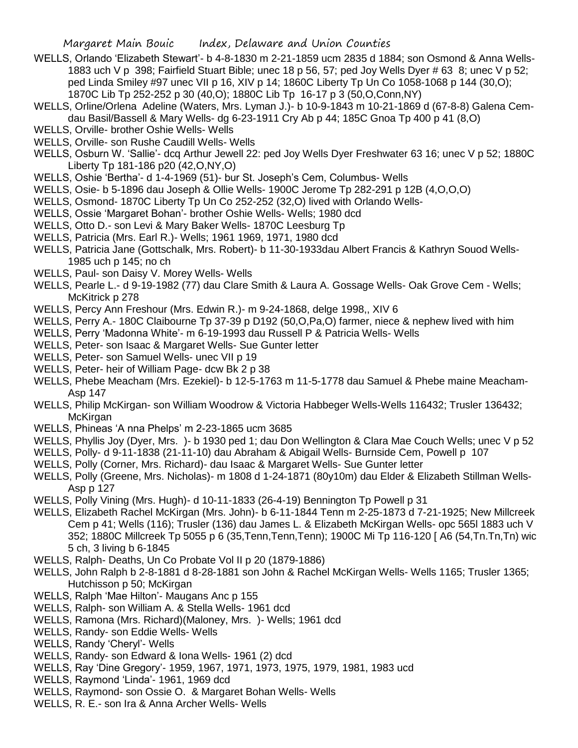- WELLS, Orlando 'Elizabeth Stewart'- b 4-8-1830 m 2-21-1859 ucm 2835 d 1884; son Osmond & Anna Wells-1883 uch V p 398; Fairfield Stuart Bible; unec 18 p 56, 57; ped Joy Wells Dyer # 63 8; unec V p 52; ped Linda Smiley #97 unec VII p 16, XIV p 14; 1860C Liberty Tp Un Co 1058-1068 p 144 (30,O); 1870C Lib Tp 252-252 p 30 (40,O); 1880C Lib Tp 16-17 p 3 (50,O,Conn,NY)
- WELLS, Orline/Orlena Adeline (Waters, Mrs. Lyman J.)- b 10-9-1843 m 10-21-1869 d (67-8-8) Galena Cemdau Basil/Bassell & Mary Wells- dg 6-23-1911 Cry Ab p 44; 185C Gnoa Tp 400 p 41 (8,O)
- WELLS, Orville- brother Oshie Wells- Wells
- WELLS, Orville- son Rushe Caudill Wells- Wells
- WELLS, Osburn W. 'Sallie'- dcq Arthur Jewell 22: ped Joy Wells Dyer Freshwater 63 16; unec V p 52; 1880C Liberty Tp 181-186 p20 (42,O,NY,O)
- WELLS, Oshie 'Bertha'- d 1-4-1969 (51)- bur St. Joseph's Cem, Columbus- Wells
- WELLS, Osie- b 5-1896 dau Joseph & Ollie Wells- 1900C Jerome Tp 282-291 p 12B (4,O,O,O)
- WELLS, Osmond- 1870C Liberty Tp Un Co 252-252 (32,O) lived with Orlando Wells-
- WELLS, Ossie 'Margaret Bohan'- brother Oshie Wells- Wells; 1980 dcd
- WELLS, Otto D.- son Levi & Mary Baker Wells- 1870C Leesburg Tp
- WELLS, Patricia (Mrs. Earl R.)- Wells; 1961 1969, 1971, 1980 dcd
- WELLS, Patricia Jane (Gottschalk, Mrs. Robert)- b 11-30-1933dau Albert Francis & Kathryn Souod Wells-1985 uch p 145; no ch
- WELLS, Paul- son Daisy V. Morey Wells- Wells
- WELLS, Pearle L.- d 9-19-1982 (77) dau Clare Smith & Laura A. Gossage Wells- Oak Grove Cem Wells; McKitrick p 278
- WELLS, Percy Ann Freshour (Mrs. Edwin R.)- m 9-24-1868, delge 1998,, XIV 6
- WELLS, Perry A.- 180C Claibourne Tp 37-39 p D192 (50,O,Pa,O) farmer, niece & nephew lived with him
- WELLS, Perry 'Madonna White'- m 6-19-1993 dau Russell P & Patricia Wells- Wells
- WELLS, Peter- son Isaac & Margaret Wells- Sue Gunter letter
- WELLS, Peter- son Samuel Wells- unec VII p 19
- WELLS, Peter- heir of William Page- dcw Bk 2 p 38
- WELLS, Phebe Meacham (Mrs. Ezekiel)- b 12-5-1763 m 11-5-1778 dau Samuel & Phebe maine Meacham-Asp 147
- WELLS, Philip McKirgan- son William Woodrow & Victoria Habbeger Wells-Wells 116432; Trusler 136432; McKirgan
- WELLS, Phineas 'A nna Phelps' m 2-23-1865 ucm 3685
- WELLS, Phyllis Joy (Dyer, Mrs. )- b 1930 ped 1; dau Don Wellington & Clara Mae Couch Wells; unec V p 52
- WELLS, Polly- d 9-11-1838 (21-11-10) dau Abraham & Abigail Wells- Burnside Cem, Powell p 107
- WELLS, Polly (Corner, Mrs. Richard)- dau Isaac & Margaret Wells- Sue Gunter letter
- WELLS, Polly (Greene, Mrs. Nicholas)- m 1808 d 1-24-1871 (80y10m) dau Elder & Elizabeth Stillman Wells-Asp p 127
- WELLS, Polly Vining (Mrs. Hugh)- d 10-11-1833 (26-4-19) Bennington Tp Powell p 31
- WELLS, Elizabeth Rachel McKirgan (Mrs. John)- b 6-11-1844 Tenn m 2-25-1873 d 7-21-1925; New Millcreek Cem p 41; Wells (116); Trusler (136) dau James L. & Elizabeth McKirgan Wells- opc 565l 1883 uch V 352; 1880C Millcreek Tp 5055 p 6 (35,Tenn,Tenn,Tenn); 1900C Mi Tp 116-120 [ A6 (54,Tn.Tn,Tn) wic 5 ch, 3 living b 6-1845
- WELLS, Ralph- Deaths, Un Co Probate Vol II p 20 (1879-1886)
- WELLS, John Ralph b 2-8-1881 d 8-28-1881 son John & Rachel McKirgan Wells- Wells 1165; Trusler 1365; Hutchisson p 50; McKirgan
- WELLS, Ralph 'Mae Hilton'- Maugans Anc p 155
- WELLS, Ralph- son William A. & Stella Wells- 1961 dcd
- WELLS, Ramona (Mrs. Richard)(Maloney, Mrs. )- Wells; 1961 dcd
- WELLS, Randy- son Eddie Wells- Wells
- WELLS, Randy 'Cheryl'- Wells
- WELLS, Randy- son Edward & Iona Wells- 1961 (2) dcd
- WELLS, Ray 'Dine Gregory'- 1959, 1967, 1971, 1973, 1975, 1979, 1981, 1983 ucd
- WELLS, Raymond 'Linda'- 1961, 1969 dcd
- WELLS, Raymond- son Ossie O. & Margaret Bohan Wells- Wells
- WELLS, R. E.- son Ira & Anna Archer Wells- Wells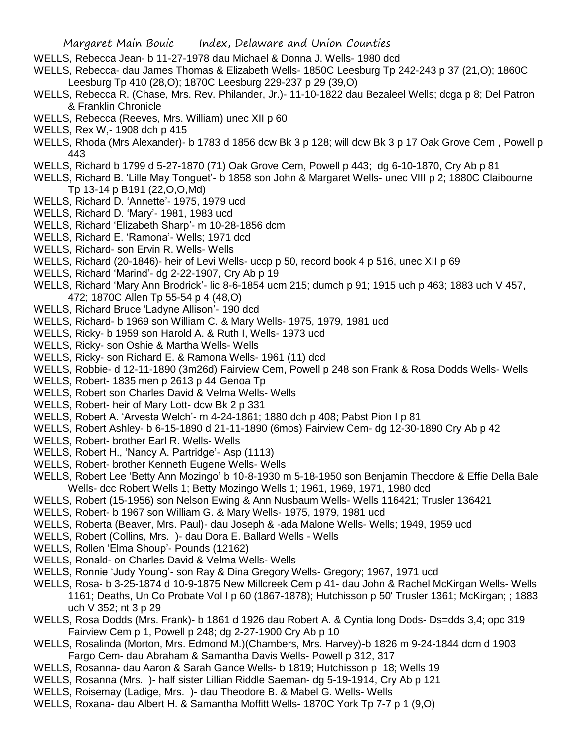- WELLS, Rebecca Jean- b 11-27-1978 dau Michael & Donna J. Wells- 1980 dcd
- WELLS, Rebecca- dau James Thomas & Elizabeth Wells- 1850C Leesburg Tp 242-243 p 37 (21,O); 1860C Leesburg Tp 410 (28,O); 1870C Leesburg 229-237 p 29 (39,O)
- WELLS, Rebecca R. (Chase, Mrs. Rev. Philander, Jr.)- 11-10-1822 dau Bezaleel Wells; dcga p 8; Del Patron & Franklin Chronicle
- WELLS, Rebecca (Reeves, Mrs. William) unec XII p 60
- WELLS, Rex W,- 1908 dch p 415
- WELLS, Rhoda (Mrs Alexander)- b 1783 d 1856 dcw Bk 3 p 128; will dcw Bk 3 p 17 Oak Grove Cem , Powell p 443
- WELLS, Richard b 1799 d 5-27-1870 (71) Oak Grove Cem, Powell p 443; dg 6-10-1870, Cry Ab p 81
- WELLS, Richard B. 'Lille May Tonguet'- b 1858 son John & Margaret Wells- unec VIII p 2; 1880C Claibourne Tp 13-14 p B191 (22,O,O,Md)
- WELLS, Richard D. 'Annette'- 1975, 1979 ucd
- WELLS, Richard D. 'Mary'- 1981, 1983 ucd
- WELLS, Richard 'Elizabeth Sharp'- m 10-28-1856 dcm
- WELLS, Richard E. 'Ramona'- Wells; 1971 dcd
- WELLS, Richard- son Ervin R. Wells- Wells
- WELLS, Richard (20-1846)- heir of Levi Wells- uccp p 50, record book 4 p 516, unec XII p 69
- WELLS, Richard 'Marind'- dg 2-22-1907, Cry Ab p 19
- WELLS, Richard 'Mary Ann Brodrick'- lic 8-6-1854 ucm 215; dumch p 91; 1915 uch p 463; 1883 uch V 457, 472; 1870C Allen Tp 55-54 p 4 (48,O)
- WELLS, Richard Bruce 'Ladyne Allison'- 190 dcd
- WELLS, Richard- b 1969 son William C. & Mary Wells- 1975, 1979, 1981 ucd
- WELLS, Ricky- b 1959 son Harold A. & Ruth I, Wells- 1973 ucd
- WELLS, Ricky- son Oshie & Martha Wells- Wells
- WELLS, Ricky- son Richard E. & Ramona Wells- 1961 (11) dcd
- WELLS, Robbie- d 12-11-1890 (3m26d) Fairview Cem, Powell p 248 son Frank & Rosa Dodds Wells- Wells
- WELLS, Robert- 1835 men p 2613 p 44 Genoa Tp
- WELLS, Robert son Charles David & Velma Wells- Wells
- WELLS, Robert- heir of Mary Lott- dcw Bk 2 p 331
- WELLS, Robert A. 'Arvesta Welch'- m 4-24-1861; 1880 dch p 408; Pabst Pion I p 81
- WELLS, Robert Ashley- b 6-15-1890 d 21-11-1890 (6mos) Fairview Cem- dg 12-30-1890 Cry Ab p 42
- WELLS, Robert- brother Earl R. Wells- Wells
- WELLS, Robert H., 'Nancy A. Partridge'- Asp (1113)
- WELLS, Robert- brother Kenneth Eugene Wells- Wells
- WELLS, Robert Lee 'Betty Ann Mozingo' b 10-8-1930 m 5-18-1950 son Benjamin Theodore & Effie Della Bale Wells- dcc Robert Wells 1; Betty Mozingo Wells 1; 1961, 1969, 1971, 1980 dcd
- WELLS, Robert (15-1956) son Nelson Ewing & Ann Nusbaum Wells- Wells 116421; Trusler 136421
- WELLS, Robert- b 1967 son William G. & Mary Wells- 1975, 1979, 1981 ucd
- WELLS, Roberta (Beaver, Mrs. Paul)- dau Joseph & -ada Malone Wells- Wells; 1949, 1959 ucd
- WELLS, Robert (Collins, Mrs. )- dau Dora E. Ballard Wells Wells
- WELLS, Rollen 'Elma Shoup'- Pounds (12162)
- WELLS, Ronald- on Charles David & Velma Wells- Wells
- WELLS, Ronnie 'Judy Young'- son Ray & Dina Gregory Wells- Gregory; 1967, 1971 ucd
- WELLS, Rosa- b 3-25-1874 d 10-9-1875 New Millcreek Cem p 41- dau John & Rachel McKirgan Wells- Wells 1161; Deaths, Un Co Probate Vol I p 60 (1867-1878); Hutchisson p 50' Trusler 1361; McKirgan; ; 1883 uch V 352; nt 3 p 29
- WELLS, Rosa Dodds (Mrs. Frank)- b 1861 d 1926 dau Robert A. & Cyntia long Dods- Ds=dds 3,4; opc 319 Fairview Cem p 1, Powell p 248; dg 2-27-1900 Cry Ab p 10
- WELLS, Rosalinda (Morton, Mrs. Edmond M.)(Chambers, Mrs. Harvey)-b 1826 m 9-24-1844 dcm d 1903 Fargo Cem- dau Abraham & Samantha Davis Wells- Powell p 312, 317
- WELLS, Rosanna- dau Aaron & Sarah Gance Wells- b 1819; Hutchisson p 18; Wells 19
- WELLS, Rosanna (Mrs. )- half sister Lillian Riddle Saeman- dg 5-19-1914, Cry Ab p 121
- WELLS, Roisemay (Ladige, Mrs. )- dau Theodore B. & Mabel G. Wells- Wells
- WELLS, Roxana- dau Albert H. & Samantha Moffitt Wells- 1870C York Tp 7-7 p 1 (9,O)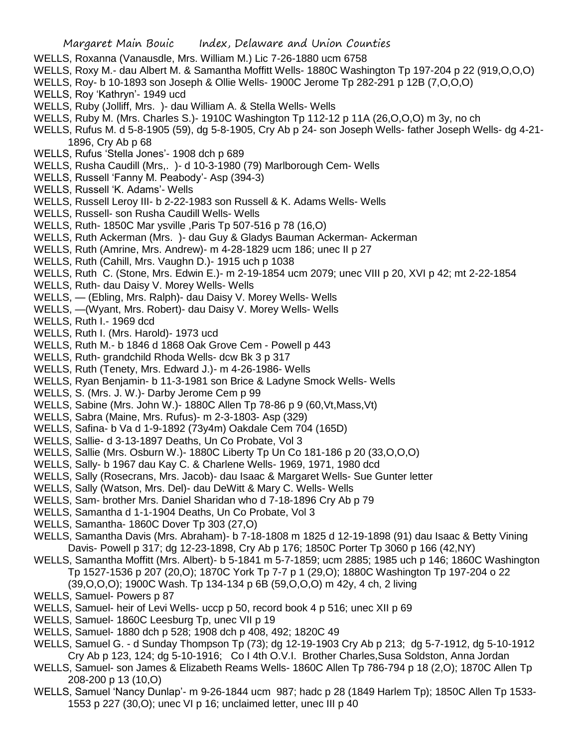- WELLS, Roxanna (Vanausdle, Mrs. William M.) Lic 7-26-1880 ucm 6758
- WELLS, Roxy M.- dau Albert M. & Samantha Moffitt Wells- 1880C Washington Tp 197-204 p 22 (919,O,O,O)
- WELLS, Roy- b 10-1893 son Joseph & Ollie Wells- 1900C Jerome Tp 282-291 p 12B (7,O,O,O)
- WELLS, Roy 'Kathryn'- 1949 ucd
- WELLS, Ruby (Jolliff, Mrs. )- dau William A. & Stella Wells- Wells
- WELLS, Ruby M. (Mrs. Charles S.)- 1910C Washington Tp 112-12 p 11A (26,O,O,O) m 3y, no ch
- WELLS, Rufus M. d 5-8-1905 (59), dg 5-8-1905, Cry Ab p 24- son Joseph Wells- father Joseph Wells- dg 4-21- 1896, Cry Ab p 68
- WELLS, Rufus 'Stella Jones'- 1908 dch p 689
- WELLS, Rusha Caudill (Mrs,. )- d 10-3-1980 (79) Marlborough Cem- Wells
- WELLS, Russell 'Fanny M. Peabody'- Asp (394-3)
- WELLS, Russell 'K. Adams'- Wells
- WELLS, Russell Leroy III- b 2-22-1983 son Russell & K. Adams Wells- Wells
- WELLS, Russell- son Rusha Caudill Wells- Wells
- WELLS, Ruth- 1850C Mar ysville ,Paris Tp 507-516 p 78 (16,O)
- WELLS, Ruth Ackerman (Mrs. )- dau Guy & Gladys Bauman Ackerman- Ackerman
- WELLS, Ruth (Amrine, Mrs. Andrew)- m 4-28-1829 ucm 186; unec II p 27
- WELLS, Ruth (Cahill, Mrs. Vaughn D.)- 1915 uch p 1038
- WELLS, Ruth C. (Stone, Mrs. Edwin E.)- m 2-19-1854 ucm 2079; unec VIII p 20, XVI p 42; mt 2-22-1854
- WELLS, Ruth- dau Daisy V. Morey Wells- Wells
- WELLS, (Ebling, Mrs. Ralph)- dau Daisy V. Morey Wells- Wells
- WELLS, —(Wyant, Mrs. Robert)- dau Daisy V. Morey Wells- Wells
- WELLS, Ruth I.- 1969 dcd
- WELLS, Ruth I. (Mrs. Harold)- 1973 ucd
- WELLS, Ruth M.- b 1846 d 1868 Oak Grove Cem Powell p 443
- WELLS, Ruth- grandchild Rhoda Wells- dcw Bk 3 p 317
- WELLS, Ruth (Tenety, Mrs. Edward J.)- m 4-26-1986- Wells
- WELLS, Ryan Benjamin- b 11-3-1981 son Brice & Ladyne Smock Wells- Wells
- WELLS, S. (Mrs. J. W.)- Darby Jerome Cem p 99
- WELLS, Sabine (Mrs. John W.)- 1880C Allen Tp 78-86 p 9 (60,Vt,Mass,Vt)
- WELLS, Sabra (Maine, Mrs. Rufus)- m 2-3-1803- Asp (329)
- WELLS, Safina- b Va d 1-9-1892 (73y4m) Oakdale Cem 704 (165D)
- WELLS, Sallie- d 3-13-1897 Deaths, Un Co Probate, Vol 3
- WELLS, Sallie (Mrs. Osburn W.)- 1880C Liberty Tp Un Co 181-186 p 20 (33,O,O,O)
- WELLS, Sally- b 1967 dau Kay C. & Charlene Wells- 1969, 1971, 1980 dcd
- WELLS, Sally (Rosecrans, Mrs. Jacob)- dau Isaac & Margaret Wells- Sue Gunter letter
- WELLS, Sally (Watson, Mrs. Del)- dau DeWitt & Mary C. Wells- Wells
- WELLS, Sam- brother Mrs. Daniel Sharidan who d 7-18-1896 Cry Ab p 79
- WELLS, Samantha d 1-1-1904 Deaths, Un Co Probate, Vol 3
- WELLS, Samantha- 1860C Dover Tp 303 (27,O)
- WELLS, Samantha Davis (Mrs. Abraham)- b 7-18-1808 m 1825 d 12-19-1898 (91) dau Isaac & Betty Vining Davis- Powell p 317; dg 12-23-1898, Cry Ab p 176; 1850C Porter Tp 3060 p 166 (42,NY)
- WELLS, Samantha Moffitt (Mrs. Albert)- b 5-1841 m 5-7-1859; ucm 2885; 1985 uch p 146; 1860C Washington Tp 1527-1536 p 207 (20,O); 1870C York Tp 7-7 p 1 (29,O); 1880C Washington Tp 197-204 o 22 (39,O,O,O); 1900C Wash. Tp 134-134 p 6B (59,O,O,O) m 42y, 4 ch, 2 living
- WELLS, Samuel- Powers p 87
- WELLS, Samuel- heir of Levi Wells- uccp p 50, record book 4 p 516; unec XII p 69
- WELLS, Samuel- 1860C Leesburg Tp, unec VII p 19
- WELLS, Samuel- 1880 dch p 528; 1908 dch p 408, 492; 1820C 49
- WELLS, Samuel G. d Sunday Thompson Tp (73); dg 12-19-1903 Cry Ab p 213; dg 5-7-1912, dg 5-10-1912 Cry Ab p 123, 124; dg 5-10-1916; Co I 4th O.V.I. Brother Charles,Susa Soldston, Anna Jordan
- WELLS, Samuel- son James & Elizabeth Reams Wells- 1860C Allen Tp 786-794 p 18 (2,O); 1870C Allen Tp 208-200 p 13 (10,O)
- WELLS, Samuel 'Nancy Dunlap'- m 9-26-1844 ucm 987; hadc p 28 (1849 Harlem Tp); 1850C Allen Tp 1533- 1553 p 227 (30,O); unec VI p 16; unclaimed letter, unec III p 40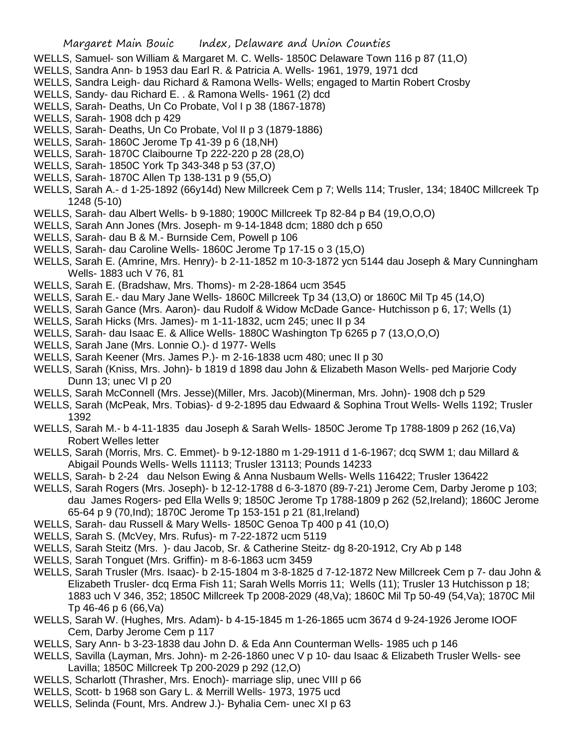- WELLS, Samuel- son William & Margaret M. C. Wells- 1850C Delaware Town 116 p 87 (11,O)
- WELLS, Sandra Ann- b 1953 dau Earl R. & Patricia A. Wells- 1961, 1979, 1971 dcd
- WELLS, Sandra Leigh- dau Richard & Ramona Wells- Wells; engaged to Martin Robert Crosby
- WELLS, Sandy- dau Richard E. . & Ramona Wells- 1961 (2) dcd
- WELLS, Sarah- Deaths, Un Co Probate, Vol I p 38 (1867-1878)
- WELLS, Sarah- 1908 dch p 429
- WELLS, Sarah- Deaths, Un Co Probate, Vol II p 3 (1879-1886)
- WELLS, Sarah- 1860C Jerome Tp 41-39 p 6 (18,NH)
- WELLS, Sarah- 1870C Claibourne Tp 222-220 p 28 (28,O)
- WELLS, Sarah- 1850C York Tp 343-348 p 53 (37,O)
- WELLS, Sarah- 1870C Allen Tp 138-131 p 9 (55,O)
- WELLS, Sarah A.- d 1-25-1892 (66y14d) New Millcreek Cem p 7; Wells 114; Trusler, 134; 1840C Millcreek Tp 1248 (5-10)
- WELLS, Sarah- dau Albert Wells- b 9-1880; 1900C Millcreek Tp 82-84 p B4 (19,O,O,O)
- WELLS, Sarah Ann Jones (Mrs. Joseph- m 9-14-1848 dcm; 1880 dch p 650
- WELLS, Sarah- dau B & M.- Burnside Cem, Powell p 106
- WELLS, Sarah- dau Caroline Wells- 1860C Jerome Tp 17-15 o 3 (15,O)
- WELLS, Sarah E. (Amrine, Mrs. Henry)- b 2-11-1852 m 10-3-1872 ycn 5144 dau Joseph & Mary Cunningham Wells- 1883 uch V 76, 81
- WELLS, Sarah E. (Bradshaw, Mrs. Thoms)- m 2-28-1864 ucm 3545
- WELLS, Sarah E.- dau Mary Jane Wells- 1860C Millcreek Tp 34 (13,O) or 1860C Mil Tp 45 (14,O)
- WELLS, Sarah Gance (Mrs. Aaron)- dau Rudolf & Widow McDade Gance- Hutchisson p 6, 17; Wells (1)
- WELLS, Sarah Hicks (Mrs. James)- m 1-11-1832, ucm 245; unec II p 34
- WELLS, Sarah- dau Isaac E. & Allice Wells- 1880C Washington Tp 6265 p 7 (13,O,O,O)
- WELLS, Sarah Jane (Mrs. Lonnie O.)- d 1977- Wells
- WELLS, Sarah Keener (Mrs. James P.)- m 2-16-1838 ucm 480; unec II p 30
- WELLS, Sarah (Kniss, Mrs. John)- b 1819 d 1898 dau John & Elizabeth Mason Wells- ped Marjorie Cody Dunn 13; unec VI p 20
- WELLS, Sarah McConnell (Mrs. Jesse)(Miller, Mrs. Jacob)(Minerman, Mrs. John)- 1908 dch p 529
- WELLS, Sarah (McPeak, Mrs. Tobias)- d 9-2-1895 dau Edwaard & Sophina Trout Wells- Wells 1192; Trusler 1392
- WELLS, Sarah M.- b 4-11-1835 dau Joseph & Sarah Wells- 1850C Jerome Tp 1788-1809 p 262 (16,Va) Robert Welles letter
- WELLS, Sarah (Morris, Mrs. C. Emmet)- b 9-12-1880 m 1-29-1911 d 1-6-1967; dcq SWM 1; dau Millard & Abigail Pounds Wells- Wells 11113; Trusler 13113; Pounds 14233
- WELLS, Sarah- b 2-24 dau Nelson Ewing & Anna Nusbaum Wells- Wells 116422; Trusler 136422
- WELLS, Sarah Rogers (Mrs. Joseph)- b 12-12-1788 d 6-3-1870 (89-7-21) Jerome Cem, Darby Jerome p 103; dau James Rogers- ped Ella Wells 9; 1850C Jerome Tp 1788-1809 p 262 (52,Ireland); 1860C Jerome 65-64 p 9 (70,Ind); 1870C Jerome Tp 153-151 p 21 (81,Ireland)
- WELLS, Sarah- dau Russell & Mary Wells- 1850C Genoa Tp 400 p 41 (10,O)
- WELLS, Sarah S. (McVey, Mrs. Rufus)- m 7-22-1872 ucm 5119
- WELLS, Sarah Steitz (Mrs. )- dau Jacob, Sr. & Catherine Steitz- dg 8-20-1912, Cry Ab p 148
- WELLS, Sarah Tonguet (Mrs. Griffin)- m 8-6-1863 ucm 3459
- WELLS, Sarah Trusler (Mrs. Isaac)- b 2-15-1804 m 3-8-1825 d 7-12-1872 New Millcreek Cem p 7- dau John & Elizabeth Trusler- dcq Erma Fish 11; Sarah Wells Morris 11; Wells (11); Trusler 13 Hutchisson p 18; 1883 uch V 346, 352; 1850C Millcreek Tp 2008-2029 (48,Va); 1860C Mil Tp 50-49 (54,Va); 1870C Mil Tp 46-46 p 6 (66,Va)
- WELLS, Sarah W. (Hughes, Mrs. Adam)- b 4-15-1845 m 1-26-1865 ucm 3674 d 9-24-1926 Jerome IOOF Cem, Darby Jerome Cem p 117
- WELLS, Sary Ann- b 3-23-1838 dau John D. & Eda Ann Counterman Wells- 1985 uch p 146
- WELLS, Savilla (Layman, Mrs. John)- m 2-26-1860 unec V p 10- dau Isaac & Elizabeth Trusler Wells- see Lavilla; 1850C Millcreek Tp 200-2029 p 292 (12,O)
- WELLS, Scharlott (Thrasher, Mrs. Enoch)- marriage slip, unec VIII p 66
- WELLS, Scott- b 1968 son Gary L. & Merrill Wells- 1973, 1975 ucd
- WELLS, Selinda (Fount, Mrs. Andrew J.)- Byhalia Cem- unec XI p 63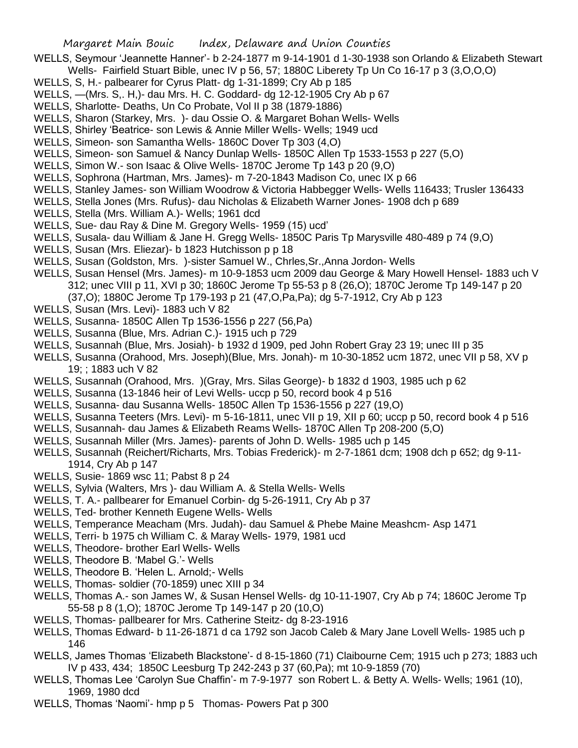- WELLS, Seymour 'Jeannette Hanner'- b 2-24-1877 m 9-14-1901 d 1-30-1938 son Orlando & Elizabeth Stewart Wells- Fairfield Stuart Bible, unec IV p 56, 57; 1880C Liberety Tp Un Co 16-17 p 3 (3, O, O, O)
- WELLS, S, H.- palbearer for Cyrus Platt- dg 1-31-1899; Cry Ab p 185
- WELLS, —(Mrs. S,. H,)- dau Mrs. H. C. Goddard- dg 12-12-1905 Cry Ab p 67
- WELLS, Sharlotte- Deaths, Un Co Probate, Vol II p 38 (1879-1886)
- WELLS, Sharon (Starkey, Mrs. )- dau Ossie O. & Margaret Bohan Wells- Wells
- WELLS, Shirley 'Beatrice- son Lewis & Annie Miller Wells- Wells; 1949 ucd
- WELLS, Simeon- son Samantha Wells- 1860C Dover Tp 303 (4,O)
- WELLS, Simeon- son Samuel & Nancy Dunlap Wells- 1850C Allen Tp 1533-1553 p 227 (5,O)
- WELLS, Simon W.- son Isaac & Olive Wells- 1870C Jerome Tp 143 p 20 (9,O)
- WELLS, Sophrona (Hartman, Mrs. James)- m 7-20-1843 Madison Co, unec IX p 66
- WELLS, Stanley James- son William Woodrow & Victoria Habbegger Wells- Wells 116433; Trusler 136433
- WELLS, Stella Jones (Mrs. Rufus)- dau Nicholas & Elizabeth Warner Jones- 1908 dch p 689
- WELLS, Stella (Mrs. William A.)- Wells; 1961 dcd
- WELLS, Sue- dau Ray & Dine M. Gregory Wells- 1959 (15) ucd'
- WELLS, Susala- dau William & Jane H. Gregg Wells- 1850C Paris Tp Marysville 480-489 p 74 (9,O)
- WELLS, Susan (Mrs. Eliezar)- b 1823 Hutchisson p p 18
- WELLS, Susan (Goldston, Mrs. )-sister Samuel W., Chrles,Sr.,Anna Jordon- Wells
- WELLS, Susan Hensel (Mrs. James)- m 10-9-1853 ucm 2009 dau George & Mary Howell Hensel- 1883 uch V 312; unec VIII p 11, XVI p 30; 1860C Jerome Tp 55-53 p 8 (26,O); 1870C Jerome Tp 149-147 p 20 (37,O); 1880C Jerome Tp 179-193 p 21 (47,O,Pa,Pa); dg 5-7-1912, Cry Ab p 123
- WELLS, Susan (Mrs. Levi)- 1883 uch V 82
- WELLS, Susanna- 1850C Allen Tp 1536-1556 p 227 (56,Pa)
- WELLS, Susanna (Blue, Mrs. Adrian C.)- 1915 uch p 729
- WELLS, Susannah (Blue, Mrs. Josiah)- b 1932 d 1909, ped John Robert Gray 23 19; unec III p 35
- WELLS, Susanna (Orahood, Mrs. Joseph)(Blue, Mrs. Jonah)- m 10-30-1852 ucm 1872, unec VII p 58, XV p 19; ; 1883 uch V 82
- WELLS, Susannah (Orahood, Mrs. )(Gray, Mrs. Silas George)- b 1832 d 1903, 1985 uch p 62
- WELLS, Susanna (13-1846 heir of Levi Wells- uccp p 50, record book 4 p 516
- WELLS, Susanna- dau Susanna Wells- 1850C Allen Tp 1536-1556 p 227 (19,O)
- WELLS, Susanna Teeters (Mrs. Levi)- m 5-16-1811, unec VII p 19, XII p 60; uccp p 50, record book 4 p 516
- WELLS, Susannah- dau James & Elizabeth Reams Wells- 1870C Allen Tp 208-200 (5,O)
- WELLS, Susannah Miller (Mrs. James)- parents of John D. Wells- 1985 uch p 145
- WELLS, Susannah (Reichert/Richarts, Mrs. Tobias Frederick)- m 2-7-1861 dcm; 1908 dch p 652; dg 9-11- 1914, Cry Ab p 147
- WELLS, Susie- 1869 wsc 11; Pabst 8 p 24
- WELLS, Sylvia (Walters, Mrs )- dau William A. & Stella Wells- Wells
- WELLS, T. A.- pallbearer for Emanuel Corbin- dg 5-26-1911, Cry Ab p 37
- WELLS, Ted- brother Kenneth Eugene Wells- Wells
- WELLS, Temperance Meacham (Mrs. Judah)- dau Samuel & Phebe Maine Meashcm- Asp 1471
- WELLS, Terri- b 1975 ch William C. & Maray Wells- 1979, 1981 ucd
- WELLS, Theodore- brother Earl Wells- Wells
- WELLS, Theodore B. 'Mabel G.'- Wells
- WELLS, Theodore B. 'Helen L. Arnold;- Wells
- WELLS, Thomas- soldier (70-1859) unec XIII p 34
- WELLS, Thomas A.- son James W, & Susan Hensel Wells- dg 10-11-1907, Cry Ab p 74; 1860C Jerome Tp 55-58 p 8 (1,O); 1870C Jerome Tp 149-147 p 20 (10,O)
- WELLS, Thomas- pallbearer for Mrs. Catherine Steitz- dg 8-23-1916
- WELLS, Thomas Edward- b 11-26-1871 d ca 1792 son Jacob Caleb & Mary Jane Lovell Wells- 1985 uch p 146
- WELLS, James Thomas 'Elizabeth Blackstone'- d 8-15-1860 (71) Claibourne Cem; 1915 uch p 273; 1883 uch IV p 433, 434; 1850C Leesburg Tp 242-243 p 37 (60,Pa); mt 10-9-1859 (70)
- WELLS, Thomas Lee 'Carolyn Sue Chaffin'- m 7-9-1977 son Robert L. & Betty A. Wells- Wells; 1961 (10), 1969, 1980 dcd
- WELLS, Thomas 'Naomi'- hmp p 5 Thomas- Powers Pat p 300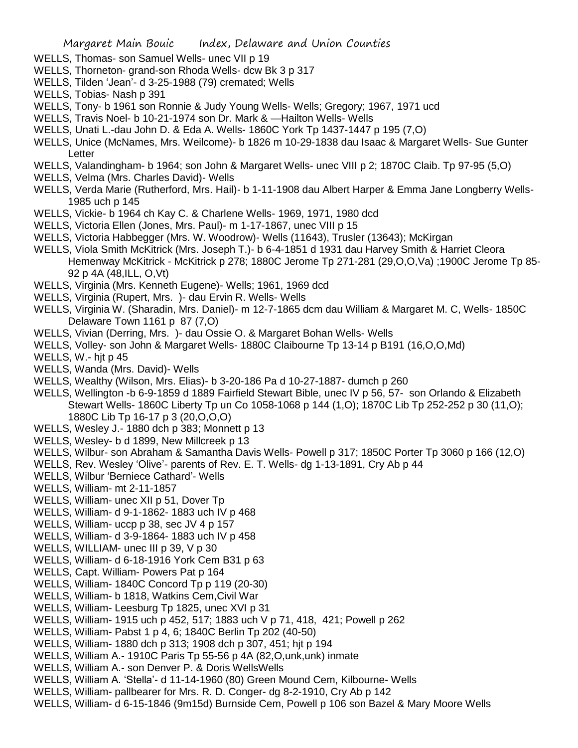- WELLS, Thomas- son Samuel Wells- unec VII p 19
- WELLS, Thorneton- grand-son Rhoda Wells- dcw Bk 3 p 317
- WELLS, Tilden 'Jean'- d 3-25-1988 (79) cremated; Wells
- WELLS, Tobias- Nash p 391
- WELLS, Tony- b 1961 son Ronnie & Judy Young Wells- Wells; Gregory; 1967, 1971 ucd
- WELLS, Travis Noel- b 10-21-1974 son Dr. Mark & —Hailton Wells- Wells
- WELLS, Unati L.-dau John D. & Eda A. Wells- 1860C York Tp 1437-1447 p 195 (7,O)
- WELLS, Unice (McNames, Mrs. Weilcome)- b 1826 m 10-29-1838 dau Isaac & Margaret Wells- Sue Gunter Letter
- WELLS, Valandingham- b 1964; son John & Margaret Wells- unec VIII p 2; 1870C Claib. Tp 97-95 (5,O)
- WELLS, Velma (Mrs. Charles David)- Wells
- WELLS, Verda Marie (Rutherford, Mrs. Hail)- b 1-11-1908 dau Albert Harper & Emma Jane Longberry Wells-1985 uch p 145
- WELLS, Vickie- b 1964 ch Kay C. & Charlene Wells- 1969, 1971, 1980 dcd
- WELLS, Victoria Ellen (Jones, Mrs. Paul)- m 1-17-1867, unec VIII p 15
- WELLS, Victoria Habbegger (Mrs. W. Woodrow)- Wells (11643), Trusler (13643); McKirgan
- WELLS, Viola Smith McKitrick (Mrs. Joseph T.)- b 6-4-1851 d 1931 dau Harvey Smith & Harriet Cleora Hemenway McKitrick - McKitrick p 278; 1880C Jerome Tp 271-281 (29,O,O,Va) ;1900C Jerome Tp 85- 92 p 4A (48,ILL, O,Vt)
- WELLS, Virginia (Mrs. Kenneth Eugene)- Wells; 1961, 1969 dcd
- WELLS, Virginia (Rupert, Mrs. )- dau Ervin R. Wells- Wells
- WELLS, Virginia W. (Sharadin, Mrs. Daniel)- m 12-7-1865 dcm dau William & Margaret M. C, Wells- 1850C Delaware Town 1161 p 87 (7,O)
- WELLS, Vivian (Derring, Mrs. )- dau Ossie O. & Margaret Bohan Wells- Wells
- WELLS, Volley- son John & Margaret Wells- 1880C Claibourne Tp 13-14 p B191 (16,O,O,Md)
- WELLS, W.- hit p 45
- WELLS, Wanda (Mrs. David)- Wells
- WELLS, Wealthy (Wilson, Mrs. Elias)- b 3-20-186 Pa d 10-27-1887- dumch p 260
- WELLS, Wellington -b 6-9-1859 d 1889 Fairfield Stewart Bible, unec IV p 56, 57- son Orlando & Elizabeth Stewart Wells- 1860C Liberty Tp un Co 1058-1068 p 144 (1,O); 1870C Lib Tp 252-252 p 30 (11,O); 1880C Lib Tp 16-17 p 3 (20,O,O,O)
- WELLS, Wesley J.- 1880 dch p 383; Monnett p 13
- WELLS, Wesley- b d 1899, New Millcreek p 13
- WELLS, Wilbur- son Abraham & Samantha Davis Wells- Powell p 317; 1850C Porter Tp 3060 p 166 (12,O)
- WELLS, Rev. Wesley 'Olive'- parents of Rev. E. T. Wells- dg 1-13-1891, Cry Ab p 44
- WELLS, Wilbur 'Berniece Cathard'- Wells
- WELLS, William- mt 2-11-1857
- WELLS, William- unec XII p 51, Dover Tp
- WELLS, William- d 9-1-1862- 1883 uch IV p 468
- WELLS, William- uccp p 38, sec JV 4 p 157
- WELLS, William- d 3-9-1864- 1883 uch IV p 458
- WELLS, WILLIAM- unec III p 39, V p 30
- WELLS, William- d 6-18-1916 York Cem B31 p 63
- WELLS, Capt. William- Powers Pat p 164
- WELLS, William- 1840C Concord Tp p 119 (20-30)
- WELLS, William- b 1818, Watkins Cem,Civil War
- WELLS, William- Leesburg Tp 1825, unec XVI p 31
- WELLS, William- 1915 uch p 452, 517; 1883 uch V p 71, 418, 421; Powell p 262
- WELLS, William- Pabst 1 p 4, 6; 1840C Berlin Tp 202 (40-50)
- WELLS, William- 1880 dch p 313; 1908 dch p 307, 451; hjt p 194
- WELLS, William A.- 1910C Paris Tp 55-56 p 4A (82,O,unk,unk) inmate
- WELLS, William A.- son Denver P. & Doris WellsWells
- WELLS, William A. 'Stella'- d 11-14-1960 (80) Green Mound Cem, Kilbourne- Wells
- WELLS, William- pallbearer for Mrs. R. D. Conger- dg 8-2-1910, Cry Ab p 142
- WELLS, William- d 6-15-1846 (9m15d) Burnside Cem, Powell p 106 son Bazel & Mary Moore Wells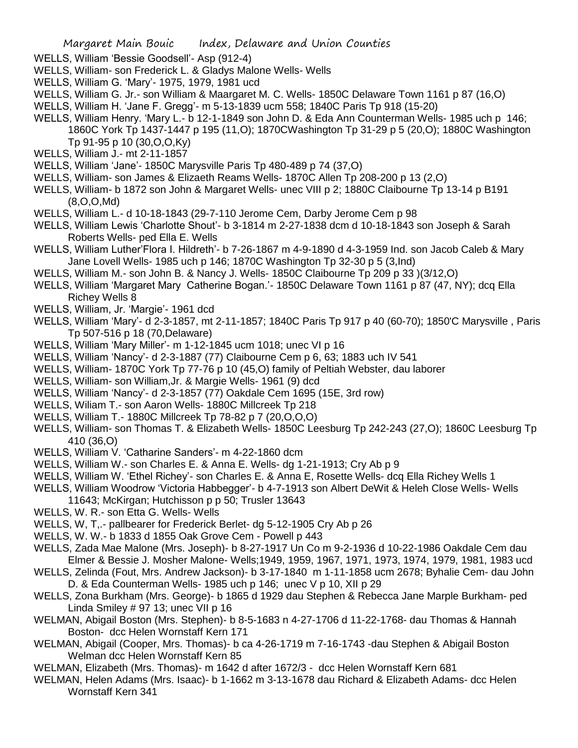- WELLS, William 'Bessie Goodsell'- Asp (912-4)
- WELLS, William- son Frederick L. & Gladys Malone Wells- Wells
- WELLS, William G. 'Mary'- 1975, 1979, 1981 ucd
- WELLS, William G. Jr.- son William & Maargaret M. C. Wells- 1850C Delaware Town 1161 p 87 (16,O)
- WELLS, William H. 'Jane F. Gregg'- m 5-13-1839 ucm 558; 1840C Paris Tp 918 (15-20)
- WELLS, William Henry. 'Mary L.- b 12-1-1849 son John D. & Eda Ann Counterman Wells- 1985 uch p 146; 1860C York Tp 1437-1447 p 195 (11,O); 1870CWashington Tp 31-29 p 5 (20,O); 1880C Washington Tp 91-95 p 10 (30,O,O,Ky)
- WELLS, William J.- mt 2-11-1857
- WELLS, William 'Jane'- 1850C Marysville Paris Tp 480-489 p 74 (37,O)
- WELLS, William- son James & Elizaeth Reams Wells- 1870C Allen Tp 208-200 p 13 (2,O)
- WELLS, William- b 1872 son John & Margaret Wells- unec VIII p 2; 1880C Claibourne Tp 13-14 p B191 (8,O,O,Md)
- WELLS, William L.- d 10-18-1843 (29-7-110 Jerome Cem, Darby Jerome Cem p 98
- WELLS, William Lewis 'Charlotte Shout'- b 3-1814 m 2-27-1838 dcm d 10-18-1843 son Joseph & Sarah Roberts Wells- ped Ella E. Wells
- WELLS, William Luther'Flora I. Hildreth'- b 7-26-1867 m 4-9-1890 d 4-3-1959 Ind. son Jacob Caleb & Mary Jane Lovell Wells- 1985 uch p 146; 1870C Washington Tp 32-30 p 5 (3,Ind)
- WELLS, William M.- son John B. & Nancy J. Wells- 1850C Claibourne Tp 209 p 33 )(3/12,O)
- WELLS, William 'Margaret Mary Catherine Bogan.'- 1850C Delaware Town 1161 p 87 (47, NY); dcq Ella Richey Wells 8
- WELLS, William, Jr. 'Margie'- 1961 dcd
- WELLS, William 'Mary'- d 2-3-1857, mt 2-11-1857; 1840C Paris Tp 917 p 40 (60-70); 1850'C Marysville , Paris Tp 507-516 p 18 (70,Delaware)
- WELLS, William 'Mary Miller'- m 1-12-1845 ucm 1018; unec VI p 16
- WELLS, William 'Nancy'- d 2-3-1887 (77) Claibourne Cem p 6, 63; 1883 uch IV 541
- WELLS, William- 1870C York Tp 77-76 p 10 (45,O) family of Peltiah Webster, dau laborer
- WELLS, William- son William,Jr. & Margie Wells- 1961 (9) dcd
- WELLS, William 'Nancy'- d 2-3-1857 (77) Oakdale Cem 1695 (15E, 3rd row)
- WELLS, Wiliam T.- son Aaron Wells- 1880C Millcreek Tp 218
- WELLS, William T.- 1880C Millcreek Tp 78-82 p 7 (20,O,O,O)
- WELLS, William- son Thomas T. & Elizabeth Wells- 1850C Leesburg Tp 242-243 (27,O); 1860C Leesburg Tp 410 (36,O)
- WELLS, William V. 'Catharine Sanders'- m 4-22-1860 dcm
- WELLS, William W.- son Charles E. & Anna E. Wells- dg 1-21-1913; Cry Ab p 9
- WELLS, William W. 'Ethel Richey'- son Charles E. & Anna E, Rosette Wells- dcq Ella Richey Wells 1
- WELLS, William Woodrow 'Victoria Habbegger'- b 4-7-1913 son Albert DeWit & Heleh Close Wells- Wells 11643; McKirgan; Hutchisson p p 50; Trusler 13643
- WELLS, W. R.- son Etta G. Wells- Wells
- WELLS, W, T,.- pallbearer for Frederick Berlet- dg 5-12-1905 Cry Ab p 26
- WELLS, W. W.- b 1833 d 1855 Oak Grove Cem Powell p 443
- WELLS, Zada Mae Malone (Mrs. Joseph)- b 8-27-1917 Un Co m 9-2-1936 d 10-22-1986 Oakdale Cem dau Elmer & Bessie J. Mosher Malone- Wells;1949, 1959, 1967, 1971, 1973, 1974, 1979, 1981, 1983 ucd
- WELLS, Zelinda (Fout, Mrs. Andrew Jackson)- b 3-17-1840 m 1-11-1858 ucm 2678; Byhalie Cem- dau John D. & Eda Counterman Wells- 1985 uch p 146; unec V p 10, XII p 29
- WELLS, Zona Burkham (Mrs. George)- b 1865 d 1929 dau Stephen & Rebecca Jane Marple Burkham- ped Linda Smiley # 97 13; unec VII p 16
- WELMAN, Abigail Boston (Mrs. Stephen)- b 8-5-1683 n 4-27-1706 d 11-22-1768- dau Thomas & Hannah Boston- dcc Helen Wornstaff Kern 171
- WELMAN, Abigail (Cooper, Mrs. Thomas)- b ca 4-26-1719 m 7-16-1743 -dau Stephen & Abigail Boston Welman dcc Helen Wornstaff Kern 85
- WELMAN, Elizabeth (Mrs. Thomas)- m 1642 d after 1672/3 dcc Helen Wornstaff Kern 681
- WELMAN, Helen Adams (Mrs. Isaac)- b 1-1662 m 3-13-1678 dau Richard & Elizabeth Adams- dcc Helen Wornstaff Kern 341